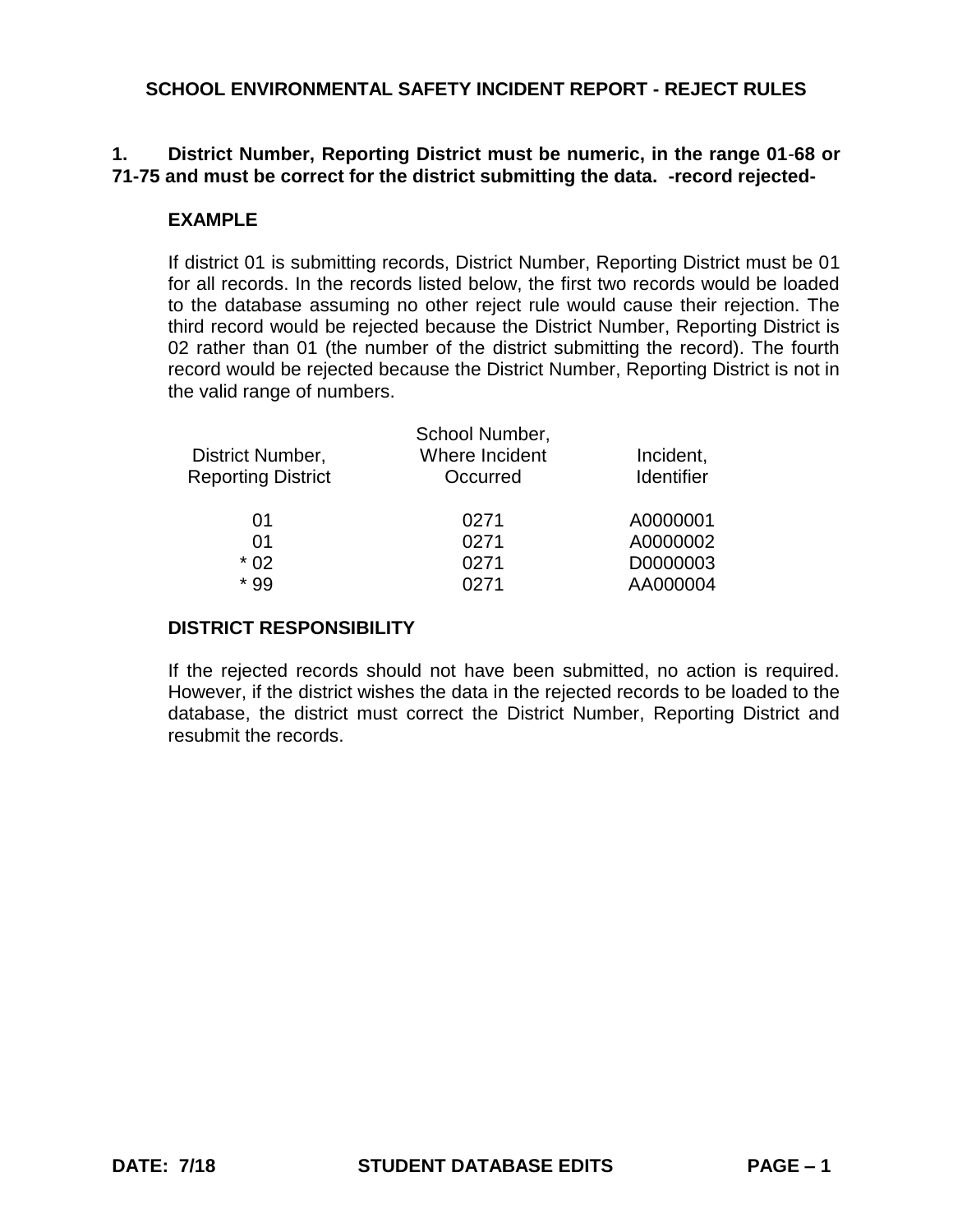# **1. District Number, Reporting District must be numeric, in the range 01**-**68 or 71-75 and must be correct for the district submitting the data. -record rejected-**

## **EXAMPLE**

If district 01 is submitting records, District Number, Reporting District must be 01 for all records. In the records listed below, the first two records would be loaded to the database assuming no other reject rule would cause their rejection. The third record would be rejected because the District Number, Reporting District is 02 rather than 01 (the number of the district submitting the record). The fourth record would be rejected because the District Number, Reporting District is not in the valid range of numbers.

| School Number, |                   |
|----------------|-------------------|
| Where Incident | Incident,         |
| Occurred       | <b>Identifier</b> |
| 0271           | A0000001          |
| 0271           | A0000002          |
| 0271           | D0000003          |
| 0271           | AA000004          |
|                |                   |

## **DISTRICT RESPONSIBILITY**

If the rejected records should not have been submitted, no action is required. However, if the district wishes the data in the rejected records to be loaded to the database, the district must correct the District Number, Reporting District and resubmit the records.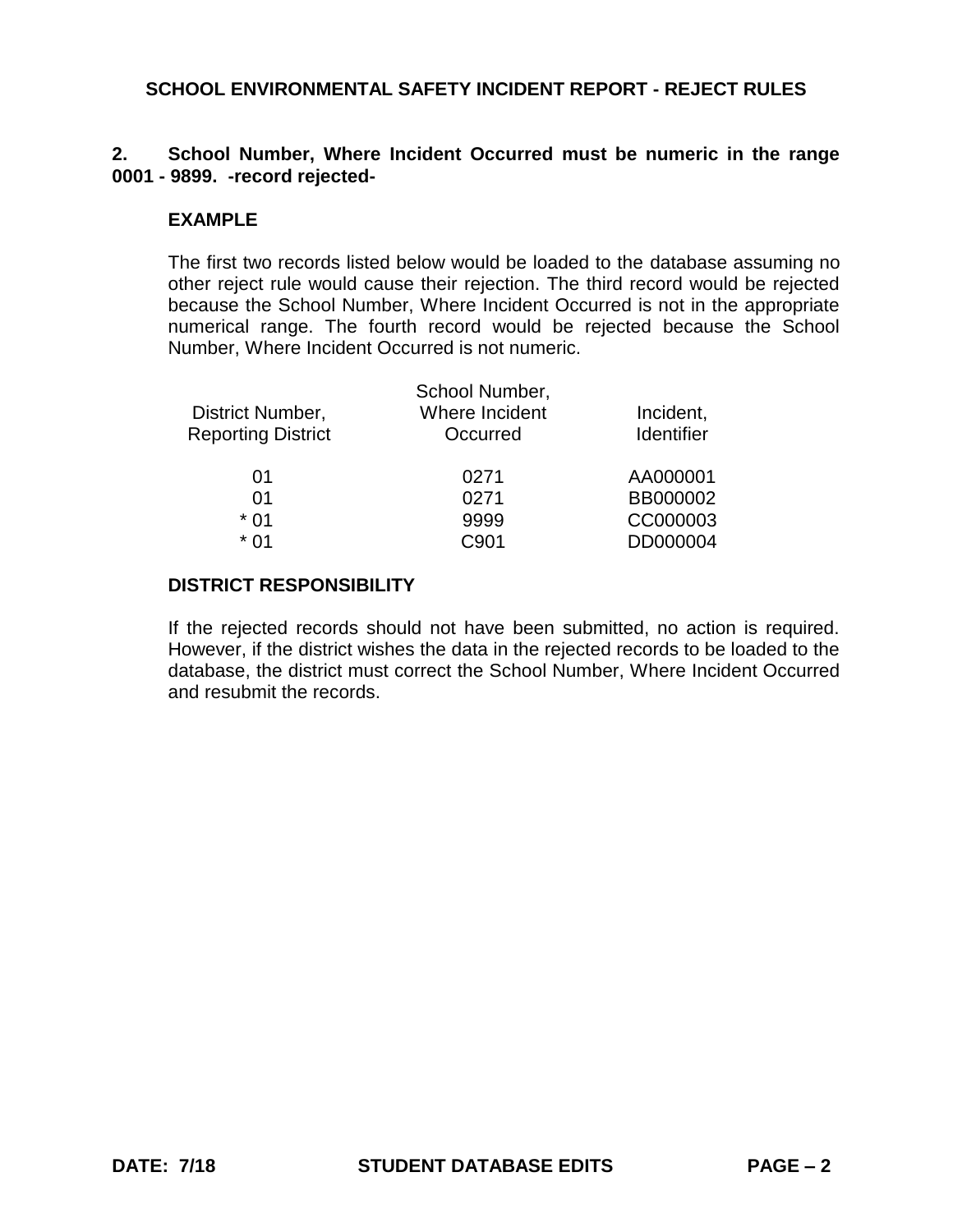## **2. School Number, Where Incident Occurred must be numeric in the range 0001 - 9899. -record rejected-**

### **EXAMPLE**

The first two records listed below would be loaded to the database assuming no other reject rule would cause their rejection. The third record would be rejected because the School Number, Where Incident Occurred is not in the appropriate numerical range. The fourth record would be rejected because the School Number, Where Incident Occurred is not numeric.

|                           | School Number, |                   |
|---------------------------|----------------|-------------------|
| District Number,          | Where Incident | Incident,         |
| <b>Reporting District</b> | Occurred       | <b>Identifier</b> |
| 01                        | 0271           | AA000001          |
| 01                        | 0271           | BB000002          |
| $*01$                     | 9999           | CC000003          |
| * በ1                      | C901           | DD000004          |

### **DISTRICT RESPONSIBILITY**

If the rejected records should not have been submitted, no action is required. However, if the district wishes the data in the rejected records to be loaded to the database, the district must correct the School Number, Where Incident Occurred and resubmit the records.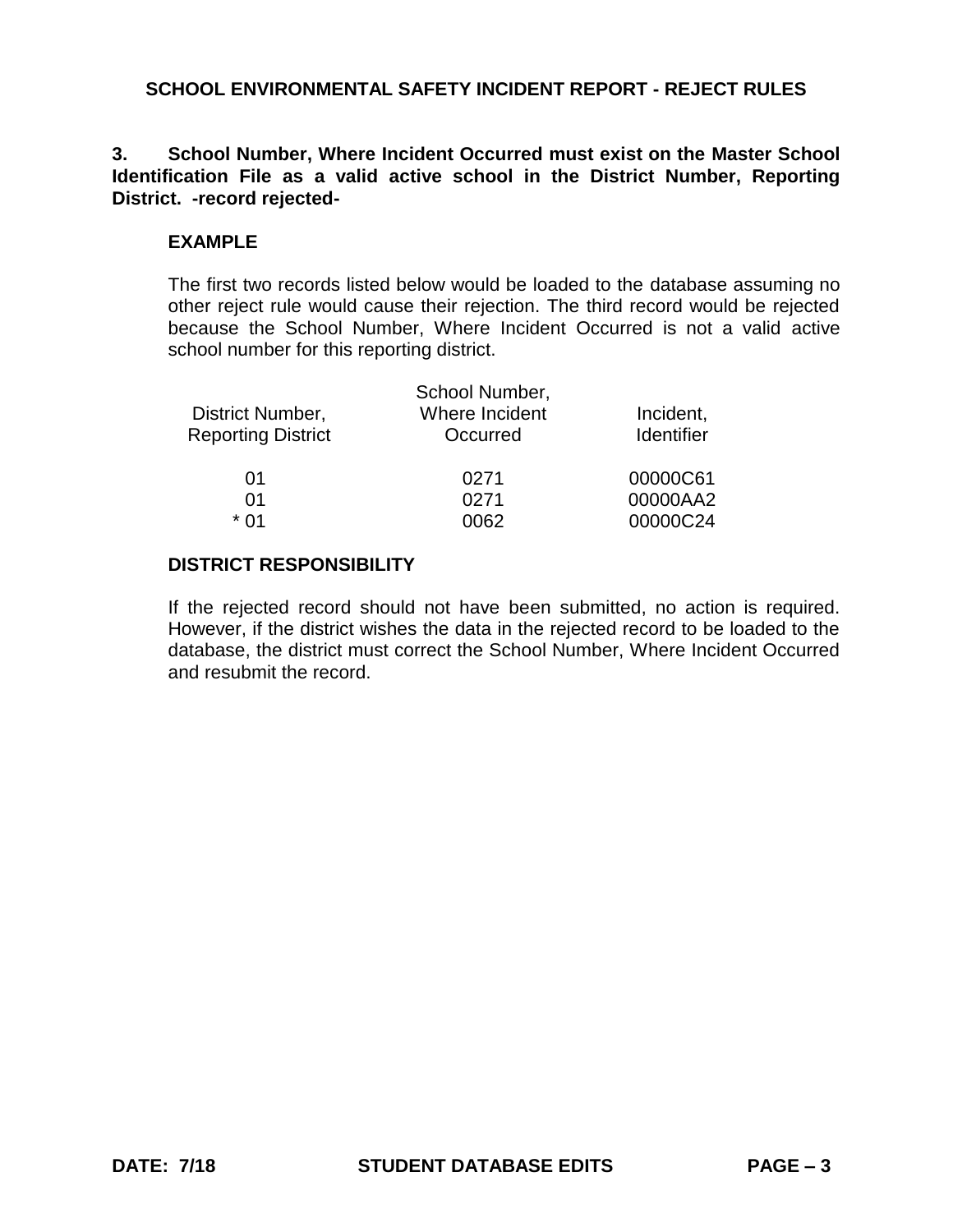# **3. School Number, Where Incident Occurred must exist on the Master School Identification File as a valid active school in the District Number, Reporting District. -record rejected-**

# **EXAMPLE**

The first two records listed below would be loaded to the database assuming no other reject rule would cause their rejection. The third record would be rejected because the School Number, Where Incident Occurred is not a valid active school number for this reporting district.

|                           | School Number, |            |
|---------------------------|----------------|------------|
| District Number,          | Where Incident | Incident,  |
| <b>Reporting District</b> | Occurred       | Identifier |
| 01                        | 0271           | 00000C61   |
| 01                        | 0271           | 00000AA2   |
| * በ1                      | 0062           | 00000C24   |

# **DISTRICT RESPONSIBILITY**

If the rejected record should not have been submitted, no action is required. However, if the district wishes the data in the rejected record to be loaded to the database, the district must correct the School Number, Where Incident Occurred and resubmit the record.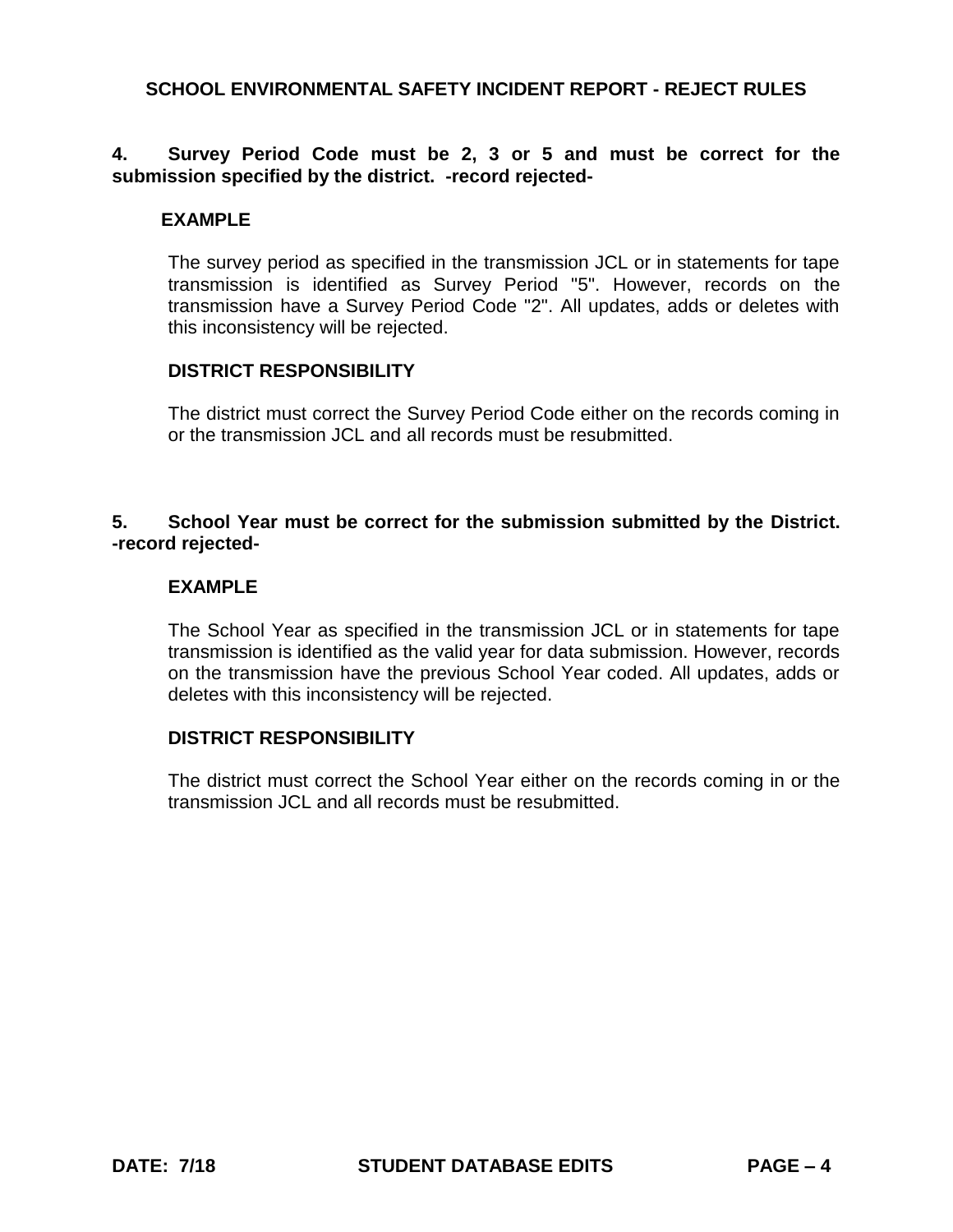## **4. Survey Period Code must be 2, 3 or 5 and must be correct for the submission specified by the district. -record rejected-**

## **EXAMPLE**

The survey period as specified in the transmission JCL or in statements for tape transmission is identified as Survey Period "5". However, records on the transmission have a Survey Period Code "2". All updates, adds or deletes with this inconsistency will be rejected.

## **DISTRICT RESPONSIBILITY**

The district must correct the Survey Period Code either on the records coming in or the transmission JCL and all records must be resubmitted.

## **5. School Year must be correct for the submission submitted by the District. -record rejected-**

### **EXAMPLE**

The School Year as specified in the transmission JCL or in statements for tape transmission is identified as the valid year for data submission. However, records on the transmission have the previous School Year coded. All updates, adds or deletes with this inconsistency will be rejected.

### **DISTRICT RESPONSIBILITY**

The district must correct the School Year either on the records coming in or the transmission JCL and all records must be resubmitted.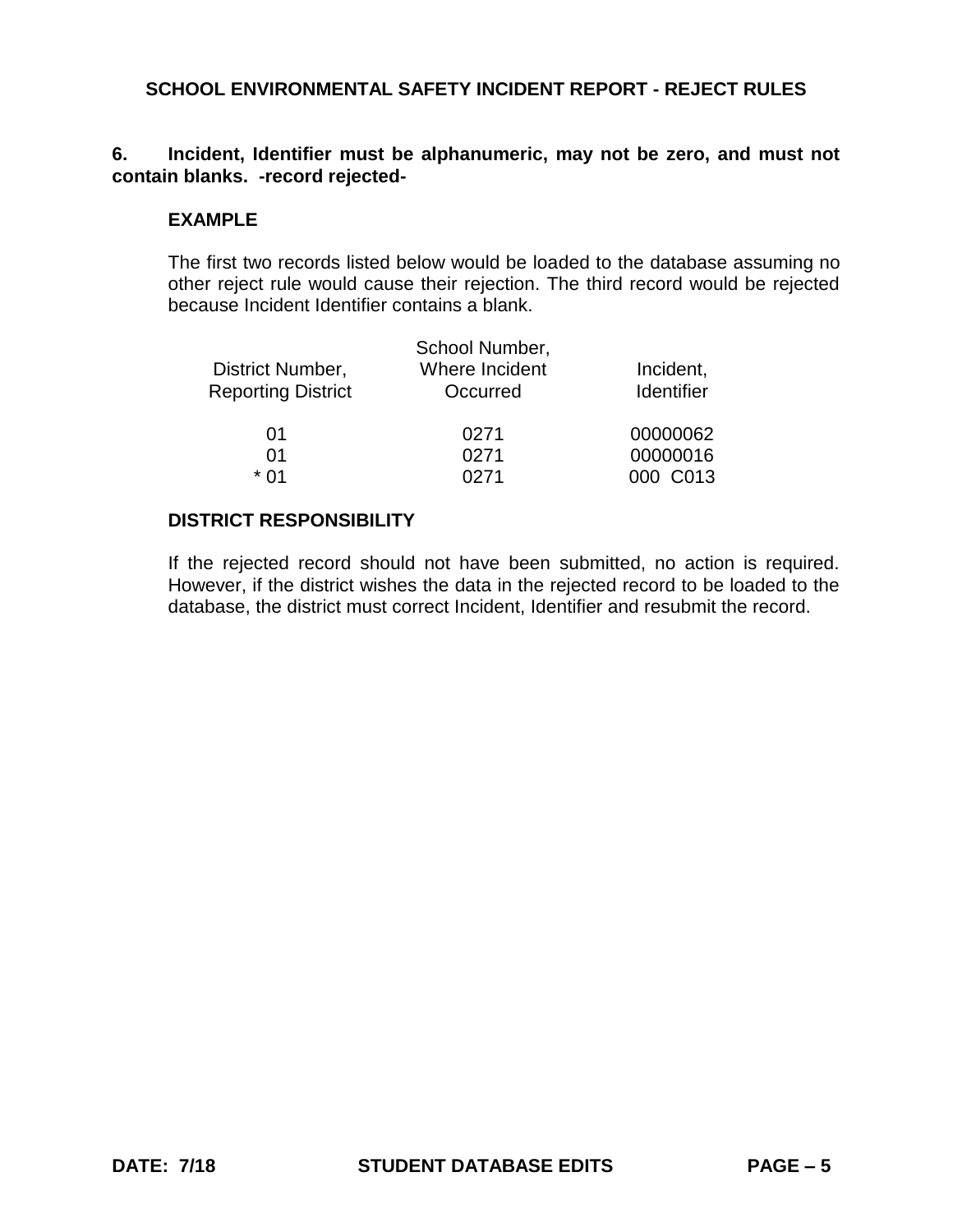## **6. Incident, Identifier must be alphanumeric, may not be zero, and must not contain blanks. -record rejected-**

## **EXAMPLE**

The first two records listed below would be loaded to the database assuming no other reject rule would cause their rejection. The third record would be rejected because Incident Identifier contains a blank.

| District Number,<br><b>Reporting District</b> | School Number,<br>Where Incident<br>Occurred | Incident,<br><b>Identifier</b> |
|-----------------------------------------------|----------------------------------------------|--------------------------------|
| 01                                            | 0271                                         | 00000062                       |
| 01                                            | 0271                                         | 00000016                       |
| * በ1                                          | 0271                                         | 000 C013                       |
|                                               |                                              |                                |

## **DISTRICT RESPONSIBILITY**

If the rejected record should not have been submitted, no action is required. However, if the district wishes the data in the rejected record to be loaded to the database, the district must correct Incident, Identifier and resubmit the record.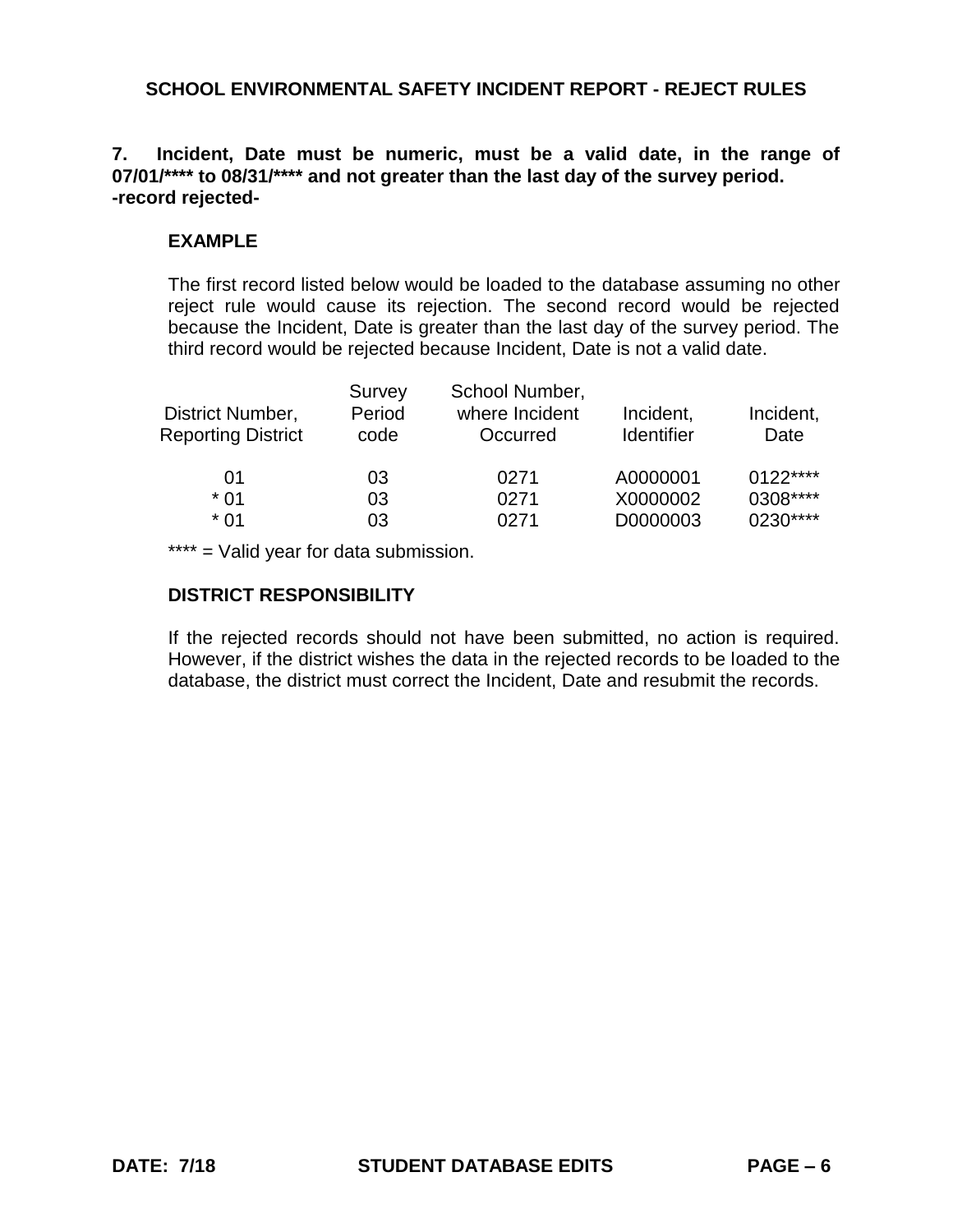# **7. Incident, Date must be numeric, must be a valid date, in the range of 07/01/\*\*\*\* to 08/31/\*\*\*\* and not greater than the last day of the survey period. -record rejected-**

# **EXAMPLE**

The first record listed below would be loaded to the database assuming no other reject rule would cause its rejection. The second record would be rejected because the Incident, Date is greater than the last day of the survey period. The third record would be rejected because Incident, Date is not a valid date.

| District Number,<br><b>Reporting District</b> | Survey<br>Period<br>code | School Number,<br>where Incident<br>Occurred | Incident,<br><b>Identifier</b> | Incident,<br>Date |
|-----------------------------------------------|--------------------------|----------------------------------------------|--------------------------------|-------------------|
| 01                                            | 03                       | 0271                                         | A0000001                       | $0122***$         |
| * 01                                          | 03                       | 0271                                         | X0000002                       | 0308****          |
| * 01                                          | 03                       | 0271                                         | D0000003                       | 0230****          |

\*\*\*\* = Valid year for data submission.

# **DISTRICT RESPONSIBILITY**

If the rejected records should not have been submitted, no action is required. However, if the district wishes the data in the rejected records to be loaded to the database, the district must correct the Incident, Date and resubmit the records.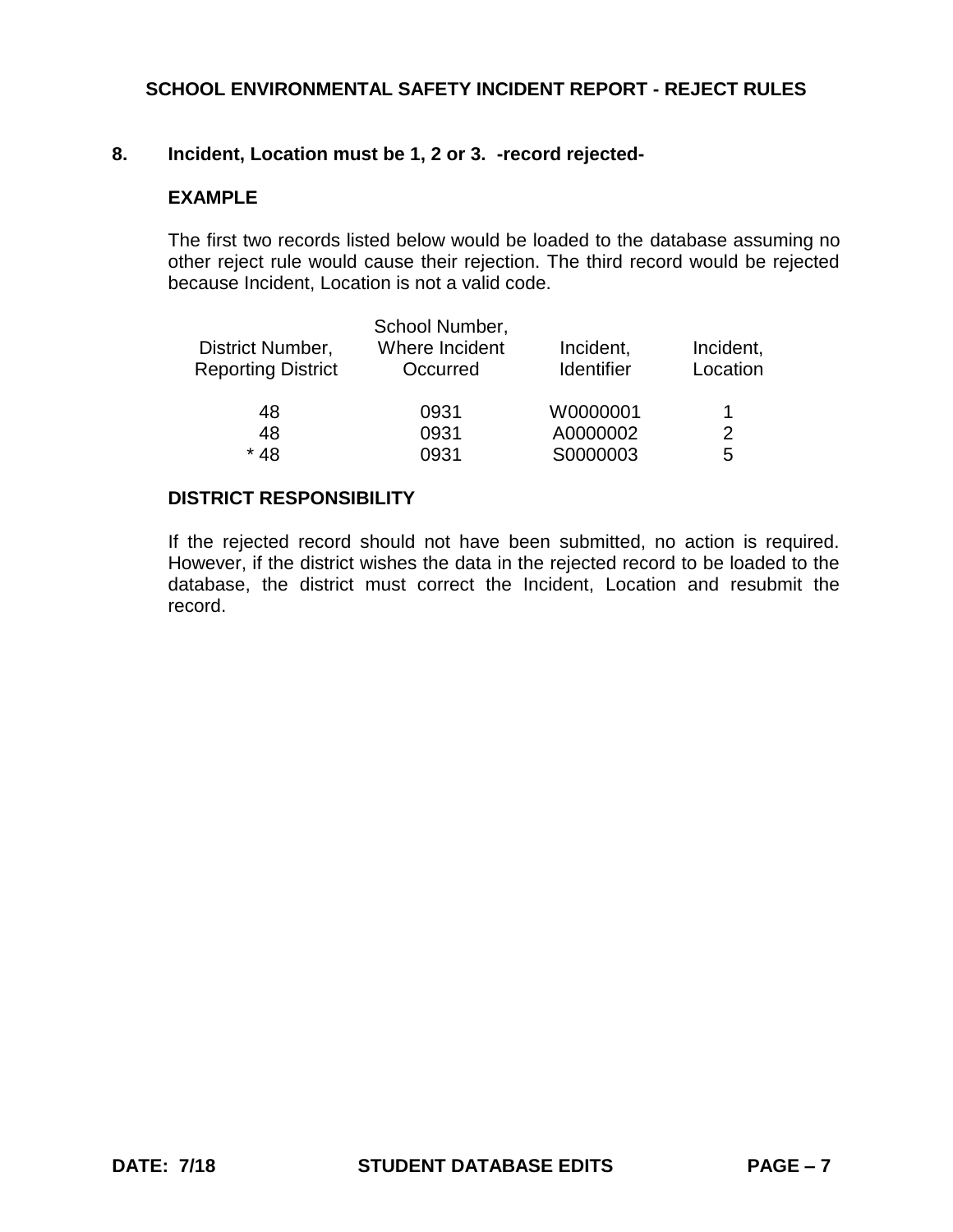## **8. Incident, Location must be 1, 2 or 3. -record rejected-**

## **EXAMPLE**

The first two records listed below would be loaded to the database assuming no other reject rule would cause their rejection. The third record would be rejected because Incident, Location is not a valid code.

|                           | School Number, |                   |           |
|---------------------------|----------------|-------------------|-----------|
| District Number,          | Where Incident | Incident,         | Incident, |
| <b>Reporting District</b> | Occurred       | <b>Identifier</b> | Location  |
| 48                        | 0931           | W0000001          | 1         |
| 48                        | 0931           | A0000002          | 2         |
| $*48$                     | 0931           | S0000003          | 5         |

#### **DISTRICT RESPONSIBILITY**

If the rejected record should not have been submitted, no action is required. However, if the district wishes the data in the rejected record to be loaded to the database, the district must correct the Incident, Location and resubmit the record.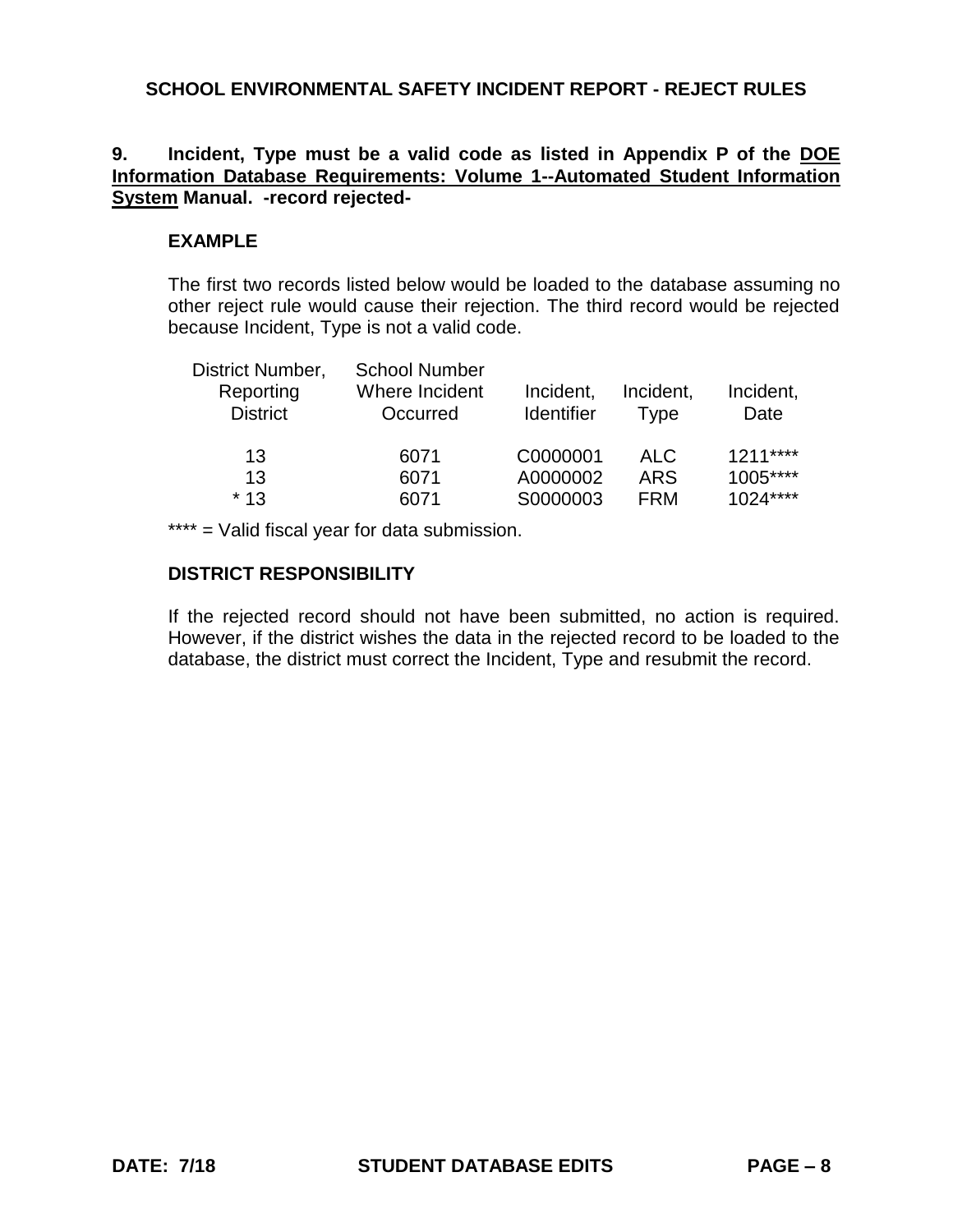## **9. Incident, Type must be a valid code as listed in Appendix P of the DOE Information Database Requirements: Volume 1--Automated Student Information System Manual. -record rejected-**

## **EXAMPLE**

The first two records listed below would be loaded to the database assuming no other reject rule would cause their rejection. The third record would be rejected because Incident, Type is not a valid code.

| District Number,<br>Reporting<br><b>District</b> | <b>School Number</b><br>Where Incident<br>Occurred | Incident,<br><b>Identifier</b> | Incident,<br><b>Type</b> | Incident,<br>Date |
|--------------------------------------------------|----------------------------------------------------|--------------------------------|--------------------------|-------------------|
| 13                                               | 6071                                               | C0000001                       | <b>ALC</b>               | $1211***$         |
| 13                                               | 6071                                               | A0000002                       | <b>ARS</b>               | 1005****          |
| $*13$                                            | 6071                                               | S0000003                       | <b>FRM</b>               | $1024***$         |

\*\*\*\* = Valid fiscal year for data submission.

## **DISTRICT RESPONSIBILITY**

If the rejected record should not have been submitted, no action is required. However, if the district wishes the data in the rejected record to be loaded to the database, the district must correct the Incident, Type and resubmit the record.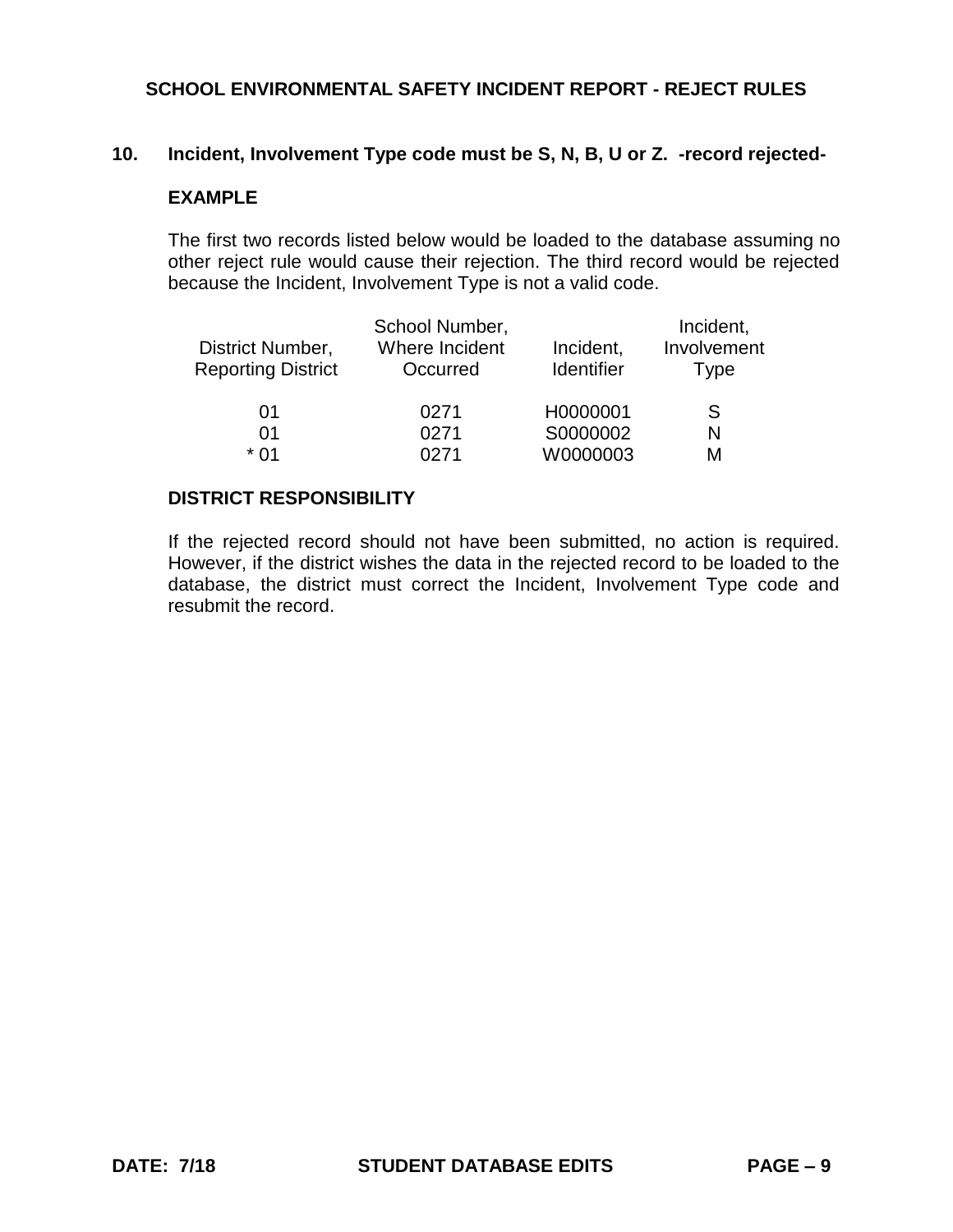### **10. Incident, Involvement Type code must be S, N, B, U or Z. -record rejected-**

### **EXAMPLE**

The first two records listed below would be loaded to the database assuming no other reject rule would cause their rejection. The third record would be rejected because the Incident, Involvement Type is not a valid code.

|                           | School Number, |                   | Incident,   |
|---------------------------|----------------|-------------------|-------------|
| District Number,          | Where Incident | Incident,         | Involvement |
| <b>Reporting District</b> | Occurred       | <b>Identifier</b> | Type        |
|                           |                |                   |             |
| 01                        | 0271           | H0000001          | S           |
| 01                        | 0271           | S0000002          | N           |
| * በ1                      | ∩クフ1           | W0000003          | м           |

#### **DISTRICT RESPONSIBILITY**

If the rejected record should not have been submitted, no action is required. However, if the district wishes the data in the rejected record to be loaded to the database, the district must correct the Incident, Involvement Type code and resubmit the record.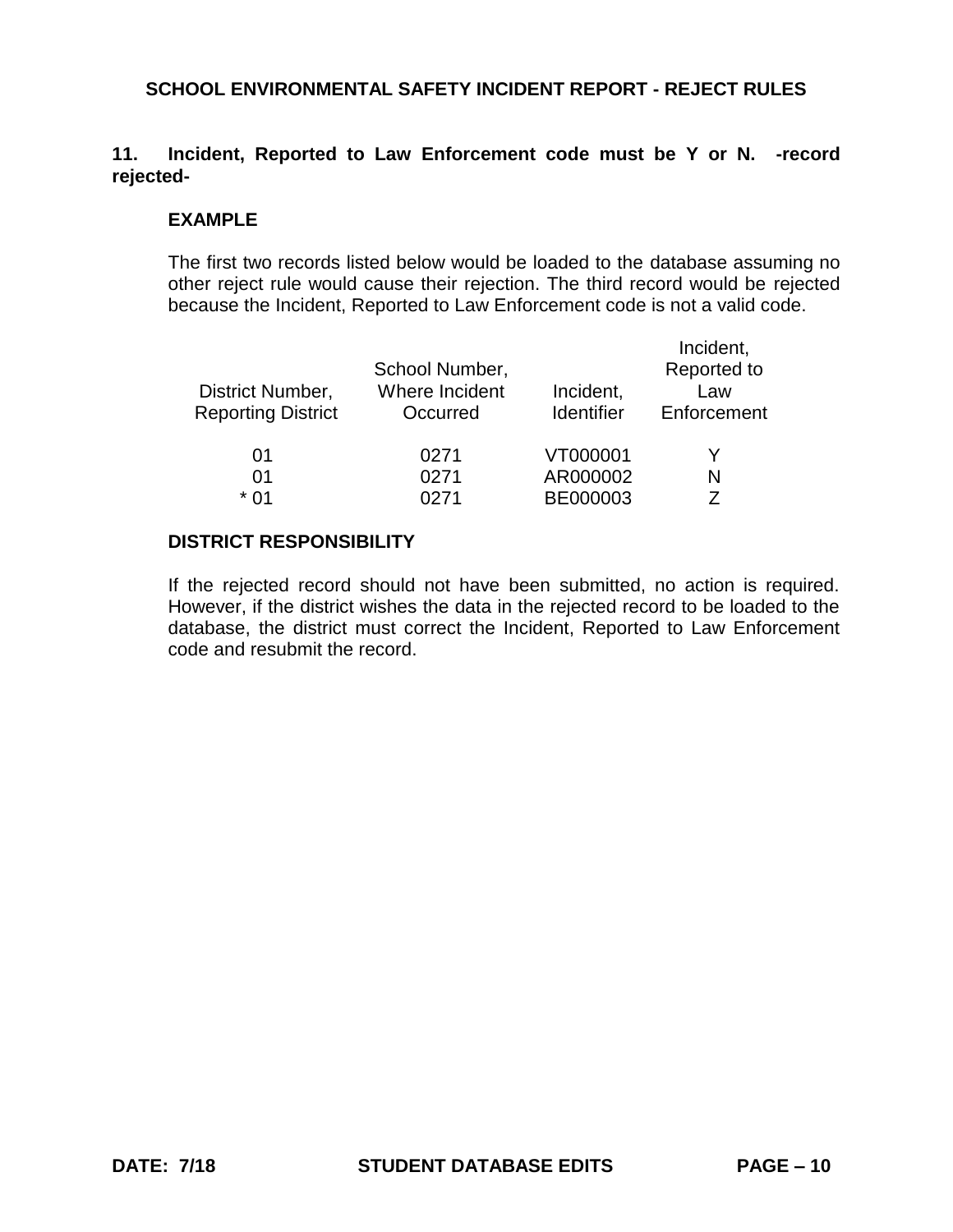# **11. Incident, Reported to Law Enforcement code must be Y or N. -record rejected-**

#### **EXAMPLE**

The first two records listed below would be loaded to the database assuming no other reject rule would cause their rejection. The third record would be rejected because the Incident, Reported to Law Enforcement code is not a valid code.

| District Number,<br><b>Reporting District</b> | School Number,<br>Where Incident<br>Occurred | Incident,<br>Identifier | Incident,<br>Reported to<br>Law<br>Enforcement |
|-----------------------------------------------|----------------------------------------------|-------------------------|------------------------------------------------|
| 01                                            | 0271                                         | VT000001                | Y                                              |
| 01                                            | 0271                                         | AR000002                | N                                              |
| * በ1                                          | በ271                                         | BE000003                | 7                                              |
|                                               |                                              |                         |                                                |

## **DISTRICT RESPONSIBILITY**

If the rejected record should not have been submitted, no action is required. However, if the district wishes the data in the rejected record to be loaded to the database, the district must correct the Incident, Reported to Law Enforcement code and resubmit the record.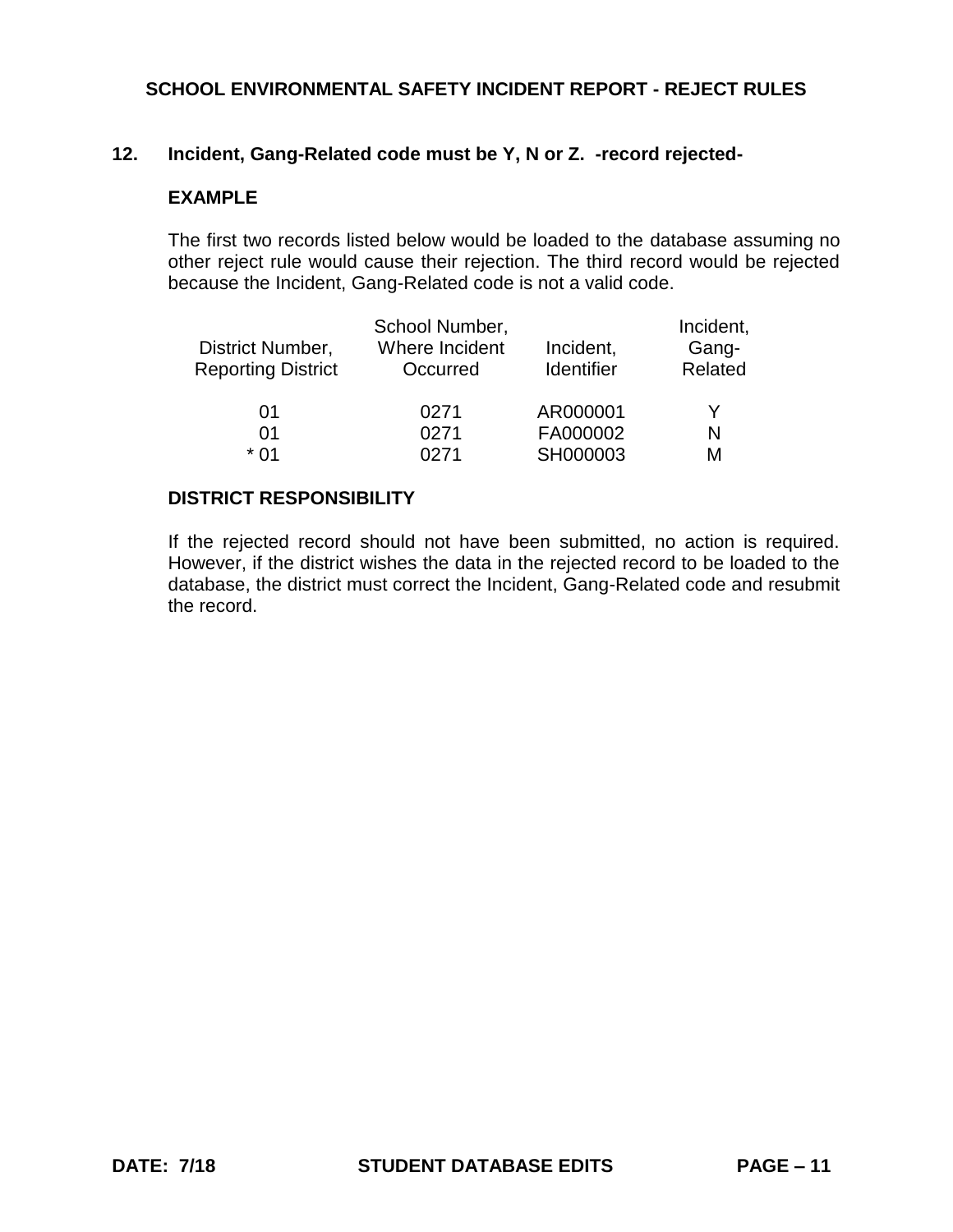## **12. Incident, Gang-Related code must be Y, N or Z. -record rejected-**

## **EXAMPLE**

The first two records listed below would be loaded to the database assuming no other reject rule would cause their rejection. The third record would be rejected because the Incident, Gang-Related code is not a valid code.

| District Number,<br><b>Reporting District</b> | School Number,<br>Where Incident<br>Occurred | Incident,<br>Identifier | Incident,<br>Gang-<br>Related |
|-----------------------------------------------|----------------------------------------------|-------------------------|-------------------------------|
| 01                                            | 0271                                         | AR000001                | Y                             |
| 01                                            | 0271                                         | FA000002                | N                             |
| * በ1                                          | በ271                                         | SH000003                | М                             |

#### **DISTRICT RESPONSIBILITY**

If the rejected record should not have been submitted, no action is required. However, if the district wishes the data in the rejected record to be loaded to the database, the district must correct the Incident, Gang-Related code and resubmit the record.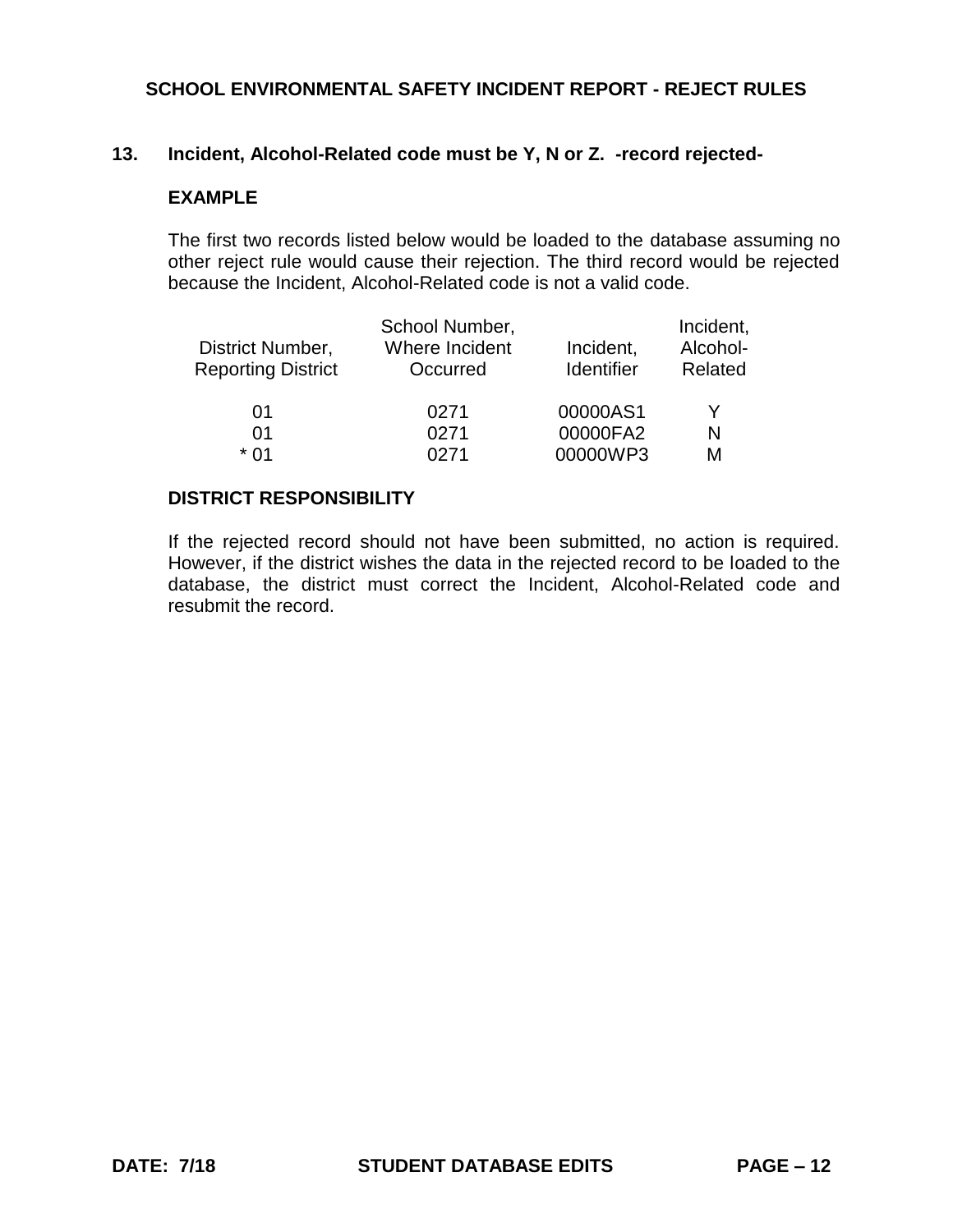### **13. Incident, Alcohol-Related code must be Y, N or Z. -record rejected-**

## **EXAMPLE**

The first two records listed below would be loaded to the database assuming no other reject rule would cause their rejection. The third record would be rejected because the Incident, Alcohol-Related code is not a valid code.

| District Number,          | School Number,<br>Where Incident | Incident,         | Incident,<br>Alcohol- |
|---------------------------|----------------------------------|-------------------|-----------------------|
| <b>Reporting District</b> | Occurred                         | <b>Identifier</b> | Related               |
| 01                        | 0271                             | 00000AS1          | Y                     |
| 01                        | 0271                             | 00000FA2          | N                     |
| * በ1                      | N271                             | 00000WP3          | М                     |

#### **DISTRICT RESPONSIBILITY**

If the rejected record should not have been submitted, no action is required. However, if the district wishes the data in the rejected record to be loaded to the database, the district must correct the Incident, Alcohol-Related code and resubmit the record.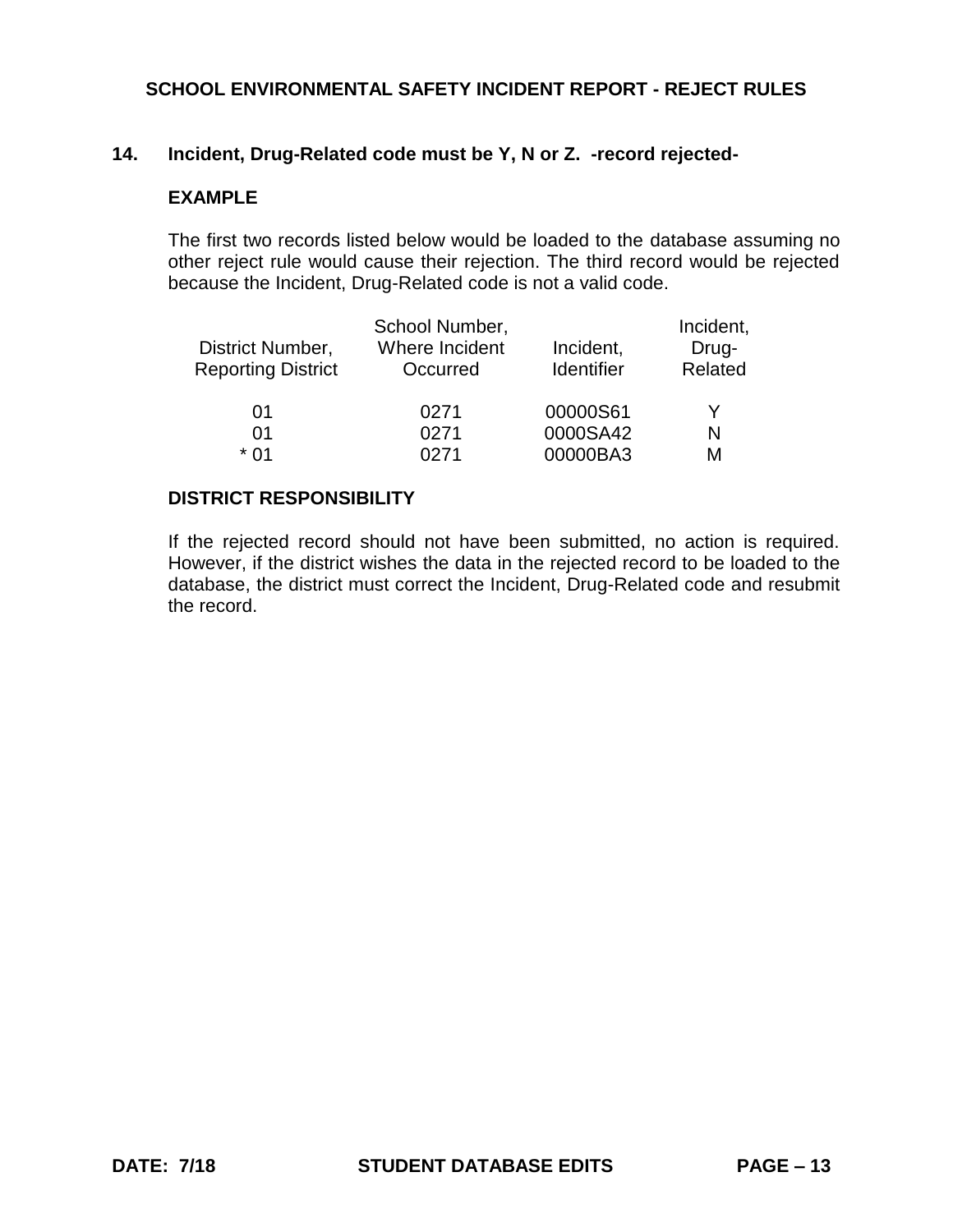## **14. Incident, Drug-Related code must be Y, N or Z. -record rejected-**

## **EXAMPLE**

The first two records listed below would be loaded to the database assuming no other reject rule would cause their rejection. The third record would be rejected because the Incident, Drug-Related code is not a valid code.

| District Number,<br><b>Reporting District</b> | School Number,<br>Where Incident<br>Occurred | Incident,<br><b>Identifier</b> | Incident,<br>Drug-<br>Related |
|-----------------------------------------------|----------------------------------------------|--------------------------------|-------------------------------|
| 01                                            | 0271                                         | 00000S61                       | Y                             |
| 01                                            | 0271                                         | 0000SA42                       | N                             |
| * በ1                                          | 0271                                         | 00000BA3                       | M                             |

### **DISTRICT RESPONSIBILITY**

If the rejected record should not have been submitted, no action is required. However, if the district wishes the data in the rejected record to be loaded to the database, the district must correct the Incident, Drug-Related code and resubmit the record.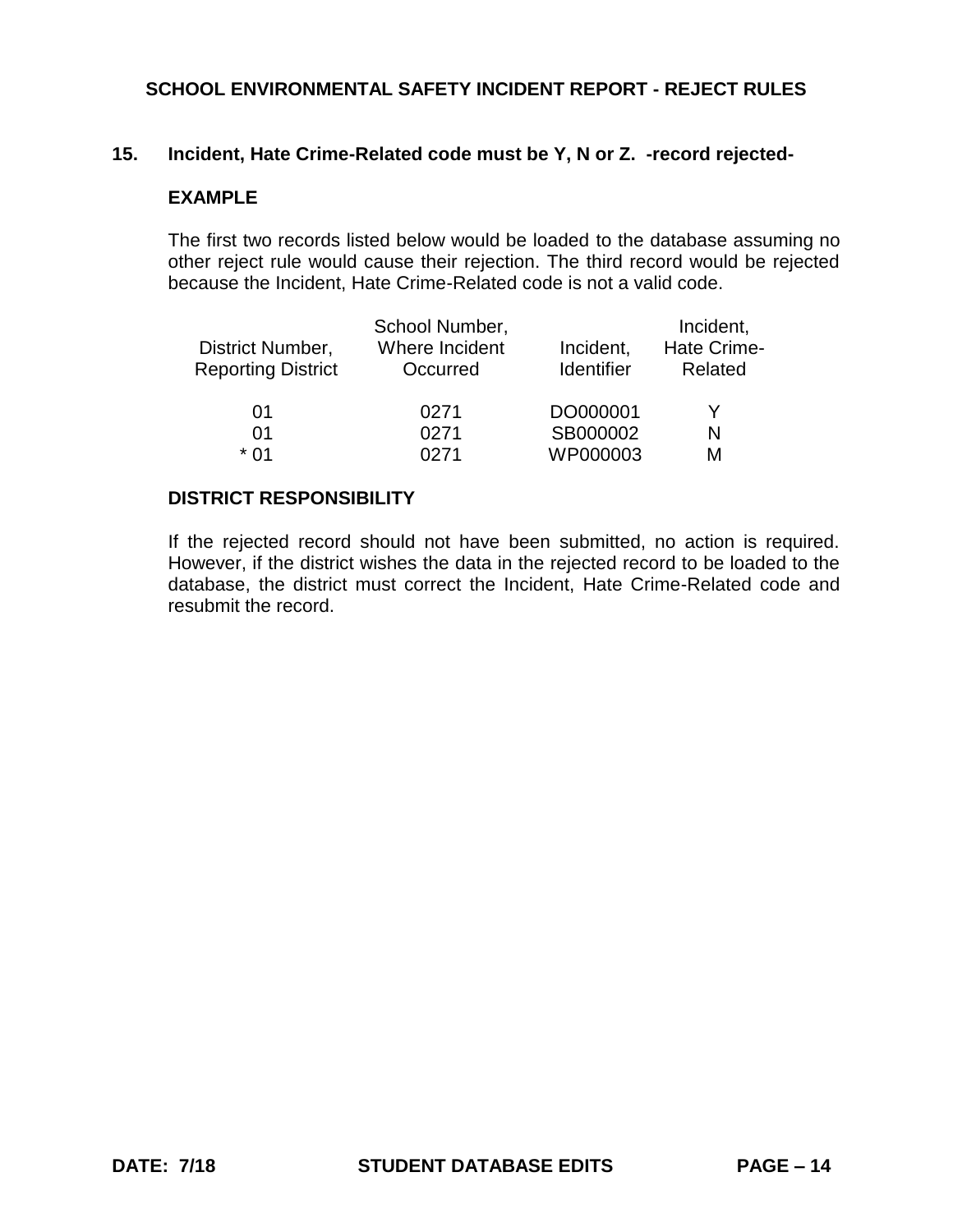### **15. Incident, Hate Crime-Related code must be Y, N or Z. -record rejected-**

## **EXAMPLE**

The first two records listed below would be loaded to the database assuming no other reject rule would cause their rejection. The third record would be rejected because the Incident, Hate Crime-Related code is not a valid code.

| District Number,<br><b>Reporting District</b> | School Number,<br>Where Incident<br>Occurred | Incident,<br><b>Identifier</b> | Incident,<br><b>Hate Crime-</b><br>Related |  |
|-----------------------------------------------|----------------------------------------------|--------------------------------|--------------------------------------------|--|
| 01                                            | 0271                                         | DO000001                       |                                            |  |
| 01                                            | 0271                                         | SB000002                       | N                                          |  |
| * በ1                                          | <b>N271</b>                                  | WP000003                       | М                                          |  |

#### **DISTRICT RESPONSIBILITY**

If the rejected record should not have been submitted, no action is required. However, if the district wishes the data in the rejected record to be loaded to the database, the district must correct the Incident, Hate Crime-Related code and resubmit the record.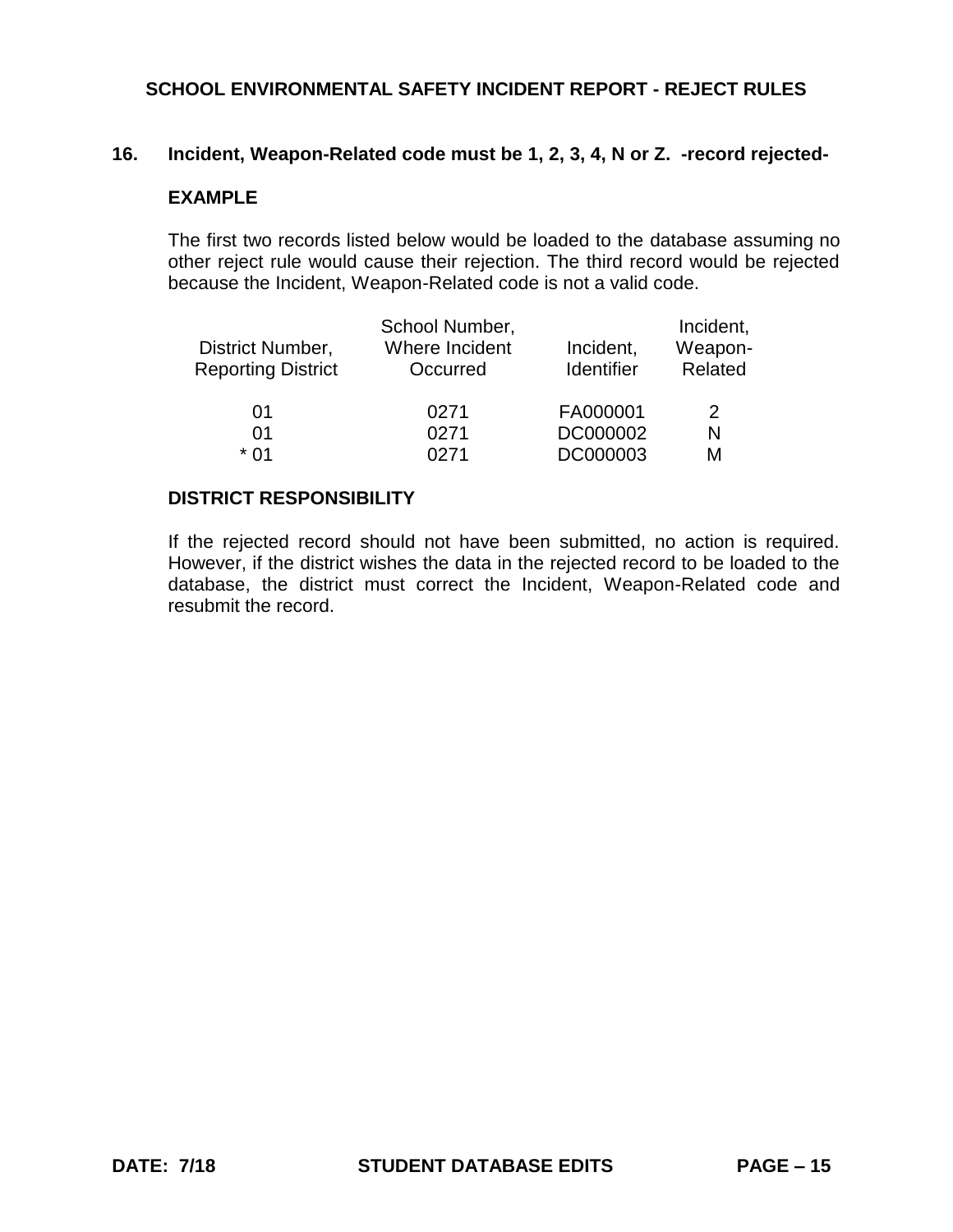#### **16. Incident, Weapon-Related code must be 1, 2, 3, 4, N or Z. -record rejected-**

### **EXAMPLE**

The first two records listed below would be loaded to the database assuming no other reject rule would cause their rejection. The third record would be rejected because the Incident, Weapon-Related code is not a valid code.

|                           | School Number, |            | Incident, |
|---------------------------|----------------|------------|-----------|
| District Number,          | Where Incident | Incident,  | Weapon-   |
| <b>Reporting District</b> | Occurred       | Identifier | Related   |
|                           |                |            |           |
| 01                        | 0271           | FA000001   | 2         |
| 01                        | 0271           | DC000002   | N         |
| * በ1                      | N271           | DC000003   | М         |

#### **DISTRICT RESPONSIBILITY**

If the rejected record should not have been submitted, no action is required. However, if the district wishes the data in the rejected record to be loaded to the database, the district must correct the Incident, Weapon-Related code and resubmit the record.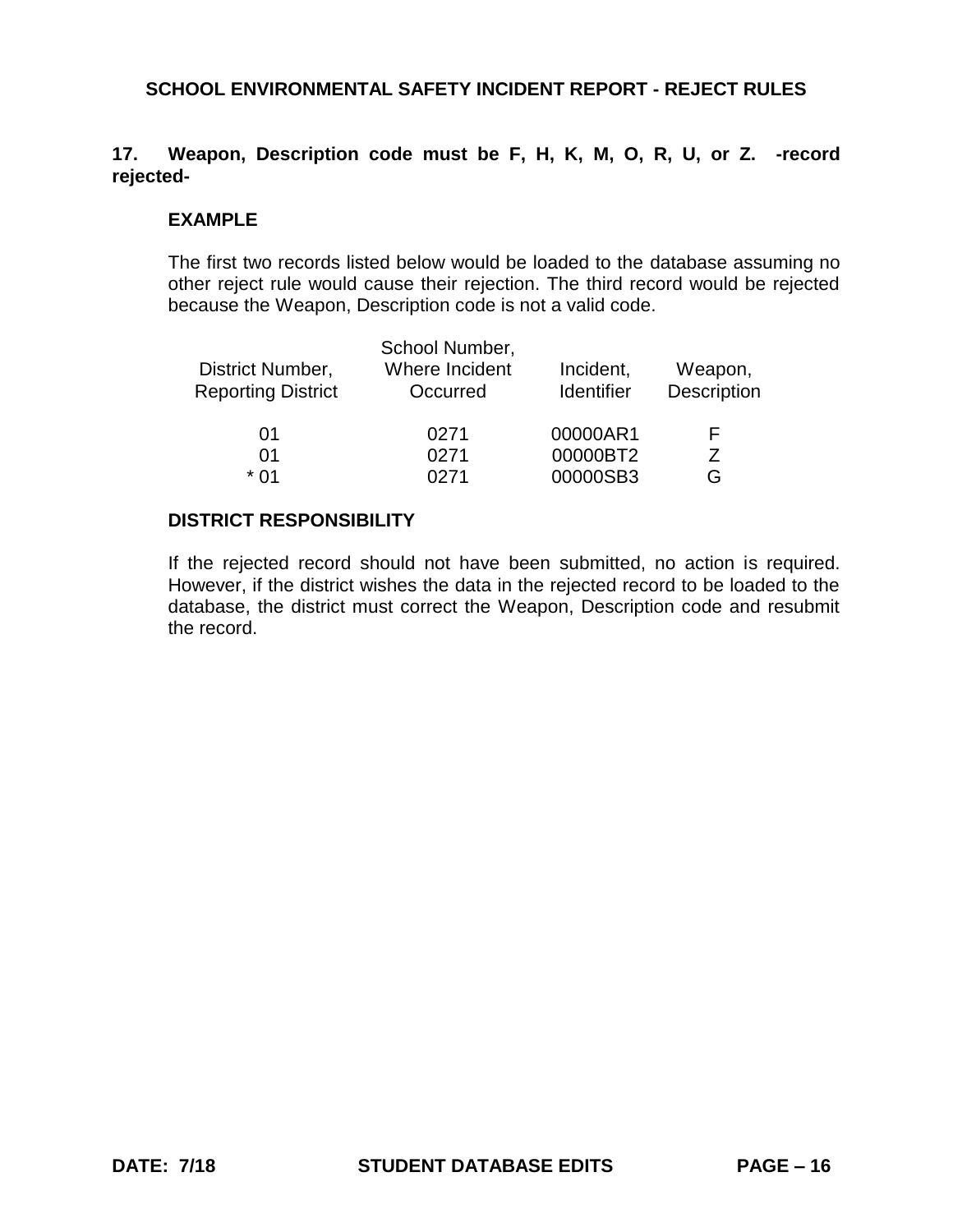# **17. Weapon, Description code must be F, H, K, M, O, R, U, or Z. -record rejected-**

### **EXAMPLE**

The first two records listed below would be loaded to the database assuming no other reject rule would cause their rejection. The third record would be rejected because the Weapon, Description code is not a valid code.

| District Number,<br><b>Reporting District</b> | School Number,<br>Where Incident<br>Occurred | Incident,<br>Identifier | Weapon,<br>Description |  |
|-----------------------------------------------|----------------------------------------------|-------------------------|------------------------|--|
| 01                                            | 0271                                         | 00000AR1                | н.                     |  |
| 01                                            | 0271                                         | 00000BT2                |                        |  |
| * በ1                                          | 0271                                         | 00000SB3                | G                      |  |

### **DISTRICT RESPONSIBILITY**

If the rejected record should not have been submitted, no action is required. However, if the district wishes the data in the rejected record to be loaded to the database, the district must correct the Weapon, Description code and resubmit the record.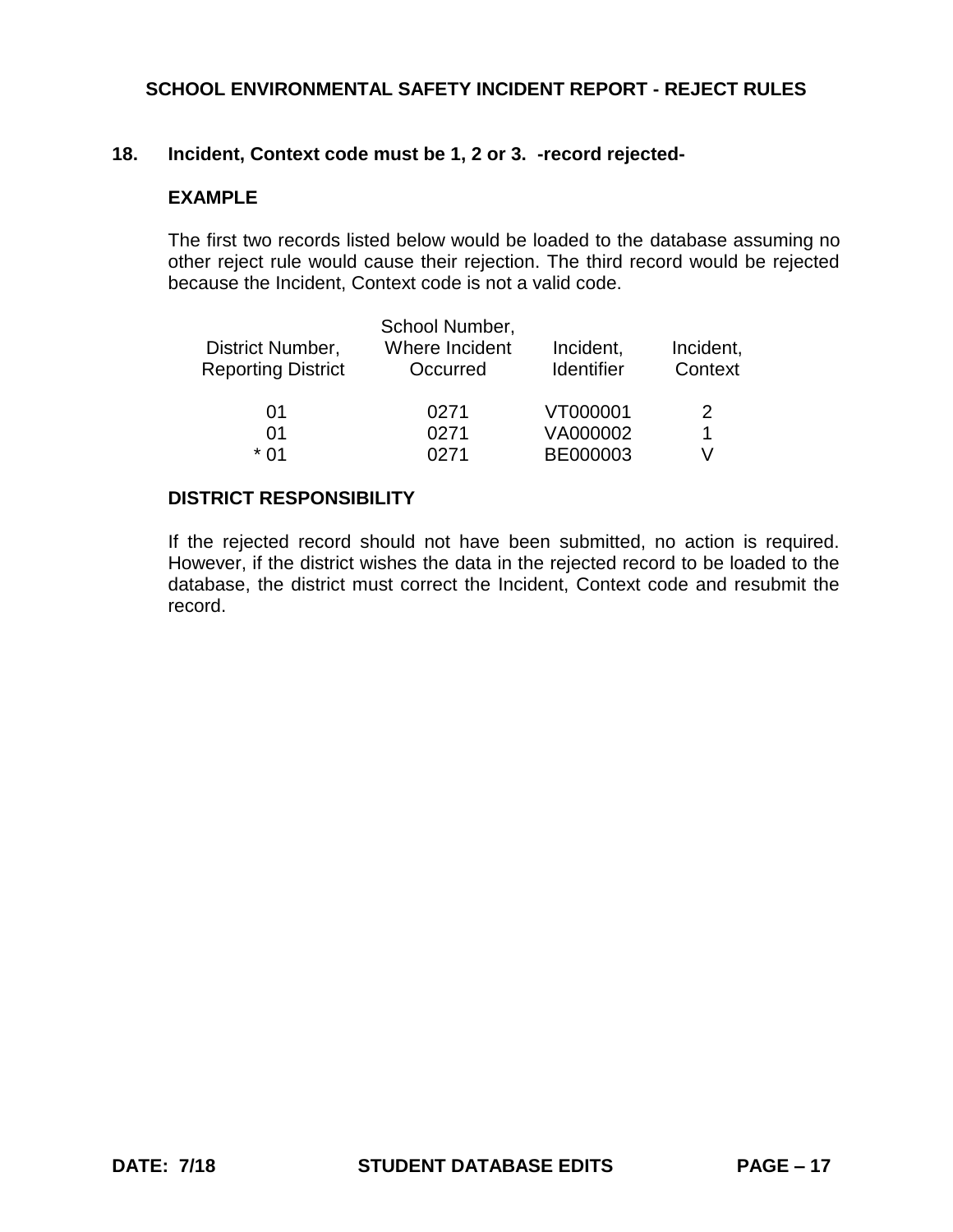# **18. Incident, Context code must be 1, 2 or 3. -record rejected-**

## **EXAMPLE**

The first two records listed below would be loaded to the database assuming no other reject rule would cause their rejection. The third record would be rejected because the Incident, Context code is not a valid code.

|                           | School Number, |                   |           |
|---------------------------|----------------|-------------------|-----------|
| District Number,          | Where Incident | Incident,         | Incident, |
| <b>Reporting District</b> | Occurred       | <b>Identifier</b> | Context   |
|                           |                |                   |           |
| 01                        | 0271           | VT000001          | 2         |
| 01                        | 0271           | VA000002          | 1         |
| * በ1                      | በ271           | BE000003          |           |

### **DISTRICT RESPONSIBILITY**

If the rejected record should not have been submitted, no action is required. However, if the district wishes the data in the rejected record to be loaded to the database, the district must correct the Incident, Context code and resubmit the record.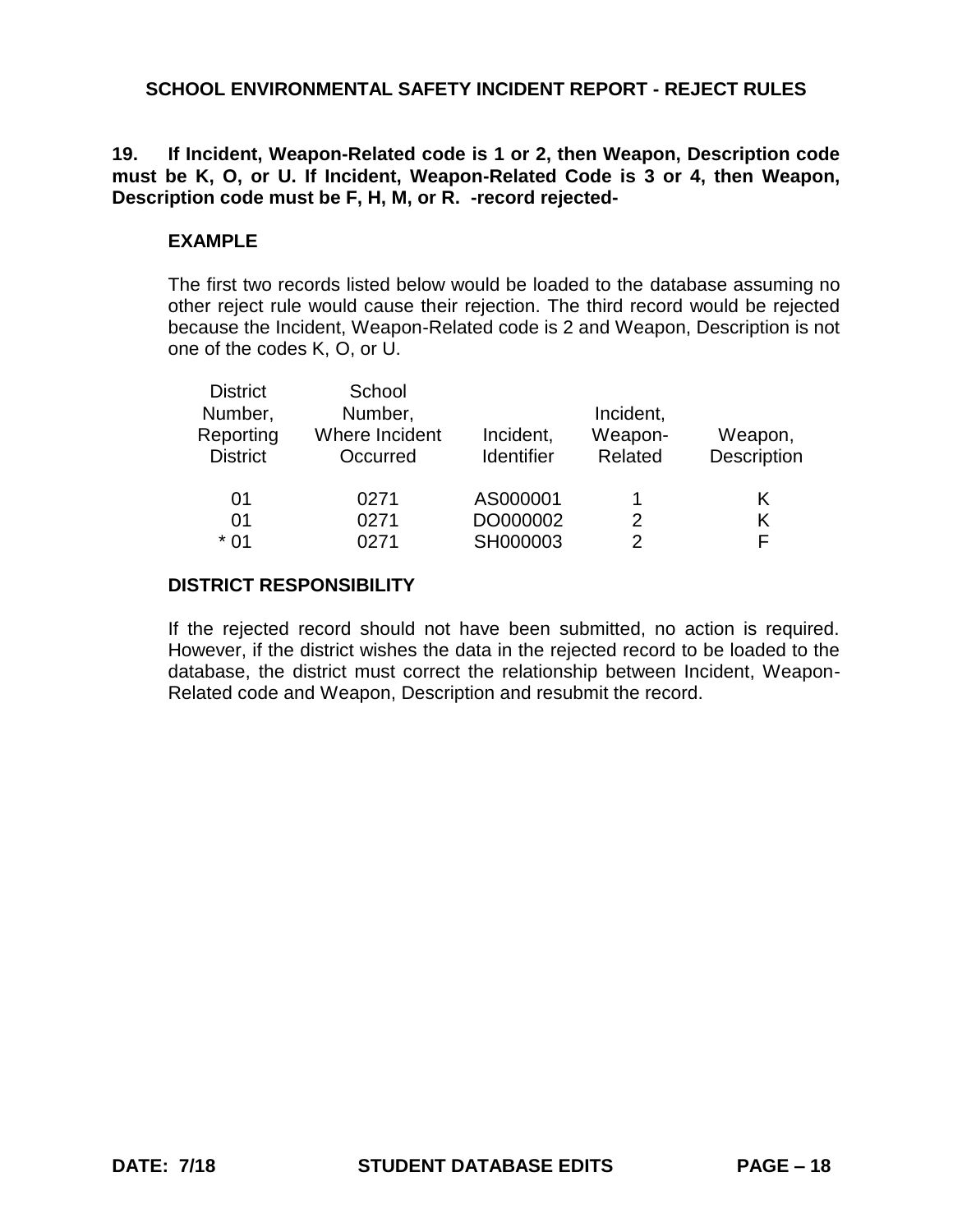**19. If Incident, Weapon-Related code is 1 or 2, then Weapon, Description code must be K, O, or U. If Incident, Weapon-Related Code is 3 or 4, then Weapon, Description code must be F, H, M, or R. -record rejected-**

## **EXAMPLE**

The first two records listed below would be loaded to the database assuming no other reject rule would cause their rejection. The third record would be rejected because the Incident, Weapon-Related code is 2 and Weapon, Description is not one of the codes K, O, or U.

| <b>District</b><br>Number,<br>Reporting<br><b>District</b> | School<br>Number,<br>Where Incident<br>Occurred | Incident,<br><b>Identifier</b> | Incident,<br>Weapon-<br>Related | Weapon,<br>Description |
|------------------------------------------------------------|-------------------------------------------------|--------------------------------|---------------------------------|------------------------|
| 01                                                         | 0271                                            | AS000001                       |                                 | K                      |
| 01                                                         | 0271                                            | DO000002                       | 2                               | K                      |
| $*01$                                                      | 0271                                            | SH000003                       | 2                               | F                      |

### **DISTRICT RESPONSIBILITY**

If the rejected record should not have been submitted, no action is required. However, if the district wishes the data in the rejected record to be loaded to the database, the district must correct the relationship between Incident, Weapon-Related code and Weapon, Description and resubmit the record.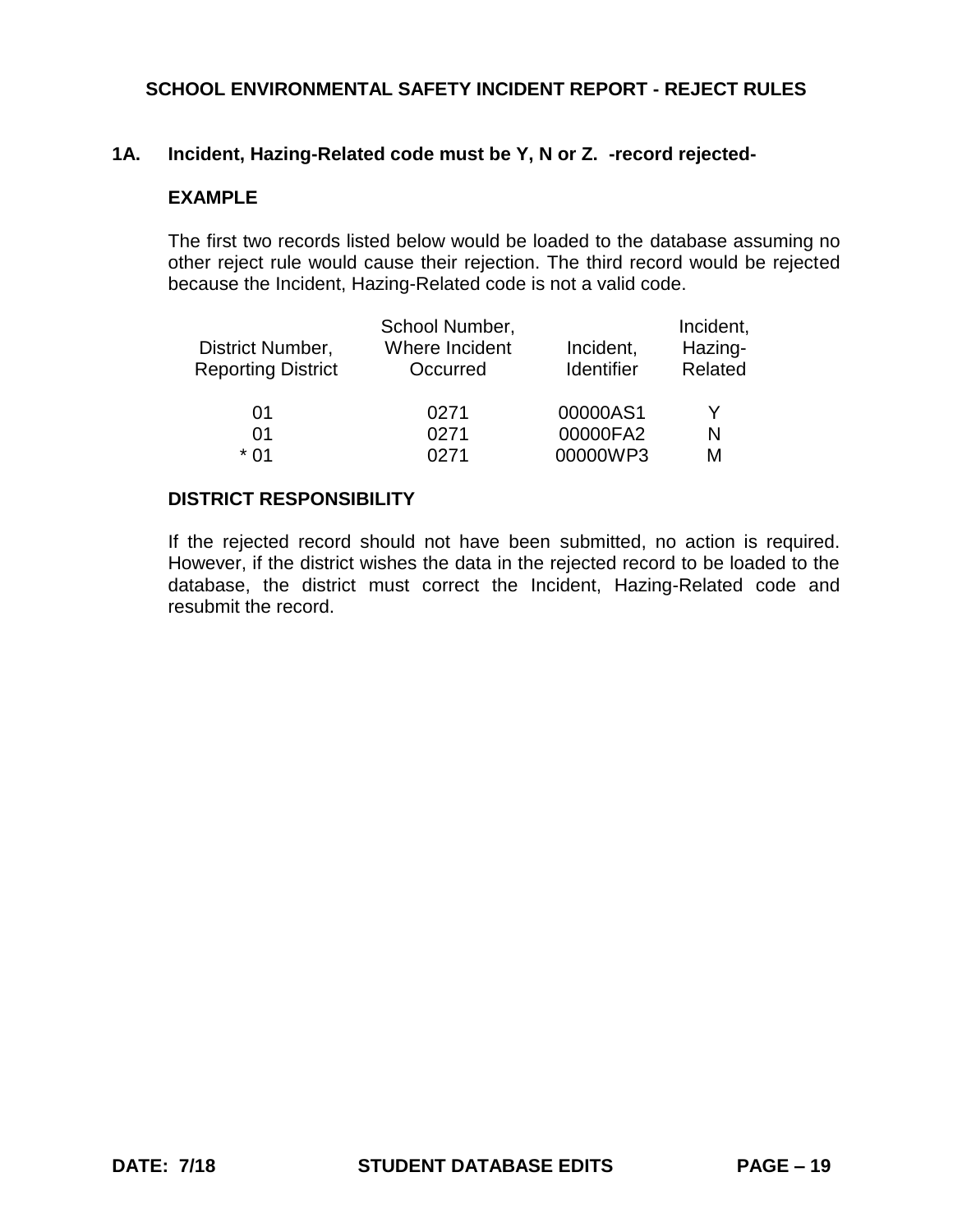# **1A. Incident, Hazing-Related code must be Y, N or Z. -record rejected-**

### **EXAMPLE**

The first two records listed below would be loaded to the database assuming no other reject rule would cause their rejection. The third record would be rejected because the Incident, Hazing-Related code is not a valid code.

|                           | School Number, |            | Incident, |
|---------------------------|----------------|------------|-----------|
| District Number,          | Where Incident | Incident,  | Hazing-   |
| <b>Reporting District</b> | Occurred       | Identifier | Related   |
|                           |                |            |           |
| 01                        | 0271           | 00000AS1   | Y         |
| 01                        | 0271           | 00000FA2   | N         |
| * በ1                      | በ271           | 00000WP3   | М         |

#### **DISTRICT RESPONSIBILITY**

If the rejected record should not have been submitted, no action is required. However, if the district wishes the data in the rejected record to be loaded to the database, the district must correct the Incident, Hazing-Related code and resubmit the record.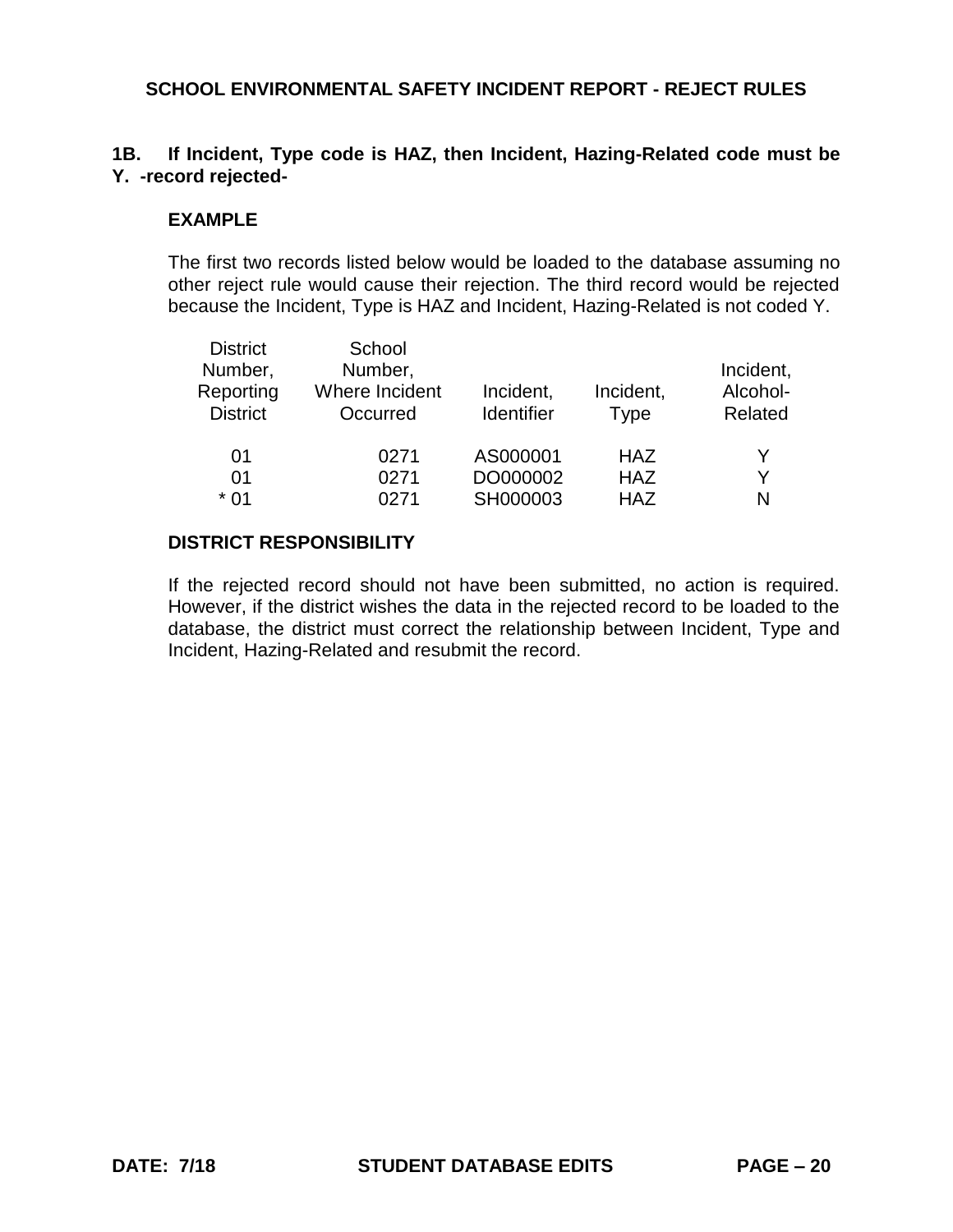## **1B. If Incident, Type code is HAZ, then Incident, Hazing-Related code must be Y. -record rejected-**

## **EXAMPLE**

The first two records listed below would be loaded to the database assuming no other reject rule would cause their rejection. The third record would be rejected because the Incident, Type is HAZ and Incident, Hazing-Related is not coded Y.

| <b>District</b><br>Number,<br>Reporting<br><b>District</b> | School<br>Number,<br>Where Incident<br>Occurred | Incident,<br><b>Identifier</b> | Incident,<br><b>Type</b> | Incident,<br>Alcohol-<br>Related |
|------------------------------------------------------------|-------------------------------------------------|--------------------------------|--------------------------|----------------------------------|
| 01                                                         | 0271                                            | AS000001                       | <b>HAZ</b>               |                                  |
| 01                                                         | 0271                                            | DO000002                       | <b>HAZ</b>               | Y                                |
| $*01$                                                      | 0271                                            | SH000003                       | <b>HAZ</b>               | N                                |
|                                                            |                                                 |                                |                          |                                  |

## **DISTRICT RESPONSIBILITY**

If the rejected record should not have been submitted, no action is required. However, if the district wishes the data in the rejected record to be loaded to the database, the district must correct the relationship between Incident, Type and Incident, Hazing-Related and resubmit the record.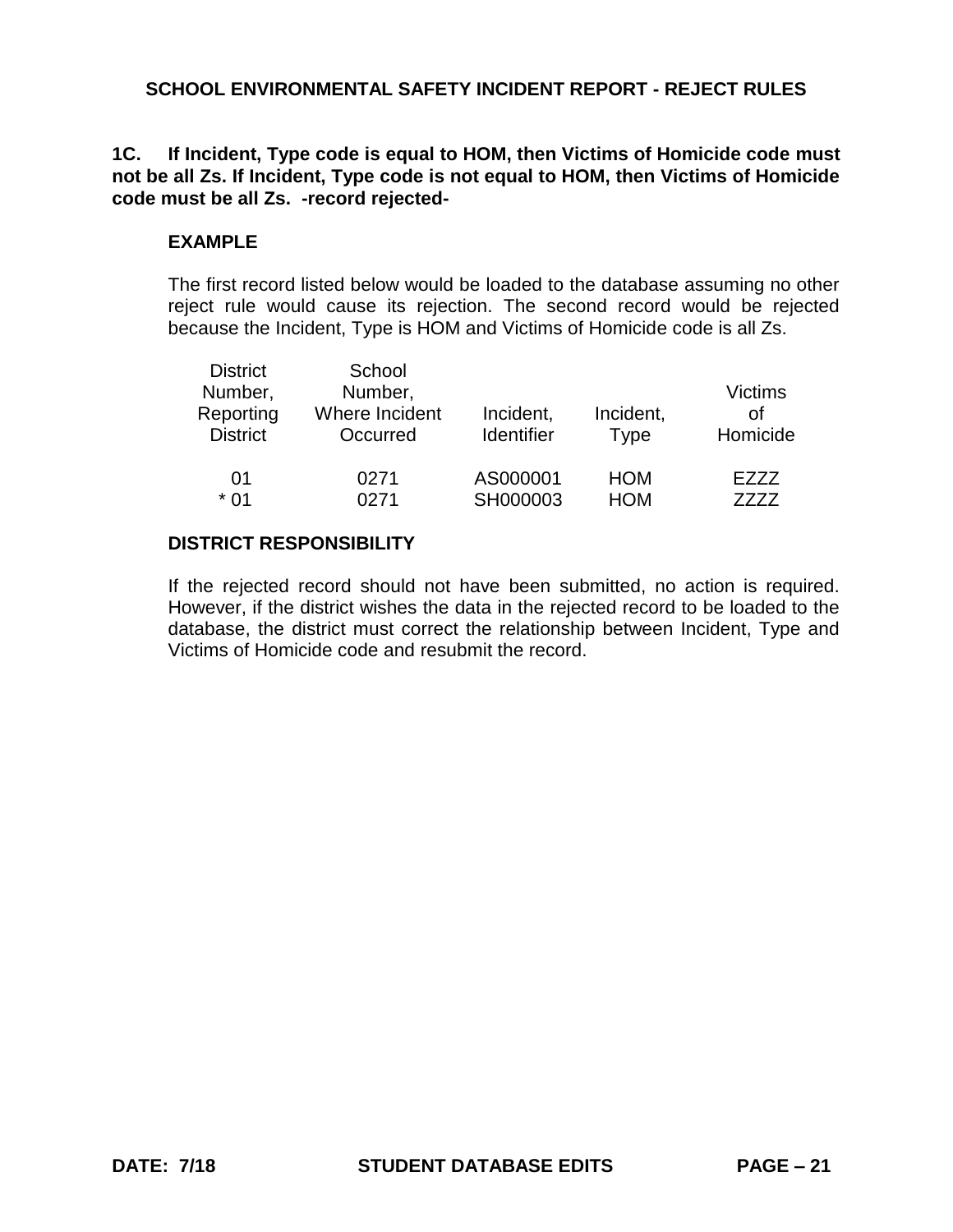## **1C. If Incident, Type code is equal to HOM, then Victims of Homicide code must not be all Zs. If Incident, Type code is not equal to HOM, then Victims of Homicide code must be all Zs. -record rejected-**

## **EXAMPLE**

The first record listed below would be loaded to the database assuming no other reject rule would cause its rejection. The second record would be rejected because the Incident, Type is HOM and Victims of Homicide code is all Zs.

| <b>District</b><br>Number,<br>Reporting<br><b>District</b> | School<br>Number,<br>Where Incident<br>Occurred | Incident,<br><b>Identifier</b> | Incident,<br>Type | Victims<br>Ωf<br>Homicide |
|------------------------------------------------------------|-------------------------------------------------|--------------------------------|-------------------|---------------------------|
| 01                                                         | 0271                                            | AS000001                       | <b>HOM</b>        | F777                      |
| * 01                                                       | 0271                                            | SH000003                       | <b>HOM</b>        | 7777                      |

# **DISTRICT RESPONSIBILITY**

If the rejected record should not have been submitted, no action is required. However, if the district wishes the data in the rejected record to be loaded to the database, the district must correct the relationship between Incident, Type and Victims of Homicide code and resubmit the record.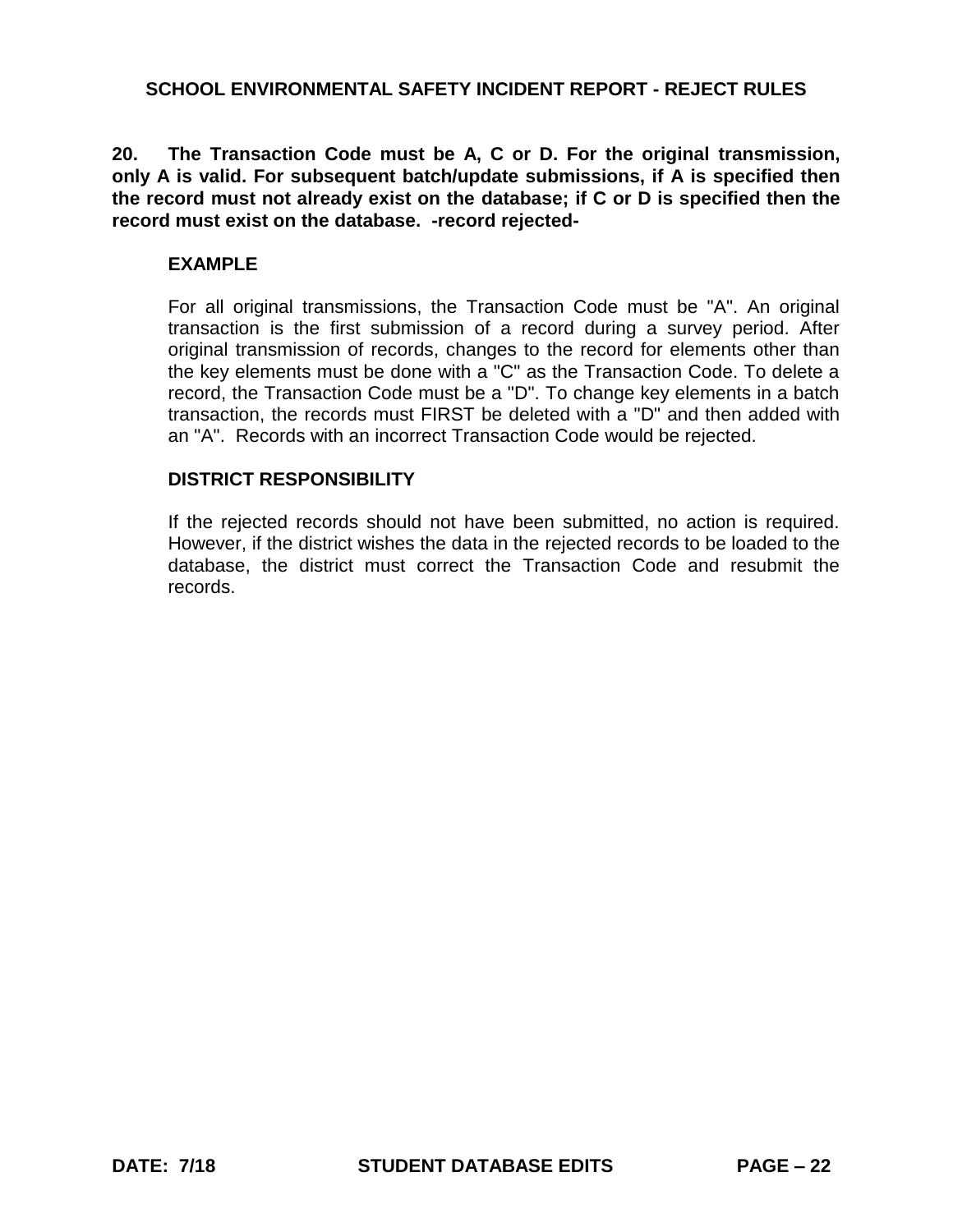**20. The Transaction Code must be A, C or D. For the original transmission, only A is valid. For subsequent batch/update submissions, if A is specified then the record must not already exist on the database; if C or D is specified then the record must exist on the database. -record rejected-**

## **EXAMPLE**

For all original transmissions, the Transaction Code must be "A". An original transaction is the first submission of a record during a survey period. After original transmission of records, changes to the record for elements other than the key elements must be done with a "C" as the Transaction Code. To delete a record, the Transaction Code must be a "D". To change key elements in a batch transaction, the records must FIRST be deleted with a "D" and then added with an "A". Records with an incorrect Transaction Code would be rejected.

## **DISTRICT RESPONSIBILITY**

If the rejected records should not have been submitted, no action is required. However, if the district wishes the data in the rejected records to be loaded to the database, the district must correct the Transaction Code and resubmit the records.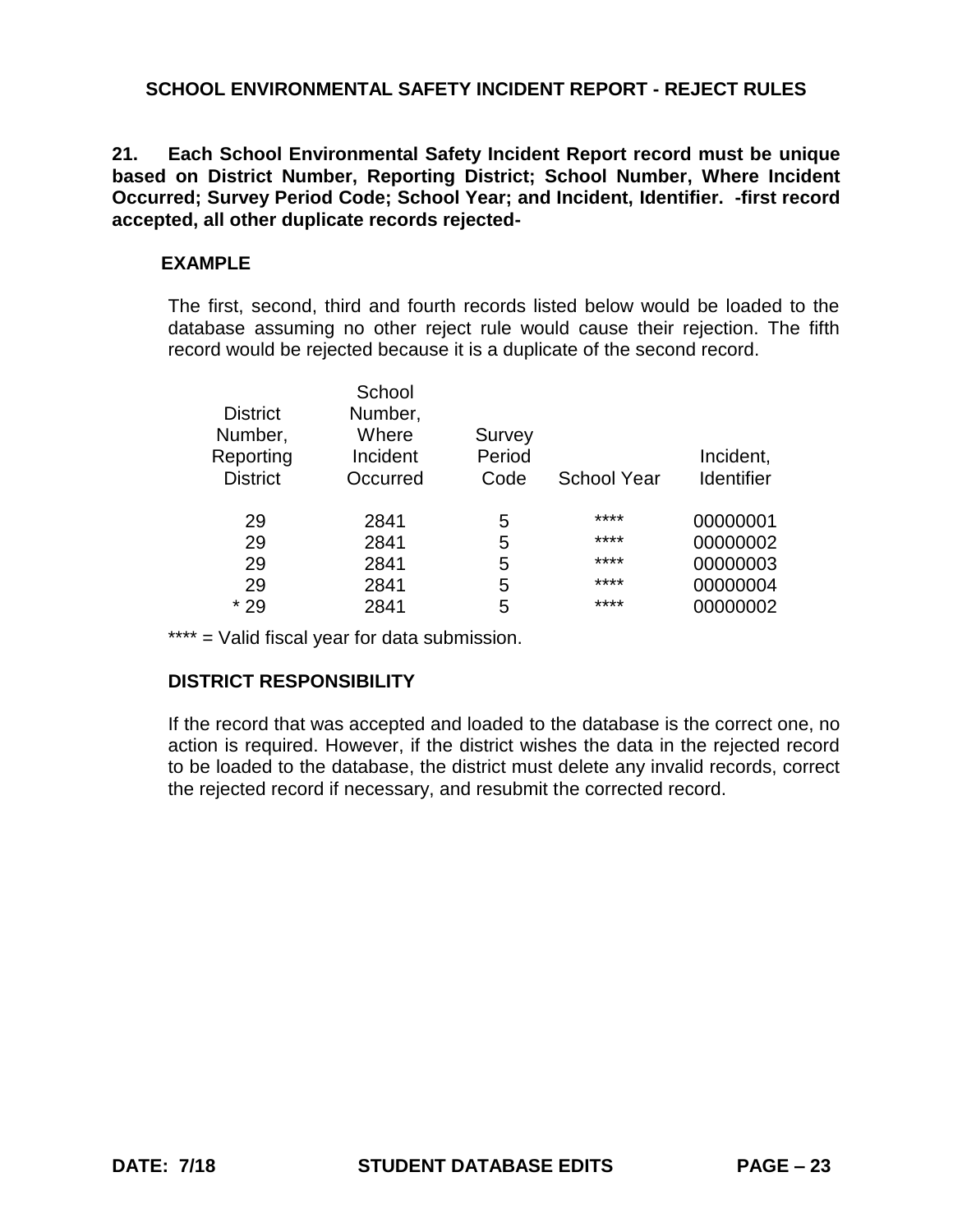**21. Each School Environmental Safety Incident Report record must be unique based on District Number, Reporting District; School Number, Where Incident Occurred; Survey Period Code; School Year; and Incident, Identifier. -first record accepted, all other duplicate records rejected-**

# **EXAMPLE**

The first, second, third and fourth records listed below would be loaded to the database assuming no other reject rule would cause their rejection. The fifth record would be rejected because it is a duplicate of the second record.

| <b>District</b><br>Number, | School<br>Number,<br>Where | Survey |                    |                   |
|----------------------------|----------------------------|--------|--------------------|-------------------|
| Reporting                  | Incident                   | Period |                    | Incident,         |
| <b>District</b>            | Occurred                   | Code   | <b>School Year</b> | <b>Identifier</b> |
| 29                         | 2841                       | 5      | ****               | 00000001          |
| 29                         | 2841                       | 5      | ****               | 00000002          |
| 29                         | 2841                       | 5      | ****               | 00000003          |
| 29                         | 2841                       | 5      | ****               | 00000004          |
| $*29$                      | 2841                       | 5      | ****               | 00000002          |
|                            |                            |        |                    |                   |

\*\*\*\* = Valid fiscal year for data submission.

## **DISTRICT RESPONSIBILITY**

If the record that was accepted and loaded to the database is the correct one, no action is required. However, if the district wishes the data in the rejected record to be loaded to the database, the district must delete any invalid records, correct the rejected record if necessary, and resubmit the corrected record.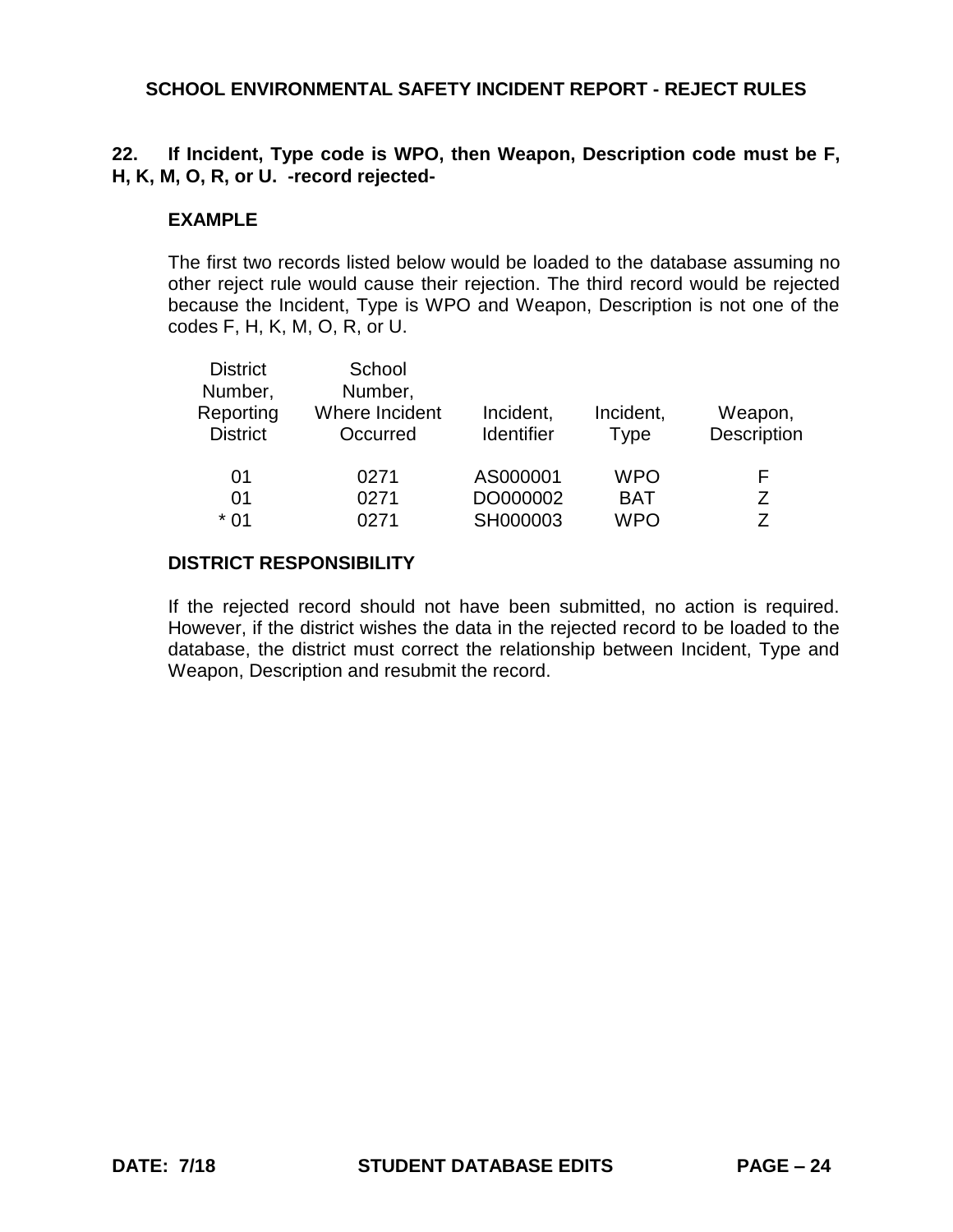# **22. If Incident, Type code is WPO, then Weapon, Description code must be F, H, K, M, O, R, or U. -record rejected-**

## **EXAMPLE**

The first two records listed below would be loaded to the database assuming no other reject rule would cause their rejection. The third record would be rejected because the Incident, Type is WPO and Weapon, Description is not one of the codes F, H, K, M, O, R, or U.

| <b>District</b><br>Number,<br>Reporting<br><b>District</b> | School<br>Number,<br>Where Incident<br>Occurred | Incident,<br><b>Identifier</b> | Incident,<br><b>Type</b> | Weapon,<br>Description |
|------------------------------------------------------------|-------------------------------------------------|--------------------------------|--------------------------|------------------------|
| 01                                                         | 0271                                            | AS000001                       | <b>WPO</b>               | F                      |
| 0 <sub>1</sub>                                             | 0271                                            | DO000002                       | <b>BAT</b>               | Ζ                      |
| $*01$                                                      | 0271                                            | SH000003                       | <b>WPO</b>               | 7                      |

## **DISTRICT RESPONSIBILITY**

If the rejected record should not have been submitted, no action is required. However, if the district wishes the data in the rejected record to be loaded to the database, the district must correct the relationship between Incident, Type and Weapon, Description and resubmit the record.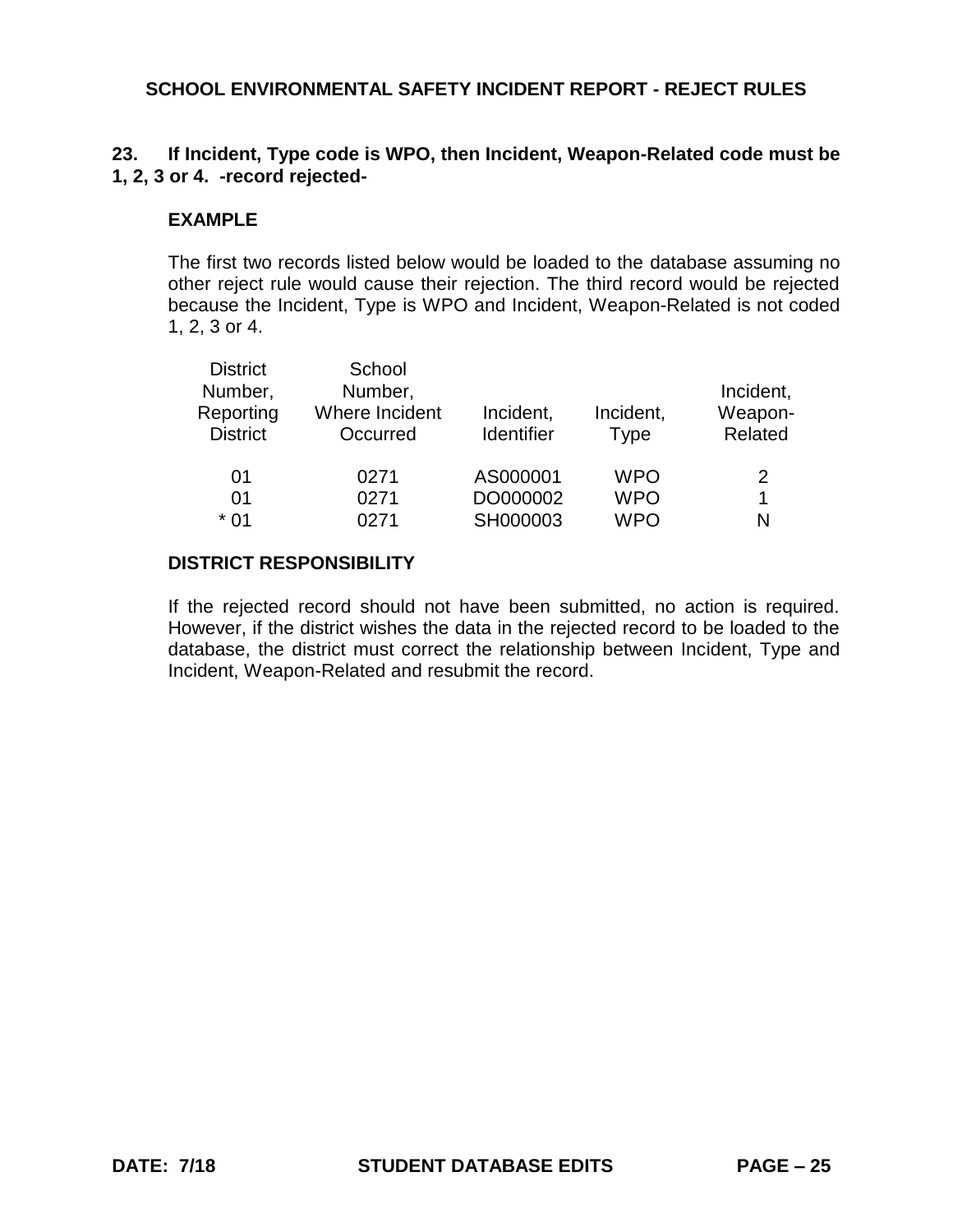# **23. If Incident, Type code is WPO, then Incident, Weapon-Related code must be 1, 2, 3 or 4. -record rejected-**

## **EXAMPLE**

The first two records listed below would be loaded to the database assuming no other reject rule would cause their rejection. The third record would be rejected because the Incident, Type is WPO and Incident, Weapon-Related is not coded 1, 2, 3 or 4.

| <b>District</b> | School         |                   |             |           |
|-----------------|----------------|-------------------|-------------|-----------|
| Number,         | Number,        |                   |             | Incident, |
| Reporting       | Where Incident | Incident,         | Incident,   | Weapon-   |
| <b>District</b> | Occurred       | <b>Identifier</b> | <b>Type</b> | Related   |
| 01              | 0271           | AS000001          | <b>WPO</b>  | 2         |
| 01              | 0271           | DO000002          | <b>WPO</b>  |           |
| $*01$           | 0271           | SH000003          | <b>WPO</b>  | N         |

## **DISTRICT RESPONSIBILITY**

If the rejected record should not have been submitted, no action is required. However, if the district wishes the data in the rejected record to be loaded to the database, the district must correct the relationship between Incident, Type and Incident, Weapon-Related and resubmit the record.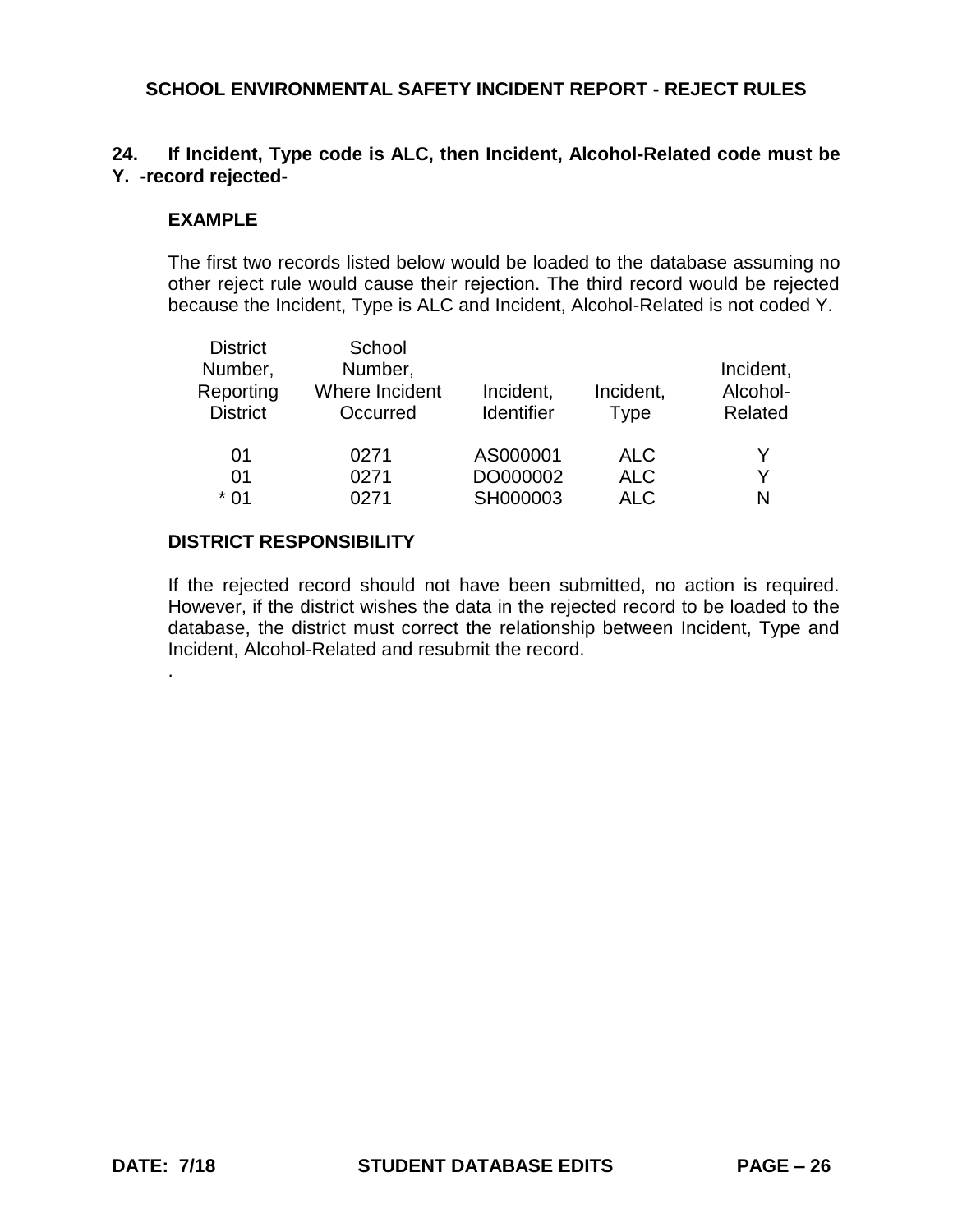## **24. If Incident, Type code is ALC, then Incident, Alcohol-Related code must be Y. -record rejected-**

### **EXAMPLE**

The first two records listed below would be loaded to the database assuming no other reject rule would cause their rejection. The third record would be rejected because the Incident, Type is ALC and Incident, Alcohol-Related is not coded Y.

| <b>District</b> | School         |                   |             |           |
|-----------------|----------------|-------------------|-------------|-----------|
| Number,         | Number,        |                   |             | Incident, |
| Reporting       | Where Incident | Incident,         | Incident,   | Alcohol-  |
| <b>District</b> | Occurred       | <b>Identifier</b> | <b>Type</b> | Related   |
| 01              | 0271           | AS000001          | <b>ALC</b>  |           |
| 01              | 0271           | DO000002          | <b>ALC</b>  | Y         |
| $*01$           | 0271           | SH000003          | <b>ALC</b>  | N         |
|                 |                |                   |             |           |

### **DISTRICT RESPONSIBILITY**

If the rejected record should not have been submitted, no action is required. However, if the district wishes the data in the rejected record to be loaded to the database, the district must correct the relationship between Incident, Type and Incident, Alcohol-Related and resubmit the record.

.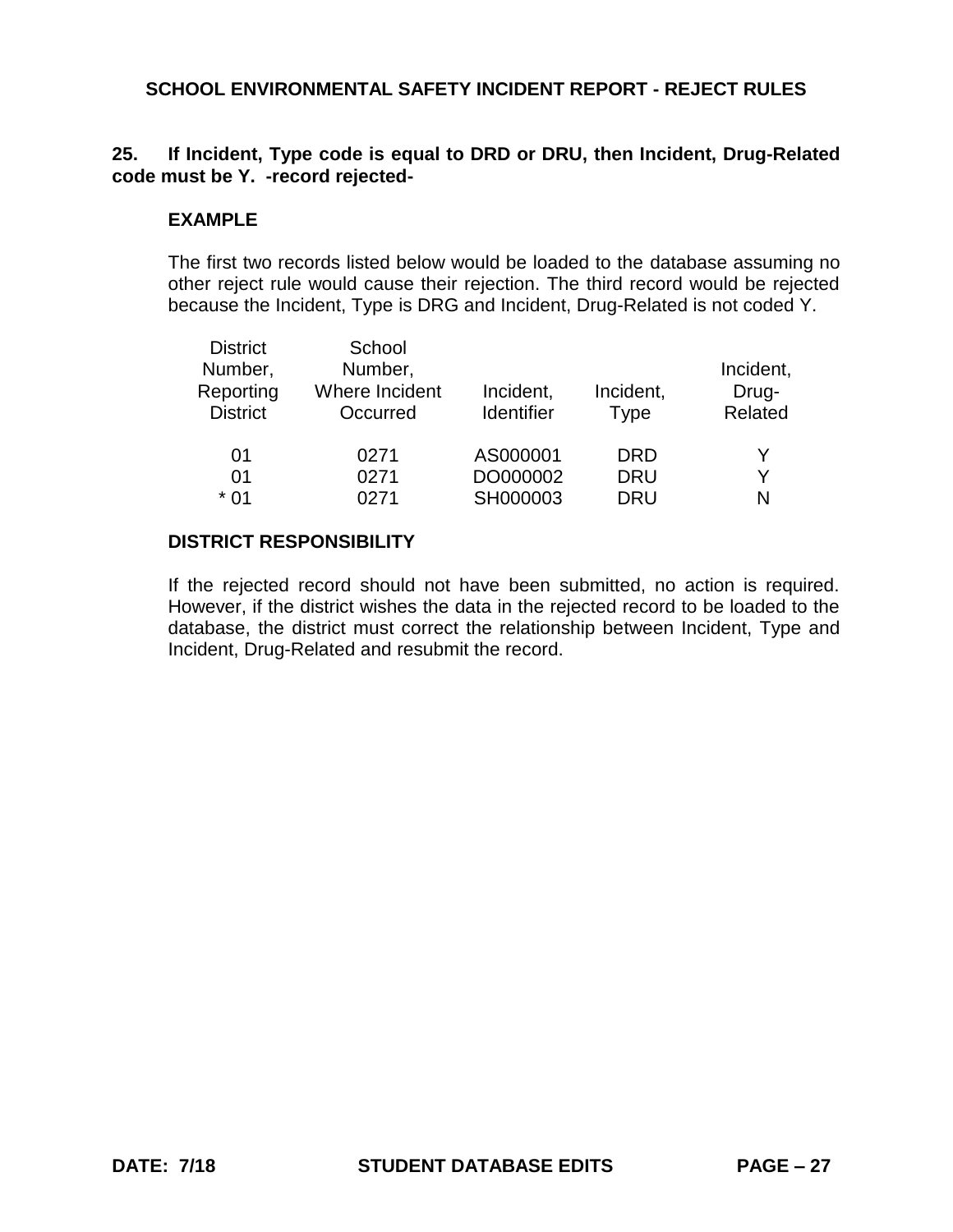# **25. If Incident, Type code is equal to DRD or DRU, then Incident, Drug-Related code must be Y. -record rejected-**

### **EXAMPLE**

The first two records listed below would be loaded to the database assuming no other reject rule would cause their rejection. The third record would be rejected because the Incident, Type is DRG and Incident, Drug-Related is not coded Y.

| <b>District</b><br>Number,<br>Reporting<br><b>District</b> | School<br>Number,<br>Where Incident<br>Occurred | Incident,<br><b>Identifier</b> | Incident,<br><b>Type</b> | Incident,<br>Drug-<br>Related |
|------------------------------------------------------------|-------------------------------------------------|--------------------------------|--------------------------|-------------------------------|
| 01                                                         | 0271                                            | AS000001                       | DRD                      | v                             |
| 01                                                         | 0271                                            | DO000002                       | <b>DRU</b>               | Y                             |
| $*01$                                                      | 0271                                            | SH000003                       | <b>DRU</b>               | N                             |

## **DISTRICT RESPONSIBILITY**

If the rejected record should not have been submitted, no action is required. However, if the district wishes the data in the rejected record to be loaded to the database, the district must correct the relationship between Incident, Type and Incident, Drug-Related and resubmit the record.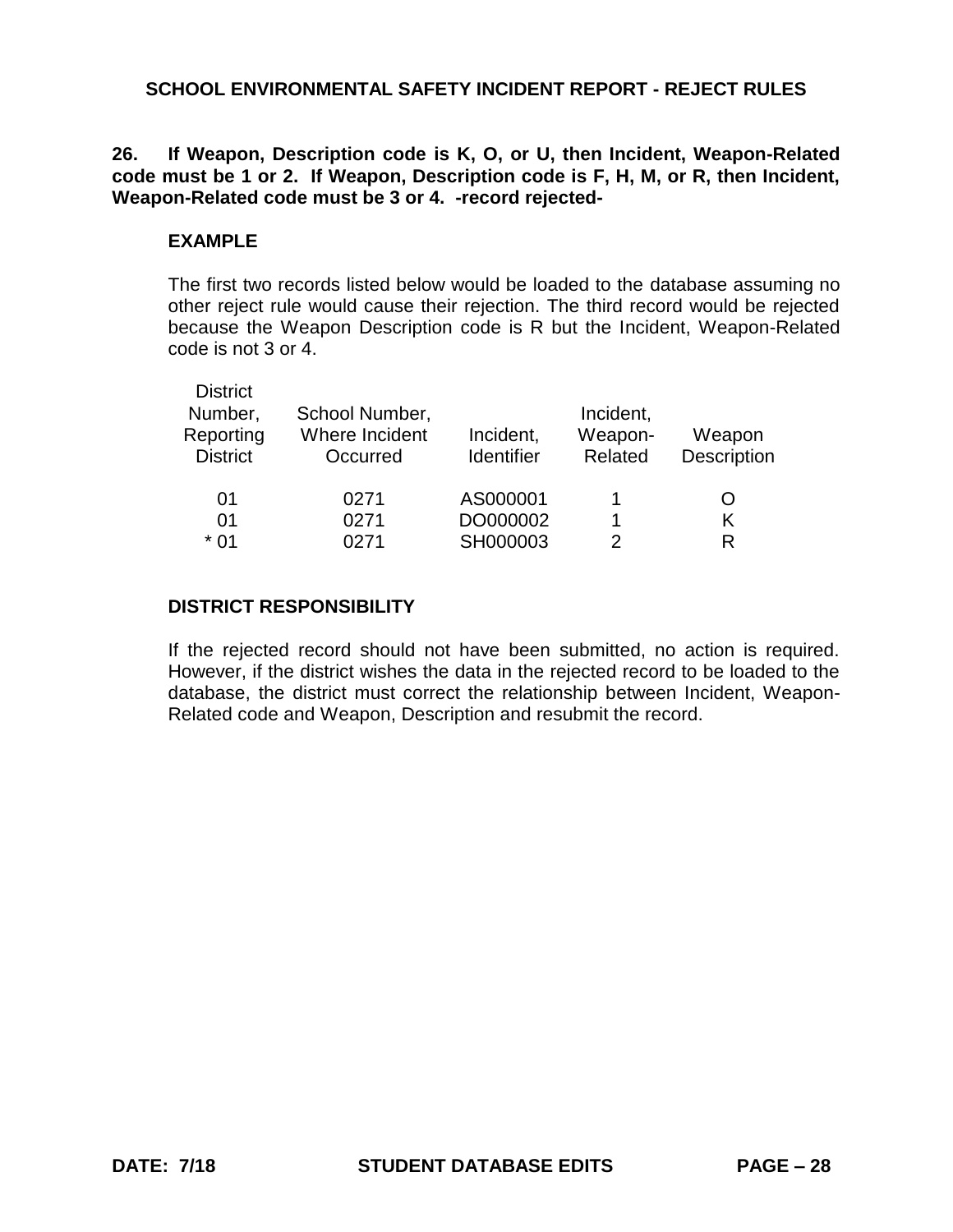**26. If Weapon, Description code is K, O, or U, then Incident, Weapon-Related code must be 1 or 2. If Weapon, Description code is F, H, M, or R, then Incident, Weapon-Related code must be 3 or 4. -record rejected-**

## **EXAMPLE**

The first two records listed below would be loaded to the database assuming no other reject rule would cause their rejection. The third record would be rejected because the Weapon Description code is R but the Incident, Weapon-Related code is not 3 or 4.

| <b>District</b> |                |                   |           |             |
|-----------------|----------------|-------------------|-----------|-------------|
| Number,         | School Number, |                   | Incident, |             |
| Reporting       | Where Incident | Incident,         | Weapon-   | Weapon      |
| <b>District</b> | Occurred       | <b>Identifier</b> | Related   | Description |
| 01              | 0271           | AS000001          |           | ( )         |
|                 |                |                   |           |             |
| 01              | 0271           | DO000002          |           |             |
| * 01            | ገ271           | SH000003          | 2         | R           |

# **DISTRICT RESPONSIBILITY**

If the rejected record should not have been submitted, no action is required. However, if the district wishes the data in the rejected record to be loaded to the database, the district must correct the relationship between Incident, Weapon-Related code and Weapon, Description and resubmit the record.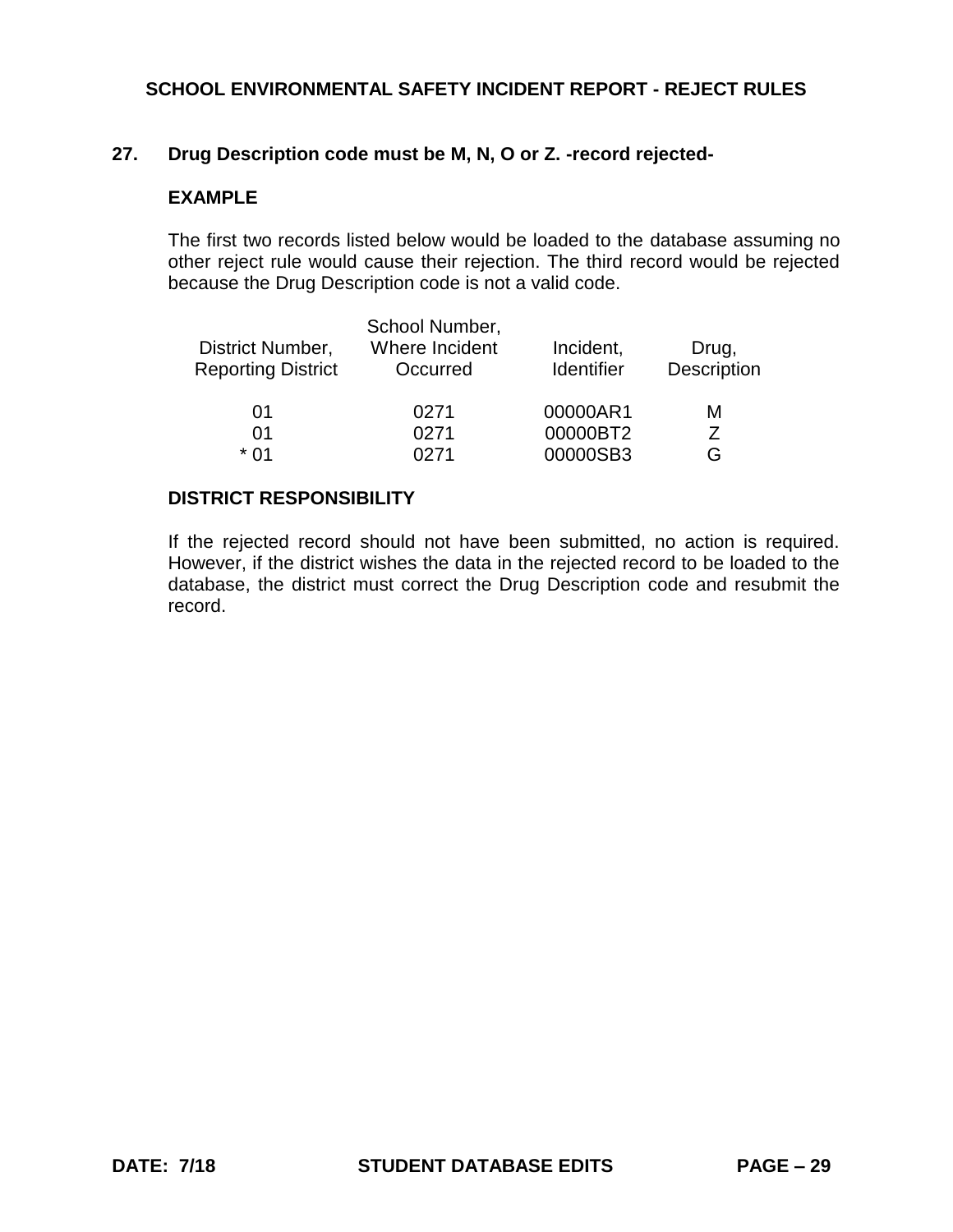## **27. Drug Description code must be M, N, O or Z. -record rejected-**

### **EXAMPLE**

The first two records listed below would be loaded to the database assuming no other reject rule would cause their rejection. The third record would be rejected because the Drug Description code is not a valid code.

|                           | School Number, |                   |             |
|---------------------------|----------------|-------------------|-------------|
| District Number,          | Where Incident | Incident,         | Drug,       |
| <b>Reporting District</b> | Occurred       | <b>Identifier</b> | Description |
| 01                        | 0271           | 00000AR1          | м           |
| 01                        | 0271           | 00000BT2          | 7           |
| * በ1                      | በ271           | 00000SB3          | G           |

#### **DISTRICT RESPONSIBILITY**

If the rejected record should not have been submitted, no action is required. However, if the district wishes the data in the rejected record to be loaded to the database, the district must correct the Drug Description code and resubmit the record.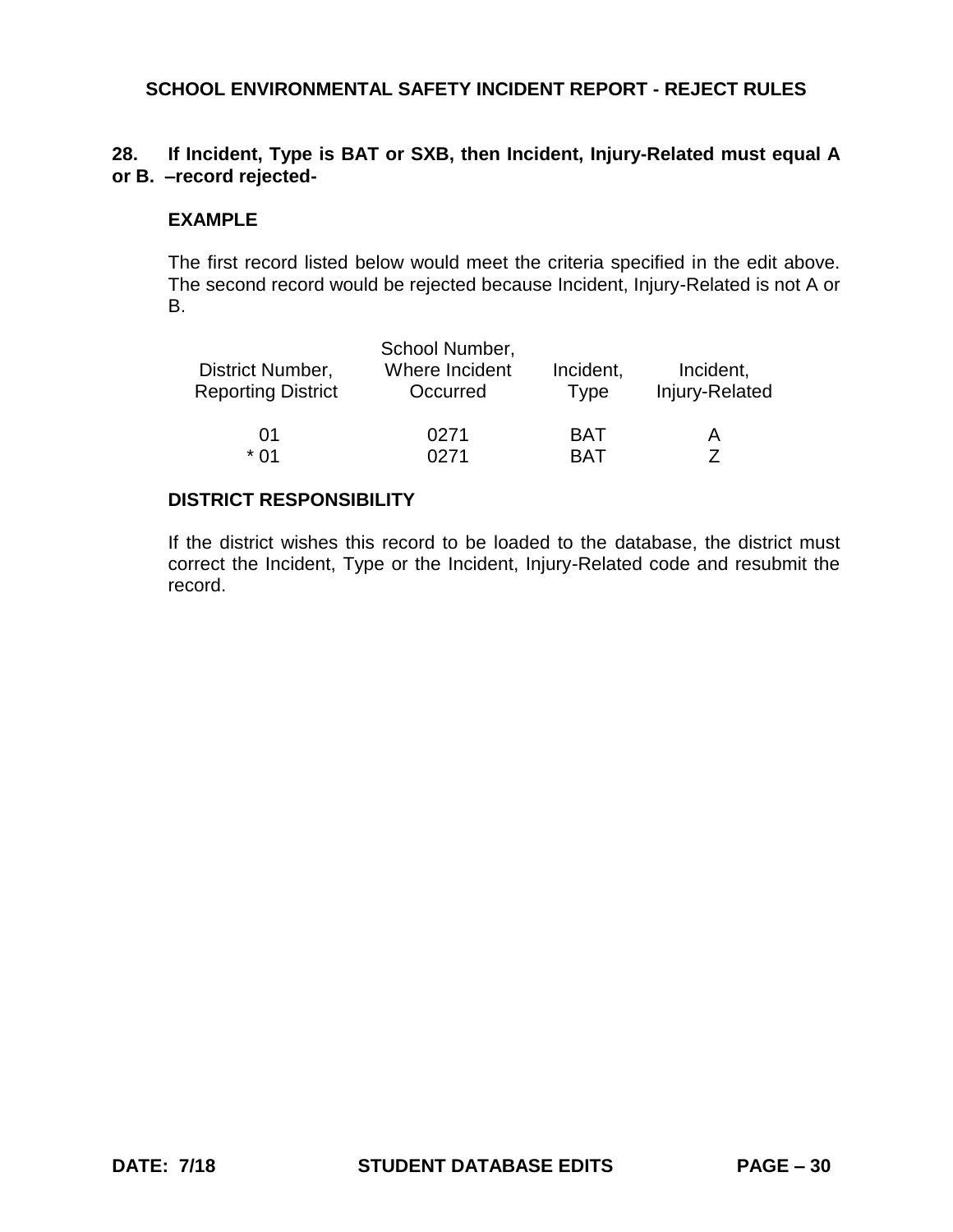## **28. If Incident, Type is BAT or SXB, then Incident, Injury-Related must equal A or B. –record rejected-**

#### **EXAMPLE**

The first record listed below would meet the criteria specified in the edit above. The second record would be rejected because Incident, Injury-Related is not A or B.

|                           | School Number, |             |                |
|---------------------------|----------------|-------------|----------------|
| District Number,          | Where Incident | Incident,   | Incident,      |
| <b>Reporting District</b> | Occurred       | <b>Type</b> | Injury-Related |
| 01                        | 0271           | <b>BAT</b>  | А              |
| * በ1                      | በ271           | RAT         |                |

## **DISTRICT RESPONSIBILITY**

If the district wishes this record to be loaded to the database, the district must correct the Incident, Type or the Incident, Injury-Related code and resubmit the record.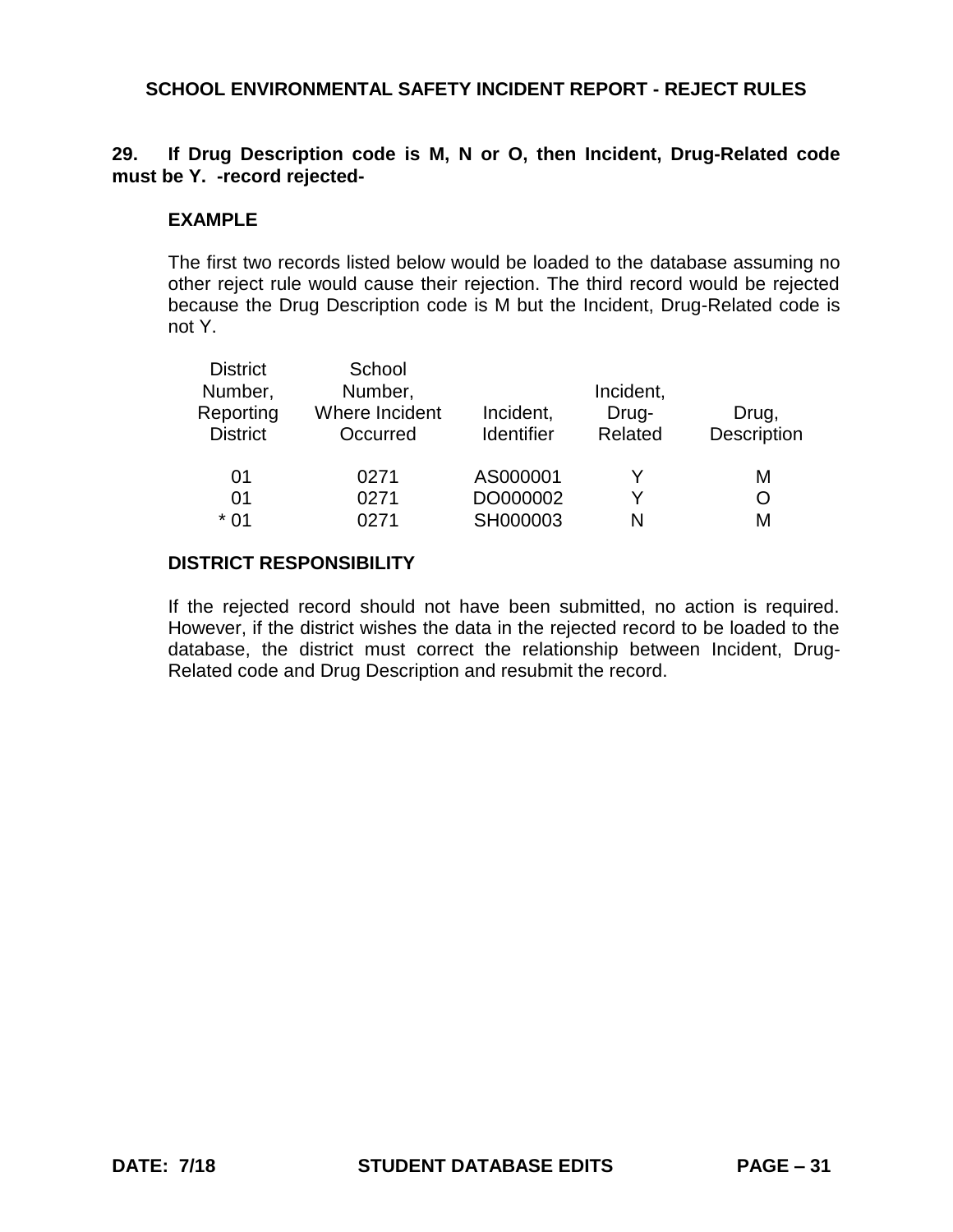## **29. If Drug Description code is M, N or O, then Incident, Drug-Related code must be Y. -record rejected-**

## **EXAMPLE**

The first two records listed below would be loaded to the database assuming no other reject rule would cause their rejection. The third record would be rejected because the Drug Description code is M but the Incident, Drug-Related code is not Y.

| <b>District</b> | School         |                   |           |             |
|-----------------|----------------|-------------------|-----------|-------------|
| Number,         | Number,        |                   | Incident, |             |
| Reporting       | Where Incident | Incident,         | Drug-     | Drug,       |
| <b>District</b> | Occurred       | <b>Identifier</b> | Related   | Description |
| 01              | 0271           | AS000001          | Y         | М           |
| 01              | 0271           | DO000002          | Y         | O           |
| $*01$           | 0271           | SH000003          | N         | М           |

### **DISTRICT RESPONSIBILITY**

If the rejected record should not have been submitted, no action is required. However, if the district wishes the data in the rejected record to be loaded to the database, the district must correct the relationship between Incident, Drug-Related code and Drug Description and resubmit the record.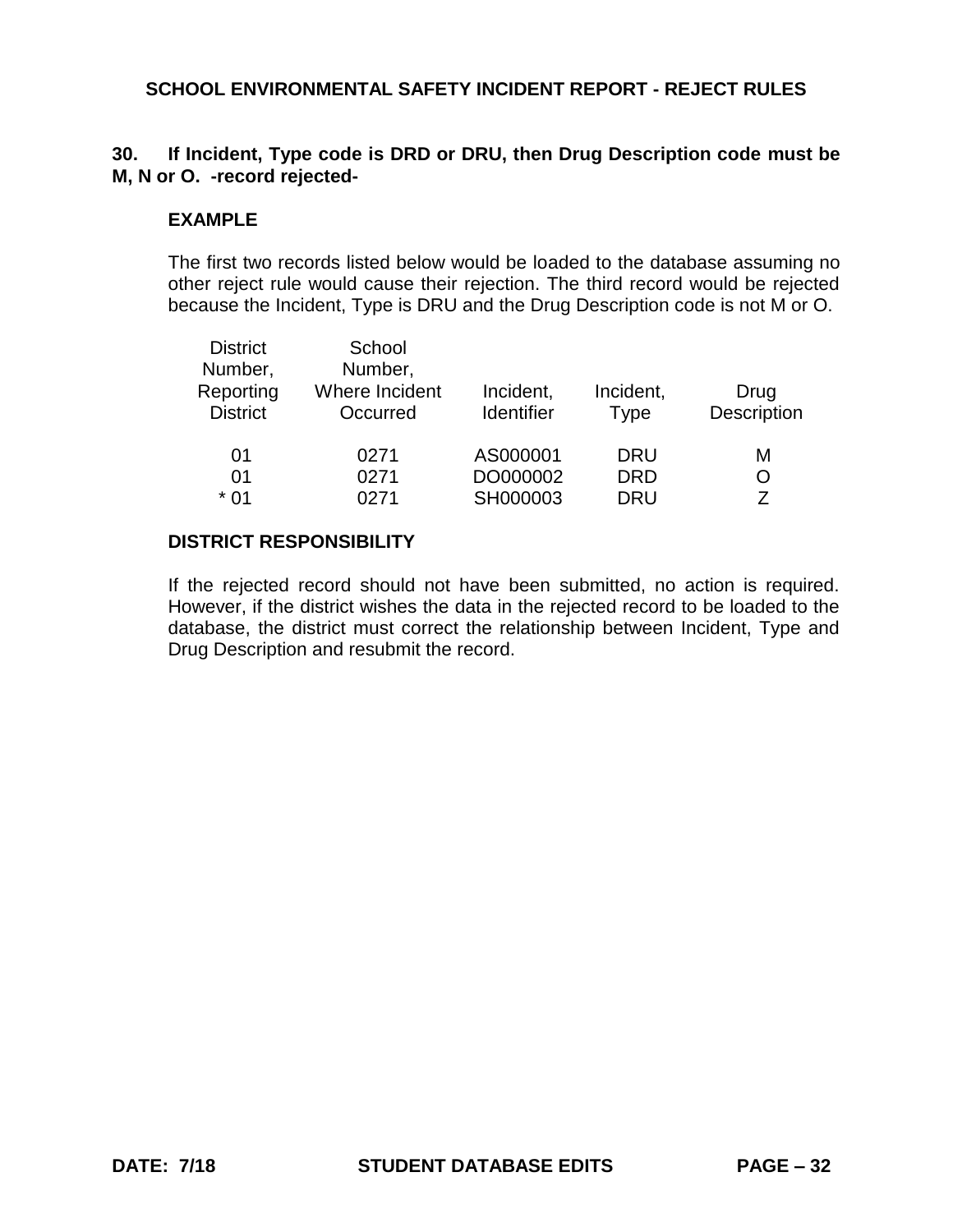# **30. If Incident, Type code is DRD or DRU, then Drug Description code must be M, N or O. -record rejected-**

## **EXAMPLE**

The first two records listed below would be loaded to the database assuming no other reject rule would cause their rejection. The third record would be rejected because the Incident, Type is DRU and the Drug Description code is not M or O.

| <b>District</b><br>Number,<br>Reporting<br><b>District</b> | School<br>Number,<br>Where Incident<br>Occurred | Incident,<br><b>Identifier</b> | Incident,<br><b>Type</b> | Drug<br>Description |
|------------------------------------------------------------|-------------------------------------------------|--------------------------------|--------------------------|---------------------|
| 01                                                         | 0271                                            | AS000001                       | <b>DRU</b>               | М                   |
| 01                                                         | 0271                                            | DO000002                       | <b>DRD</b>               | O                   |
| $*01$                                                      | 0271                                            | SH000003                       | <b>DRU</b>               | 7                   |

## **DISTRICT RESPONSIBILITY**

If the rejected record should not have been submitted, no action is required. However, if the district wishes the data in the rejected record to be loaded to the database, the district must correct the relationship between Incident, Type and Drug Description and resubmit the record.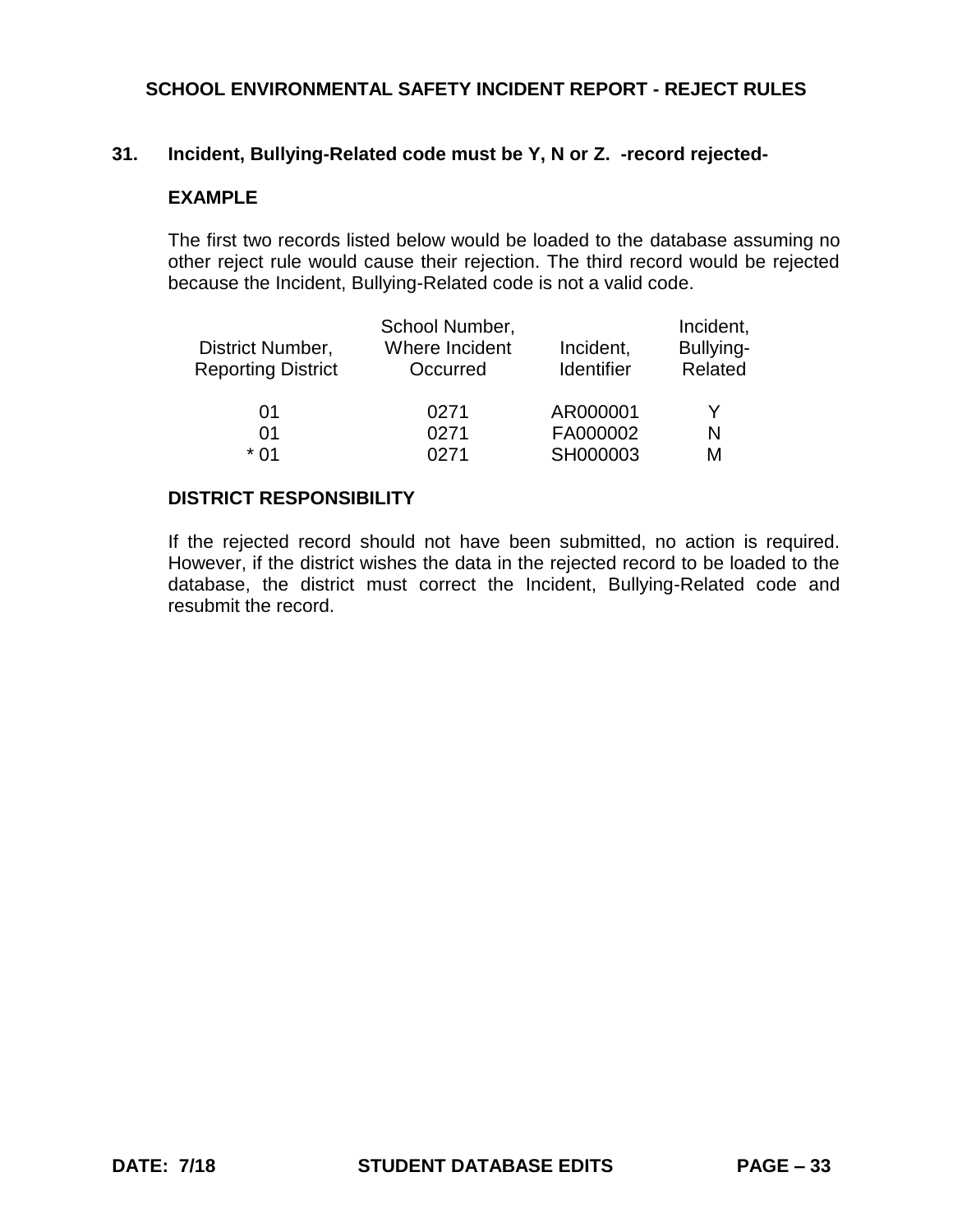### **31. Incident, Bullying-Related code must be Y, N or Z. -record rejected-**

### **EXAMPLE**

The first two records listed below would be loaded to the database assuming no other reject rule would cause their rejection. The third record would be rejected because the Incident, Bullying-Related code is not a valid code.

|                           | School Number, |                   | Incident, |
|---------------------------|----------------|-------------------|-----------|
| District Number,          | Where Incident | Incident,         | Bullying- |
| <b>Reporting District</b> | Occurred       | <b>Identifier</b> | Related   |
|                           |                |                   |           |
| 01                        | 0271           | AR000001          | Y         |
| 01                        | 0271           | FA000002          | N         |
| * በ1                      | N271           | SH000003          | М         |

#### **DISTRICT RESPONSIBILITY**

If the rejected record should not have been submitted, no action is required. However, if the district wishes the data in the rejected record to be loaded to the database, the district must correct the Incident, Bullying-Related code and resubmit the record.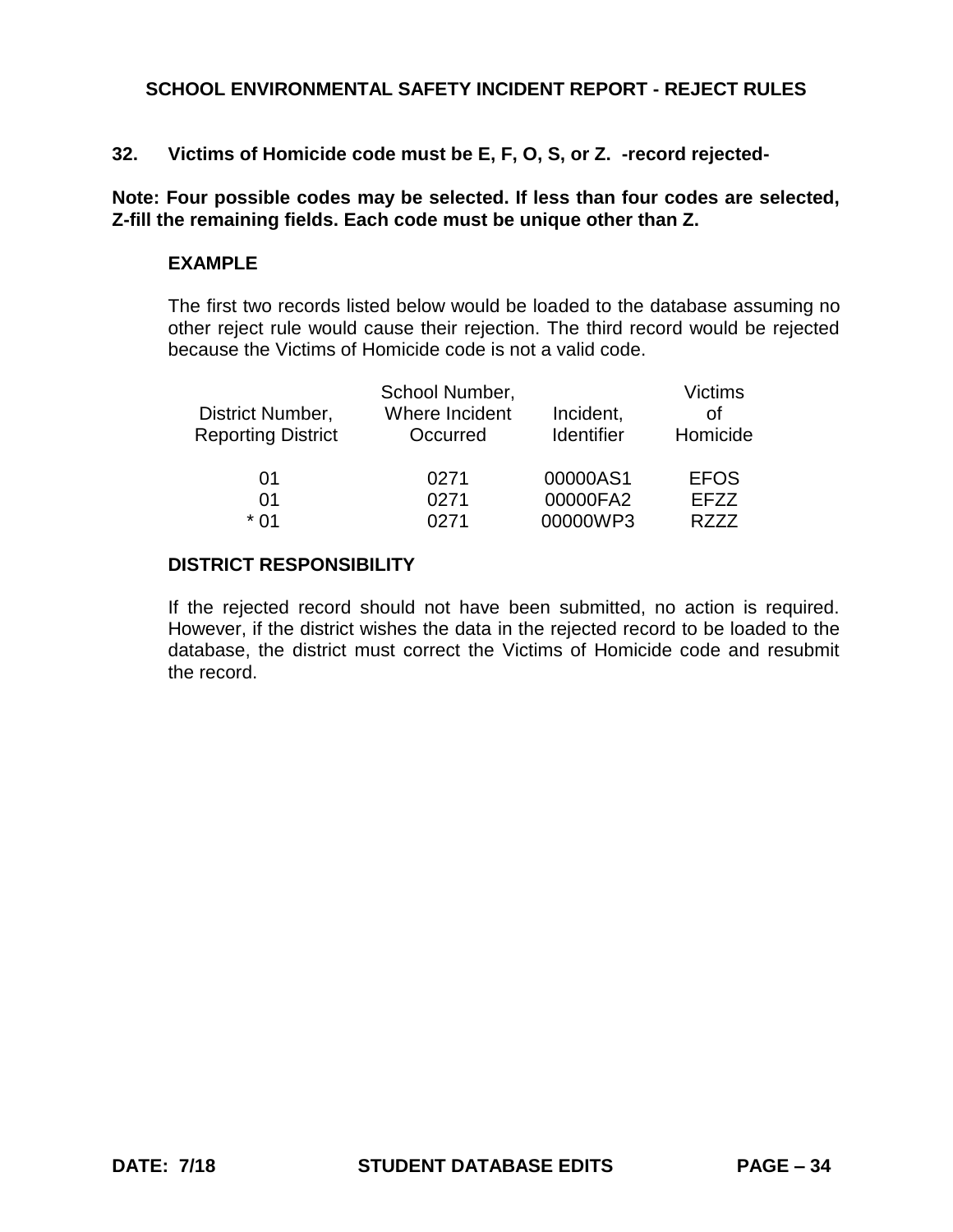**32. Victims of Homicide code must be E, F, O, S, or Z. -record rejected-**

**Note: Four possible codes may be selected. If less than four codes are selected, Z-fill the remaining fields. Each code must be unique other than Z.**

### **EXAMPLE**

The first two records listed below would be loaded to the database assuming no other reject rule would cause their rejection. The third record would be rejected because the Victims of Homicide code is not a valid code.

| District Number,<br><b>Reporting District</b> | School Number,<br>Where Incident<br>Occurred | Incident,<br>Identifier | <b>Victims</b><br>Ωf<br>Homicide |
|-----------------------------------------------|----------------------------------------------|-------------------------|----------------------------------|
| 01<br>01                                      | 0271<br>0271                                 | 00000AS1<br>00000FA2    | <b>EFOS</b><br>EFZZ              |
| * በ1                                          | 0271                                         | 00000WP3                | R777                             |

## **DISTRICT RESPONSIBILITY**

If the rejected record should not have been submitted, no action is required. However, if the district wishes the data in the rejected record to be loaded to the database, the district must correct the Victims of Homicide code and resubmit the record.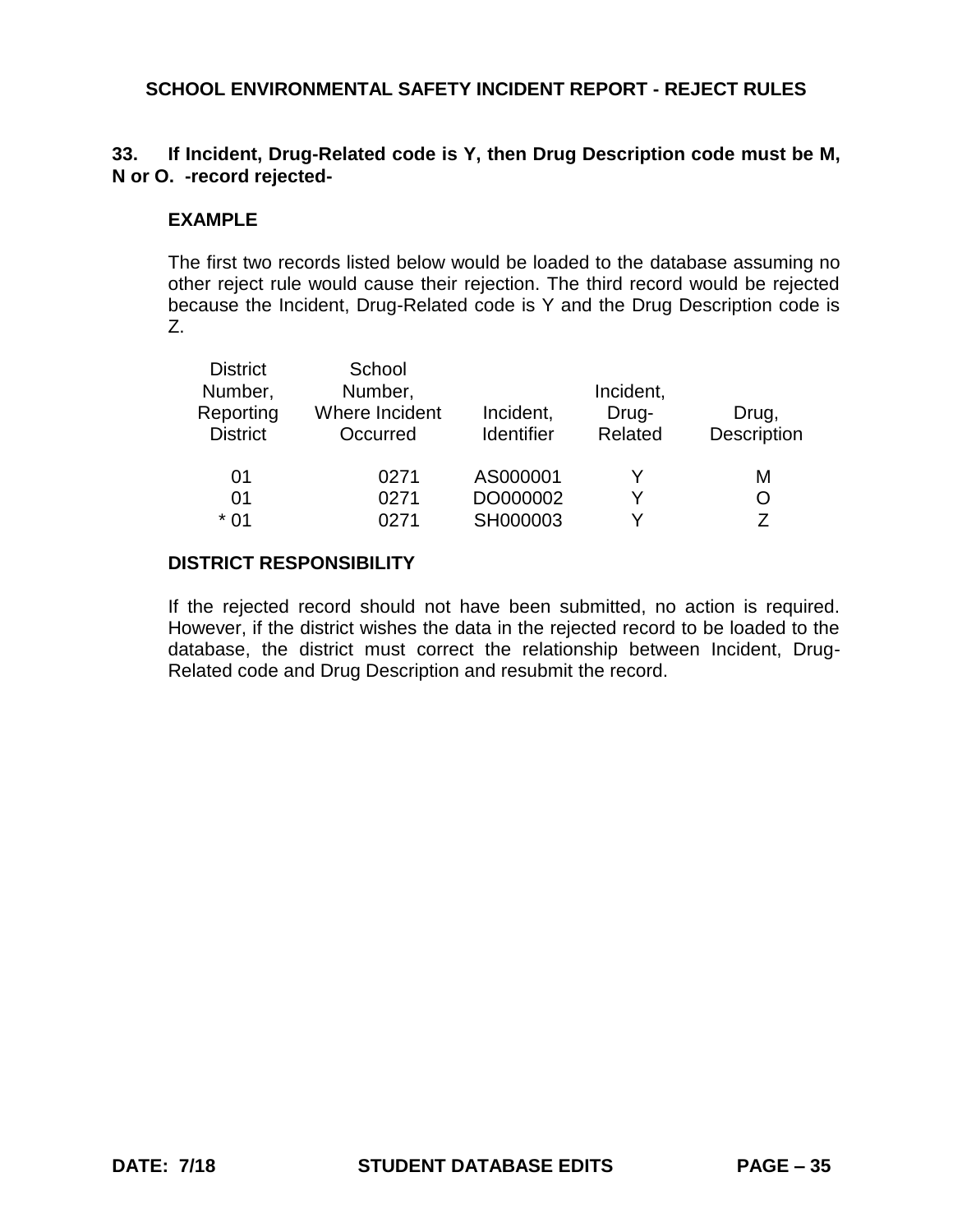## **33. If Incident, Drug-Related code is Y, then Drug Description code must be M, N or O. -record rejected-**

### **EXAMPLE**

The first two records listed below would be loaded to the database assuming no other reject rule would cause their rejection. The third record would be rejected because the Incident, Drug-Related code is Y and the Drug Description code is Z.

| <b>District</b> | School         |                   |           |             |
|-----------------|----------------|-------------------|-----------|-------------|
| Number,         | Number,        |                   | Incident, |             |
| Reporting       | Where Incident | Incident,         | Drug-     | Drug,       |
| <b>District</b> | Occurred       | <b>Identifier</b> | Related   | Description |
| 01              | 0271           | AS000001          | Y         | М           |
| 01              | 0271           | DO000002          | v         | O           |
| $*01$           | 0271           | SH000003          | v         | 7           |

## **DISTRICT RESPONSIBILITY**

If the rejected record should not have been submitted, no action is required. However, if the district wishes the data in the rejected record to be loaded to the database, the district must correct the relationship between Incident, Drug-Related code and Drug Description and resubmit the record.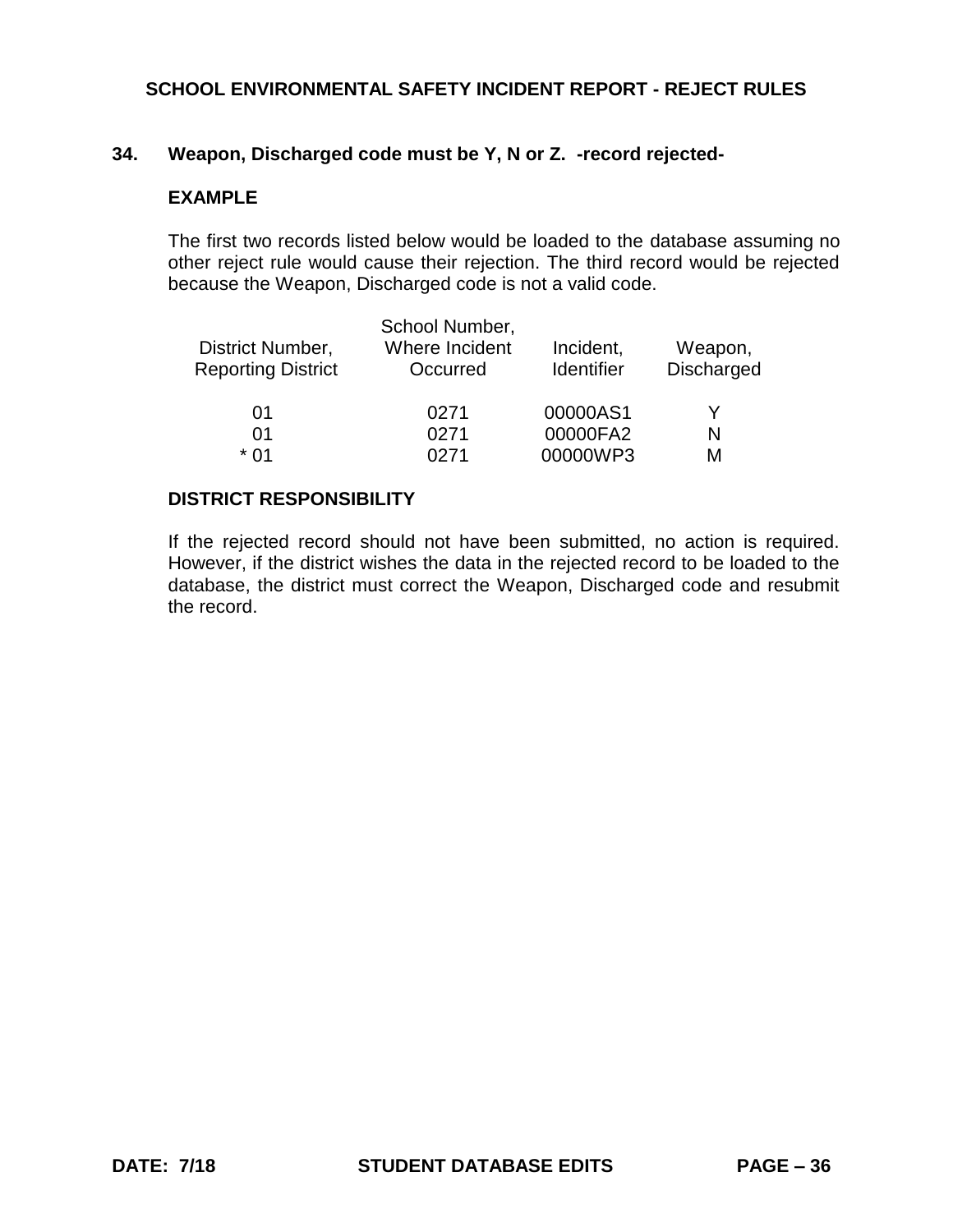# **34. Weapon, Discharged code must be Y, N or Z. -record rejected-**

## **EXAMPLE**

The first two records listed below would be loaded to the database assuming no other reject rule would cause their rejection. The third record would be rejected because the Weapon, Discharged code is not a valid code.

| District Number,<br><b>Reporting District</b> | School Number,<br>Where Incident<br>Occurred | Incident,<br><b>Identifier</b> | Weapon,<br><b>Discharged</b> |
|-----------------------------------------------|----------------------------------------------|--------------------------------|------------------------------|
| 01                                            | 0271                                         | 00000AS1                       |                              |
| 01                                            | 0271                                         | 00000FA2                       | N                            |
| * በ1                                          | በ271                                         | 00000WP3                       | м                            |

#### **DISTRICT RESPONSIBILITY**

If the rejected record should not have been submitted, no action is required. However, if the district wishes the data in the rejected record to be loaded to the database, the district must correct the Weapon, Discharged code and resubmit the record.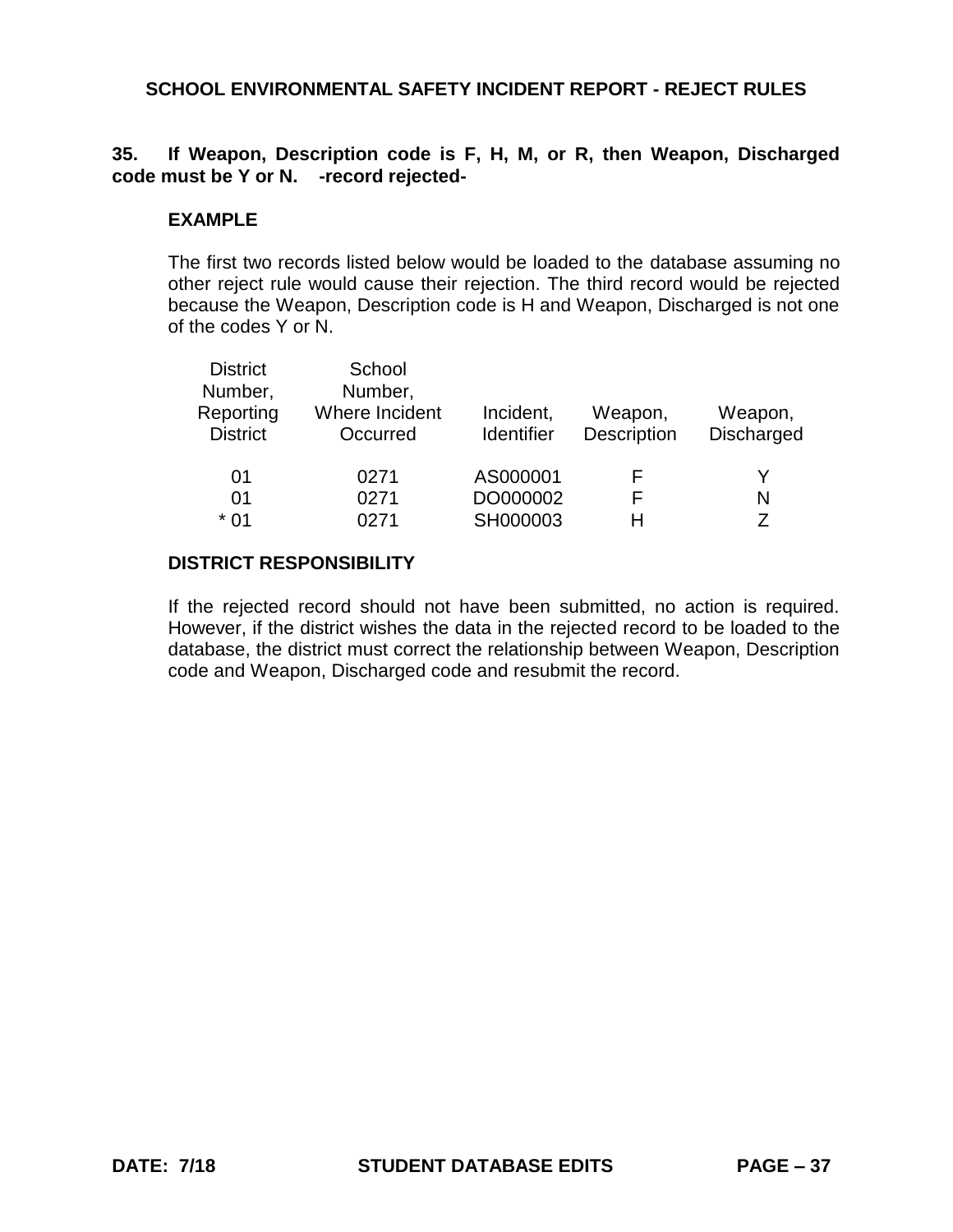## **35. If Weapon, Description code is F, H, M, or R, then Weapon, Discharged code must be Y or N. -record rejected-**

### **EXAMPLE**

The first two records listed below would be loaded to the database assuming no other reject rule would cause their rejection. The third record would be rejected because the Weapon, Description code is H and Weapon, Discharged is not one of the codes Y or N.

| <b>District</b><br>Number,<br>Reporting<br><b>District</b> | School<br>Number,<br>Where Incident<br>Occurred | Incident,<br><b>Identifier</b> | Weapon,<br>Description | Weapon,<br><b>Discharged</b> |
|------------------------------------------------------------|-------------------------------------------------|--------------------------------|------------------------|------------------------------|
| 01                                                         | 0271                                            | AS000001                       | ⊢                      | Y                            |
| 01                                                         | 0271                                            | DO000002                       | F                      | N                            |
| $*01$                                                      | 0271                                            | SH000003                       | н                      | 7                            |

### **DISTRICT RESPONSIBILITY**

If the rejected record should not have been submitted, no action is required. However, if the district wishes the data in the rejected record to be loaded to the database, the district must correct the relationship between Weapon, Description code and Weapon, Discharged code and resubmit the record.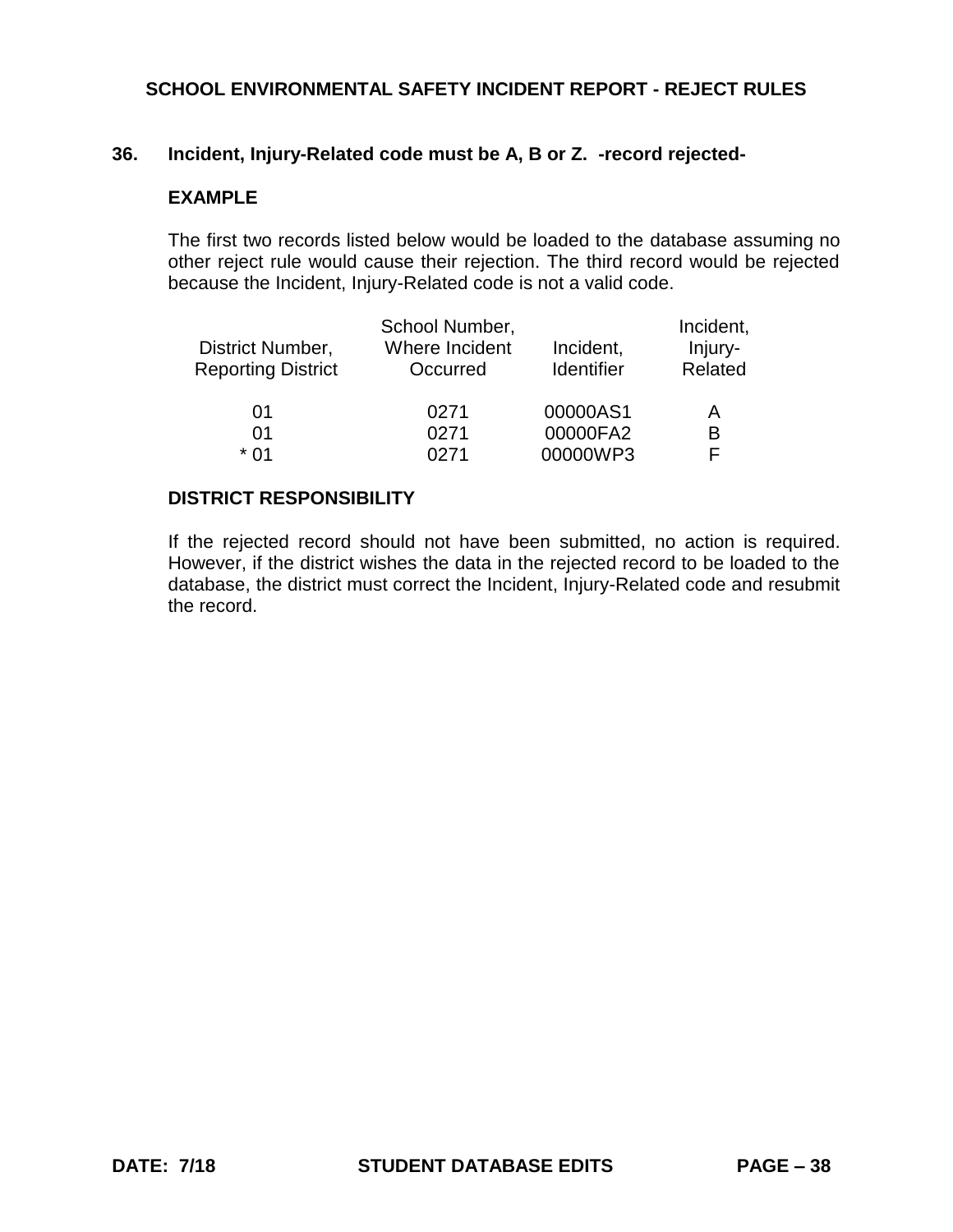### **36. Incident, Injury-Related code must be A, B or Z. -record rejected-**

### **EXAMPLE**

The first two records listed below would be loaded to the database assuming no other reject rule would cause their rejection. The third record would be rejected because the Incident, Injury-Related code is not a valid code.

| District Number,          | School Number,<br>Where Incident | Incident,  | Incident,<br>Injury- |
|---------------------------|----------------------------------|------------|----------------------|
| <b>Reporting District</b> | Occurred                         | Identifier | Related              |
| 01                        | 0271                             | 00000AS1   | Α                    |
| 01                        | 0271                             | 00000FA2   | B                    |
| * በ1                      | በ271                             | 00000WP3   | F                    |

#### **DISTRICT RESPONSIBILITY**

If the rejected record should not have been submitted, no action is required. However, if the district wishes the data in the rejected record to be loaded to the database, the district must correct the Incident, Injury-Related code and resubmit the record.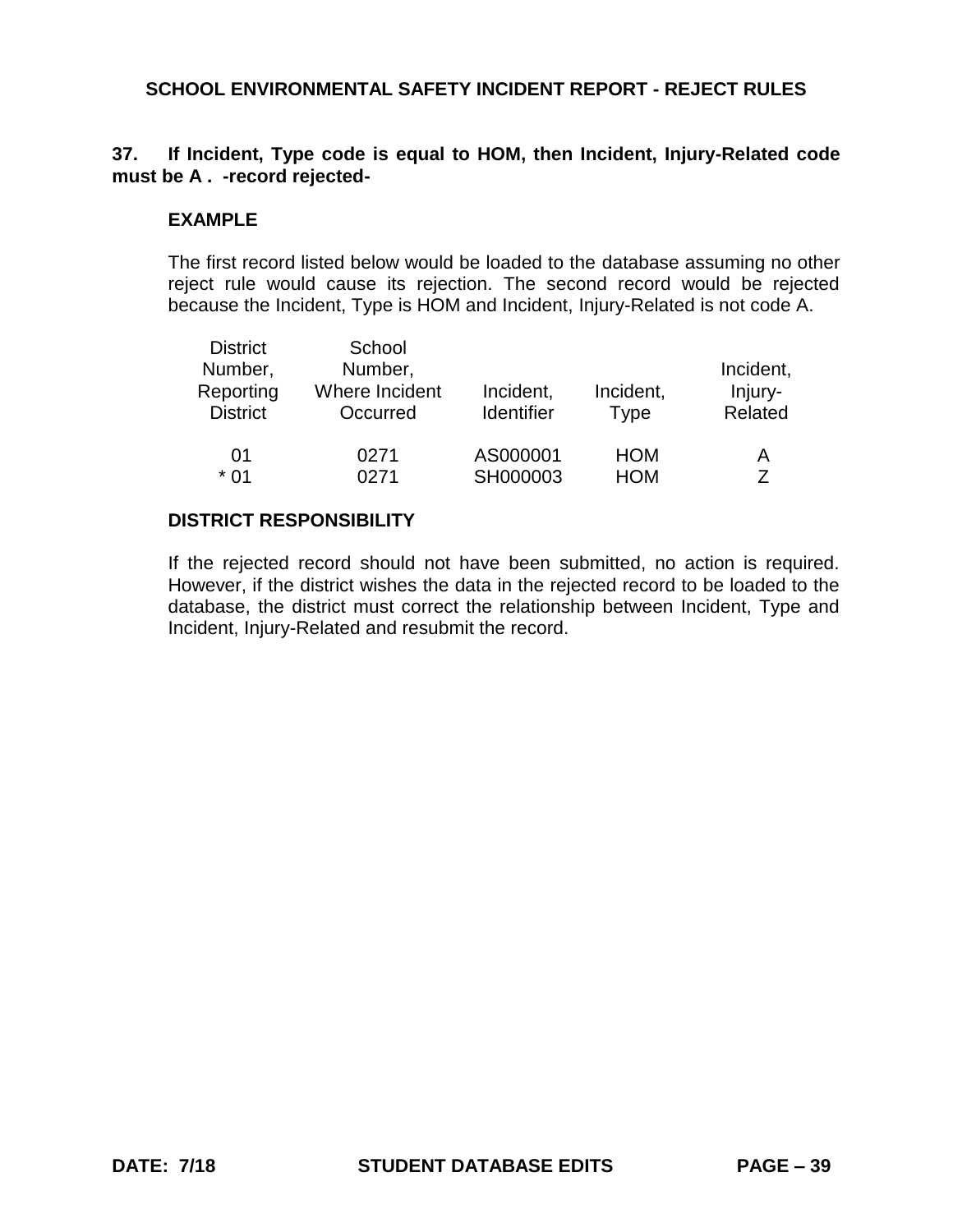## **37. If Incident, Type code is equal to HOM, then Incident, Injury-Related code must be A . -record rejected-**

### **EXAMPLE**

The first record listed below would be loaded to the database assuming no other reject rule would cause its rejection. The second record would be rejected because the Incident, Type is HOM and Incident, Injury-Related is not code A.

| <b>District</b><br>Number,<br>Reporting<br><b>District</b> | School<br>Number,<br>Where Incident<br>Occurred | Incident,<br><b>Identifier</b> | Incident,<br><b>Type</b> | Incident,<br>Injury-<br>Related |
|------------------------------------------------------------|-------------------------------------------------|--------------------------------|--------------------------|---------------------------------|
| 01                                                         | 0271                                            | AS000001                       | <b>HOM</b>               | A                               |
| $*01$                                                      | በ271                                            | SH000003                       | <b>HOM</b>               |                                 |

### **DISTRICT RESPONSIBILITY**

If the rejected record should not have been submitted, no action is required. However, if the district wishes the data in the rejected record to be loaded to the database, the district must correct the relationship between Incident, Type and Incident, Injury-Related and resubmit the record.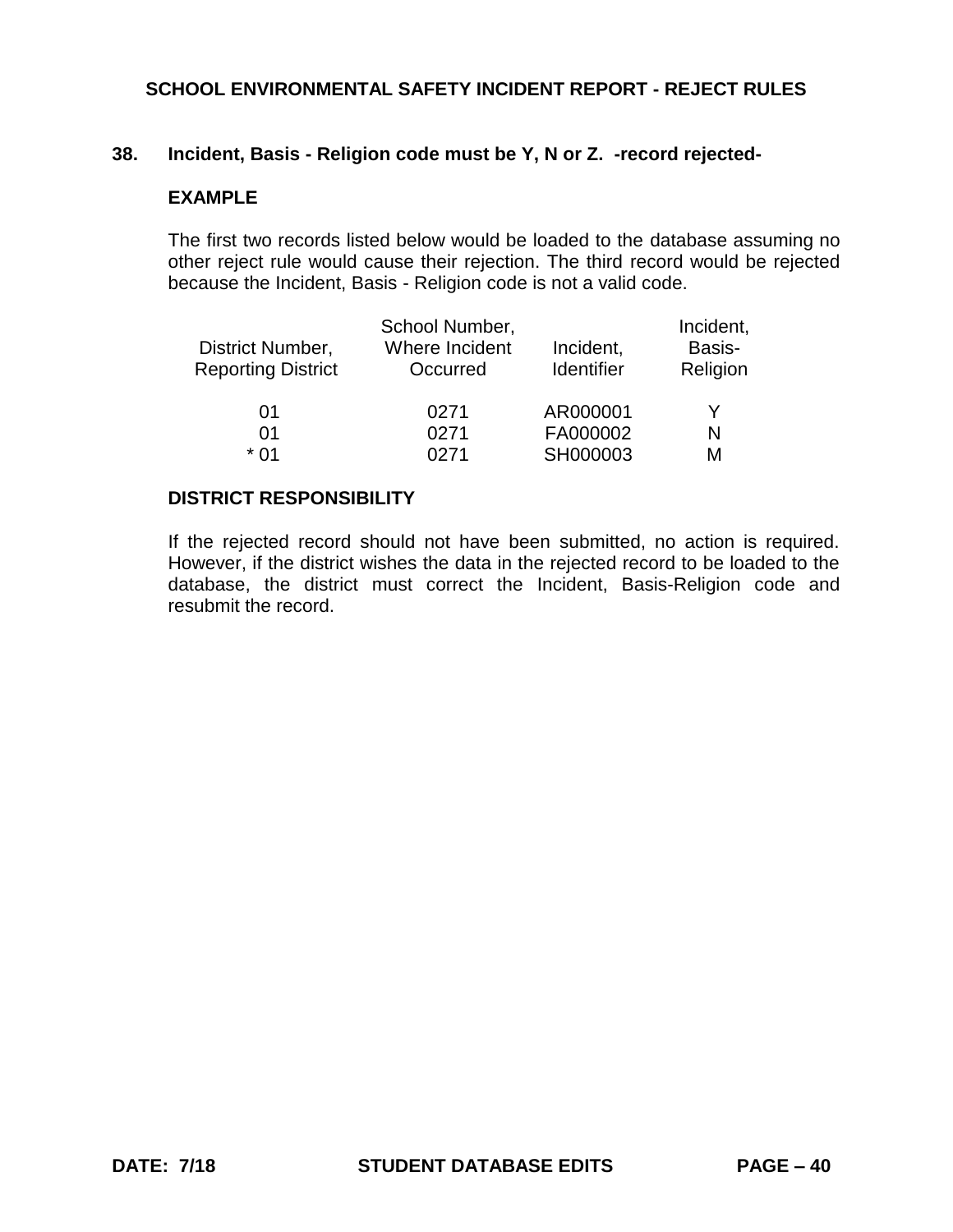#### **38. Incident, Basis - Religion code must be Y, N or Z. -record rejected-**

#### **EXAMPLE**

The first two records listed below would be loaded to the database assuming no other reject rule would cause their rejection. The third record would be rejected because the Incident, Basis - Religion code is not a valid code.

|                           | School Number, |            | Incident, |
|---------------------------|----------------|------------|-----------|
| District Number,          | Where Incident | Incident,  | Basis-    |
| <b>Reporting District</b> | Occurred       | Identifier | Religion  |
|                           |                |            |           |
| 01                        | 0271           | AR000001   | Y         |
| 01                        | 0271           | FA000002   | N         |
| * በ1                      | N271           | SH000003   | М         |

#### **DISTRICT RESPONSIBILITY**

If the rejected record should not have been submitted, no action is required. However, if the district wishes the data in the rejected record to be loaded to the database, the district must correct the Incident, Basis-Religion code and resubmit the record.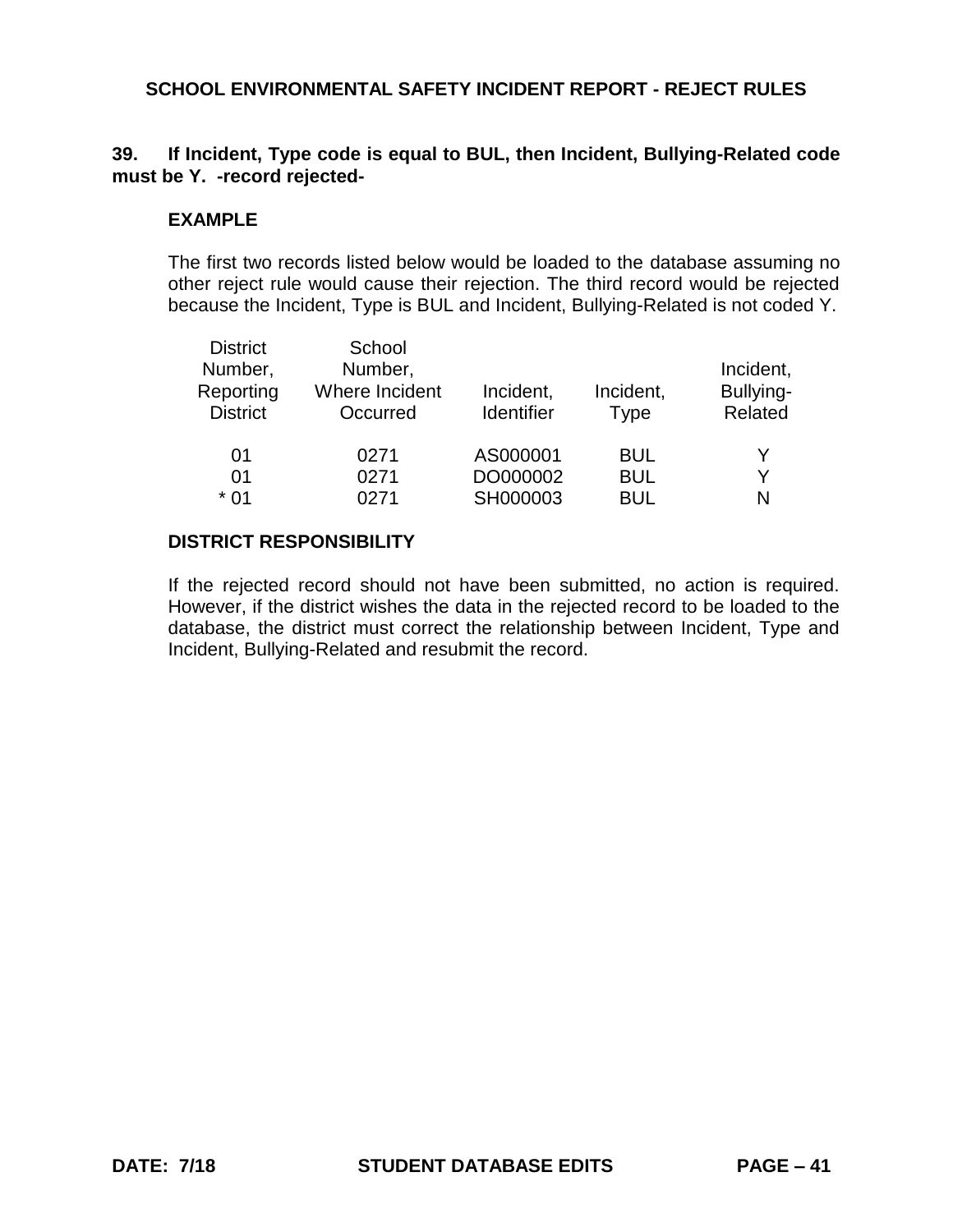## **39. If Incident, Type code is equal to BUL, then Incident, Bullying-Related code must be Y. -record rejected-**

#### **EXAMPLE**

The first two records listed below would be loaded to the database assuming no other reject rule would cause their rejection. The third record would be rejected because the Incident, Type is BUL and Incident, Bullying-Related is not coded Y.

| <b>District</b><br>Number,   | School<br>Number,<br>Where Incident |                                |                          | Incident,            |
|------------------------------|-------------------------------------|--------------------------------|--------------------------|----------------------|
| Reporting<br><b>District</b> | Occurred                            | Incident,<br><b>Identifier</b> | Incident,<br><b>Type</b> | Bullying-<br>Related |
| 01                           | 0271                                | AS000001                       | <b>BUL</b>               |                      |
| 01                           | 0271                                | DO000002                       | <b>BUL</b>               | Y                    |
| $*01$                        | 0271                                | SH000003                       | <b>BUL</b>               | N                    |

### **DISTRICT RESPONSIBILITY**

If the rejected record should not have been submitted, no action is required. However, if the district wishes the data in the rejected record to be loaded to the database, the district must correct the relationship between Incident, Type and Incident, Bullying-Related and resubmit the record.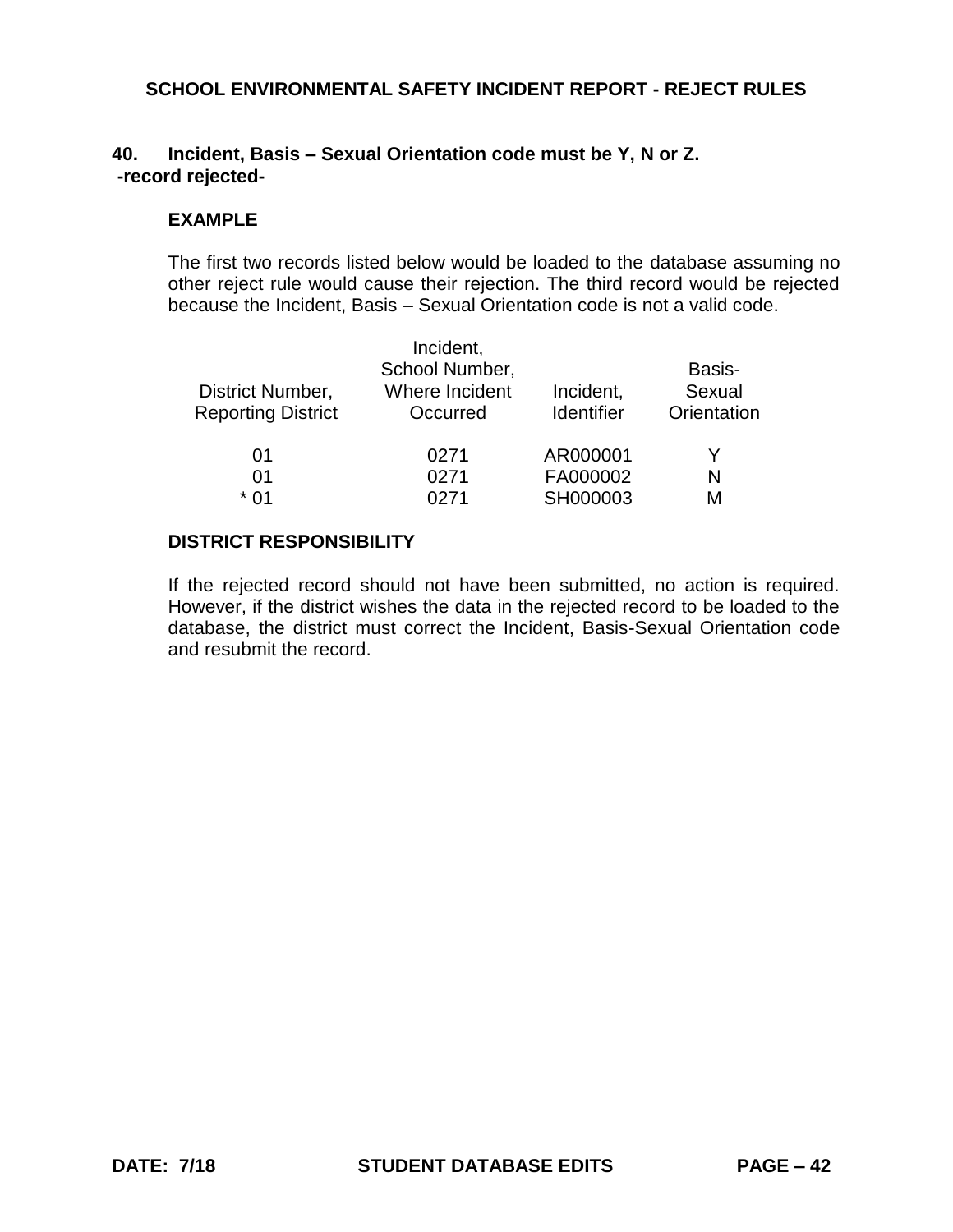## **40. Incident, Basis – Sexual Orientation code must be Y, N or Z. -record rejected-**

#### **EXAMPLE**

The first two records listed below would be loaded to the database assuming no other reject rule would cause their rejection. The third record would be rejected because the Incident, Basis – Sexual Orientation code is not a valid code.

|                           | Incident,      |                   |             |
|---------------------------|----------------|-------------------|-------------|
|                           | School Number, |                   | Basis-      |
| District Number,          | Where Incident | Incident,         | Sexual      |
| <b>Reporting District</b> | Occurred       | <b>Identifier</b> | Orientation |
| 01                        | 0271           | AR000001          |             |
| 01                        | 0271           | FA000002          | N           |
| * በ1                      | በ271           | SH000003          | м           |

## **DISTRICT RESPONSIBILITY**

If the rejected record should not have been submitted, no action is required. However, if the district wishes the data in the rejected record to be loaded to the database, the district must correct the Incident, Basis-Sexual Orientation code and resubmit the record.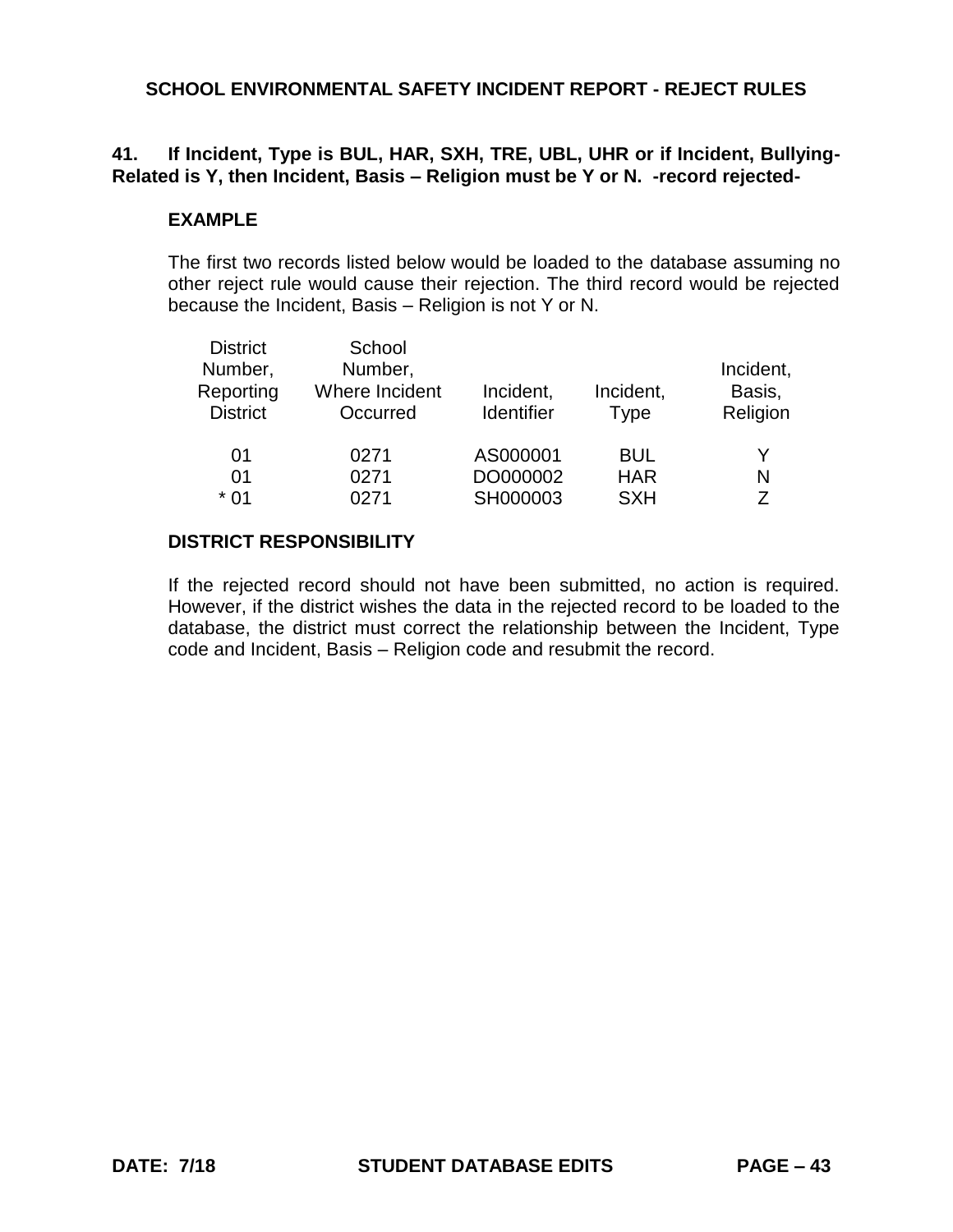## **41. If Incident, Type is BUL, HAR, SXH, TRE, UBL, UHR or if Incident, Bullying-Related is Y, then Incident, Basis – Religion must be Y or N. -record rejected-**

#### **EXAMPLE**

The first two records listed below would be loaded to the database assuming no other reject rule would cause their rejection. The third record would be rejected because the Incident, Basis – Religion is not Y or N.

| <b>District</b><br>Number,<br>Reporting<br><b>District</b> | School<br>Number,<br>Where Incident<br>Occurred | Incident,<br><b>Identifier</b> | Incident,<br><b>Type</b> | Incident,<br>Basis,<br>Religion |
|------------------------------------------------------------|-------------------------------------------------|--------------------------------|--------------------------|---------------------------------|
| 01                                                         | 0271                                            | AS000001                       | <b>BUL</b>               | Y                               |
| 01                                                         | 0271                                            | DO000002                       | <b>HAR</b>               | N                               |
| $*01$                                                      | 0271                                            | SH000003                       | <b>SXH</b>               | 7                               |

## **DISTRICT RESPONSIBILITY**

If the rejected record should not have been submitted, no action is required. However, if the district wishes the data in the rejected record to be loaded to the database, the district must correct the relationship between the Incident, Type code and Incident, Basis – Religion code and resubmit the record.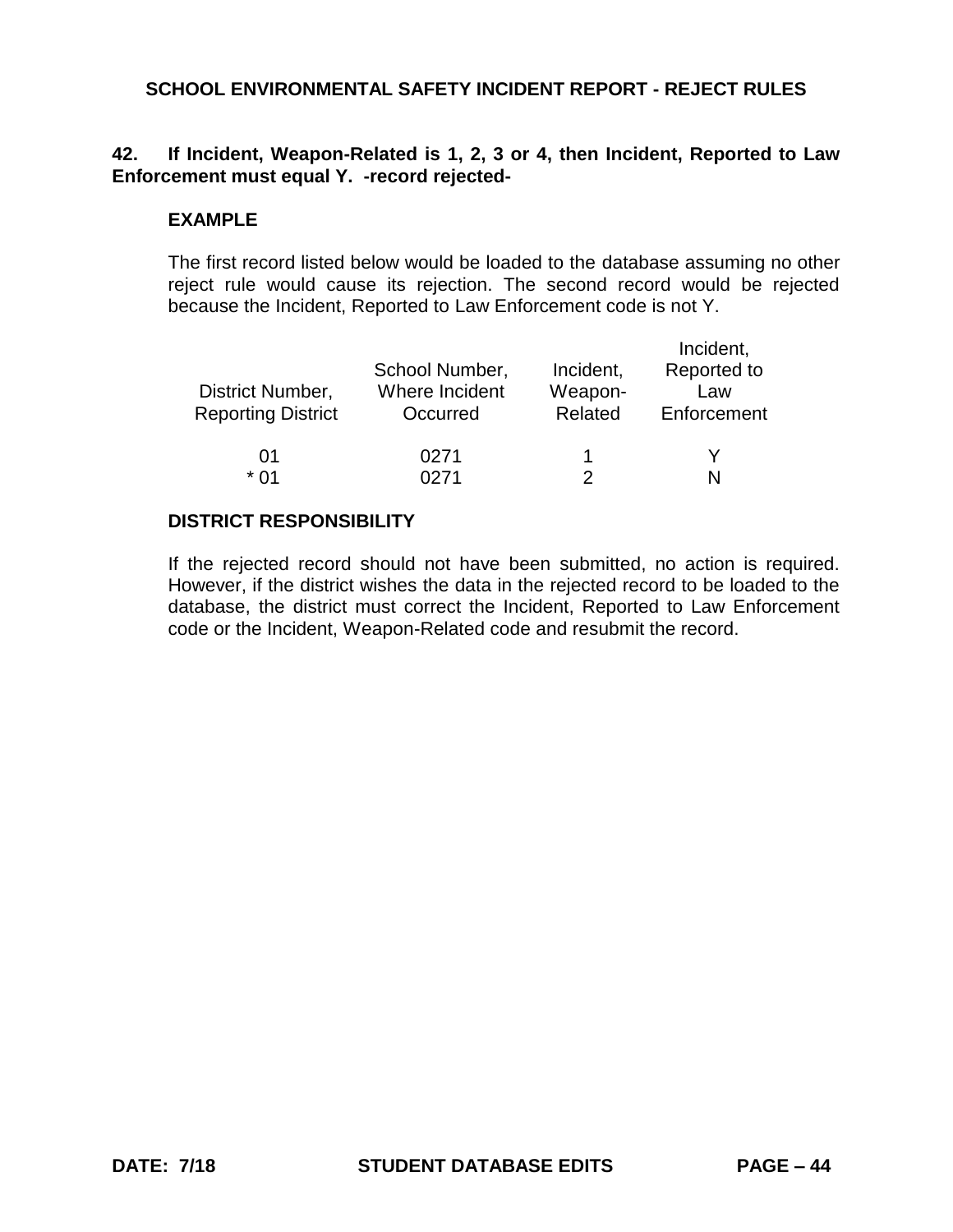## **42. If Incident, Weapon-Related is 1, 2, 3 or 4, then Incident, Reported to Law Enforcement must equal Y. -record rejected-**

#### **EXAMPLE**

The first record listed below would be loaded to the database assuming no other reject rule would cause its rejection. The second record would be rejected because the Incident, Reported to Law Enforcement code is not Y.

| District Number,<br><b>Reporting District</b> | School Number,<br>Where Incident<br>Occurred | Incident,<br>Weapon-<br>Related | Incident,<br>Reported to<br>Law<br>Enforcement |
|-----------------------------------------------|----------------------------------------------|---------------------------------|------------------------------------------------|
| 01<br>* በ1                                    | 0271<br>∩271                                 |                                 |                                                |

## **DISTRICT RESPONSIBILITY**

If the rejected record should not have been submitted, no action is required. However, if the district wishes the data in the rejected record to be loaded to the database, the district must correct the Incident, Reported to Law Enforcement code or the Incident, Weapon-Related code and resubmit the record.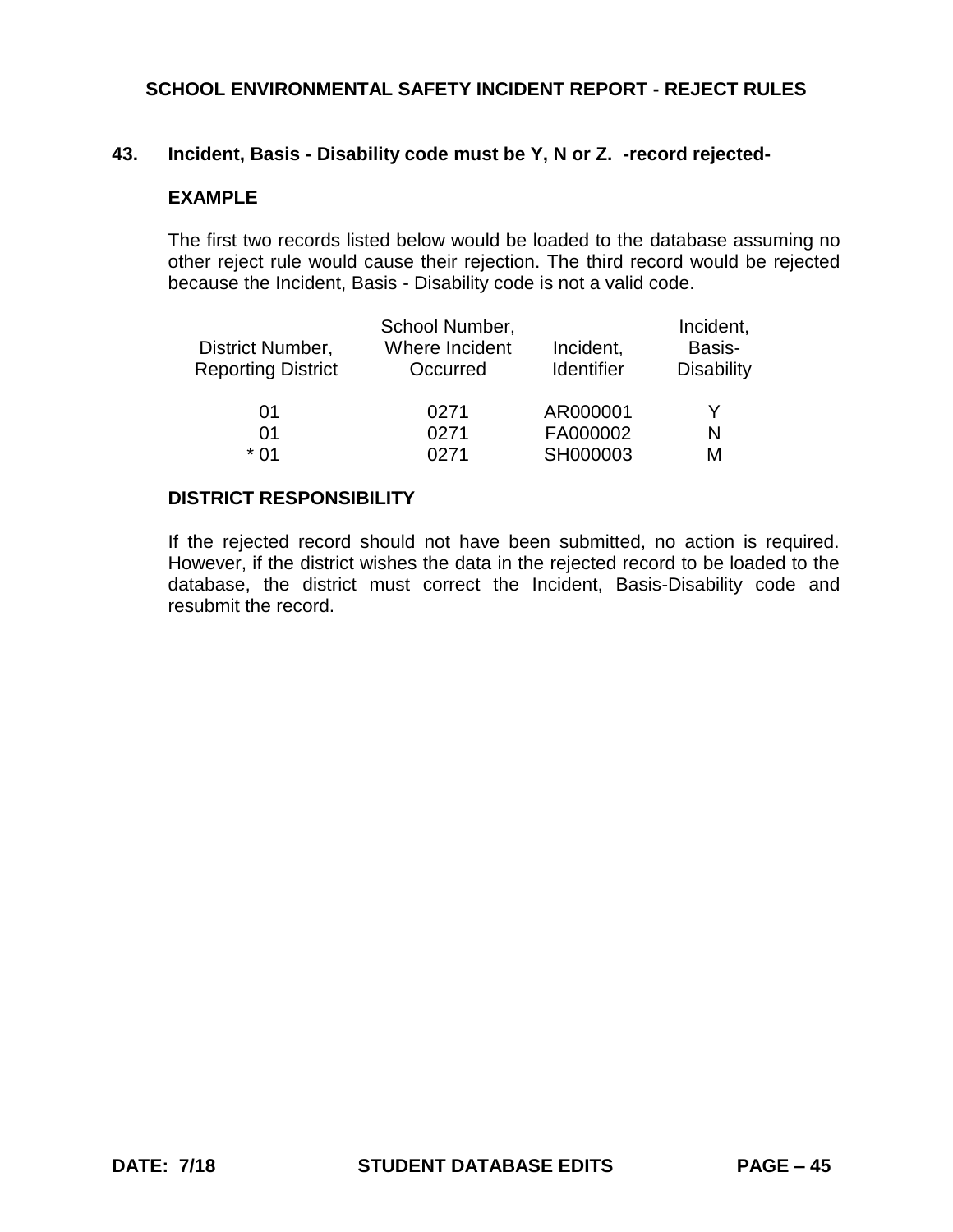#### **43. Incident, Basis - Disability code must be Y, N or Z. -record rejected-**

#### **EXAMPLE**

The first two records listed below would be loaded to the database assuming no other reject rule would cause their rejection. The third record would be rejected because the Incident, Basis - Disability code is not a valid code.

| District Number,<br><b>Reporting District</b> | School Number,<br>Where Incident<br>Occurred | Incident,<br>Identifier | Incident,<br>Basis-<br><b>Disability</b> |
|-----------------------------------------------|----------------------------------------------|-------------------------|------------------------------------------|
| 01                                            | 0271                                         | AR000001                | Y                                        |
| 01                                            | 0271                                         | FA000002                | N                                        |
| * በ1                                          | በ271                                         | SH000003                | м                                        |

#### **DISTRICT RESPONSIBILITY**

If the rejected record should not have been submitted, no action is required. However, if the district wishes the data in the rejected record to be loaded to the database, the district must correct the Incident, Basis-Disability code and resubmit the record.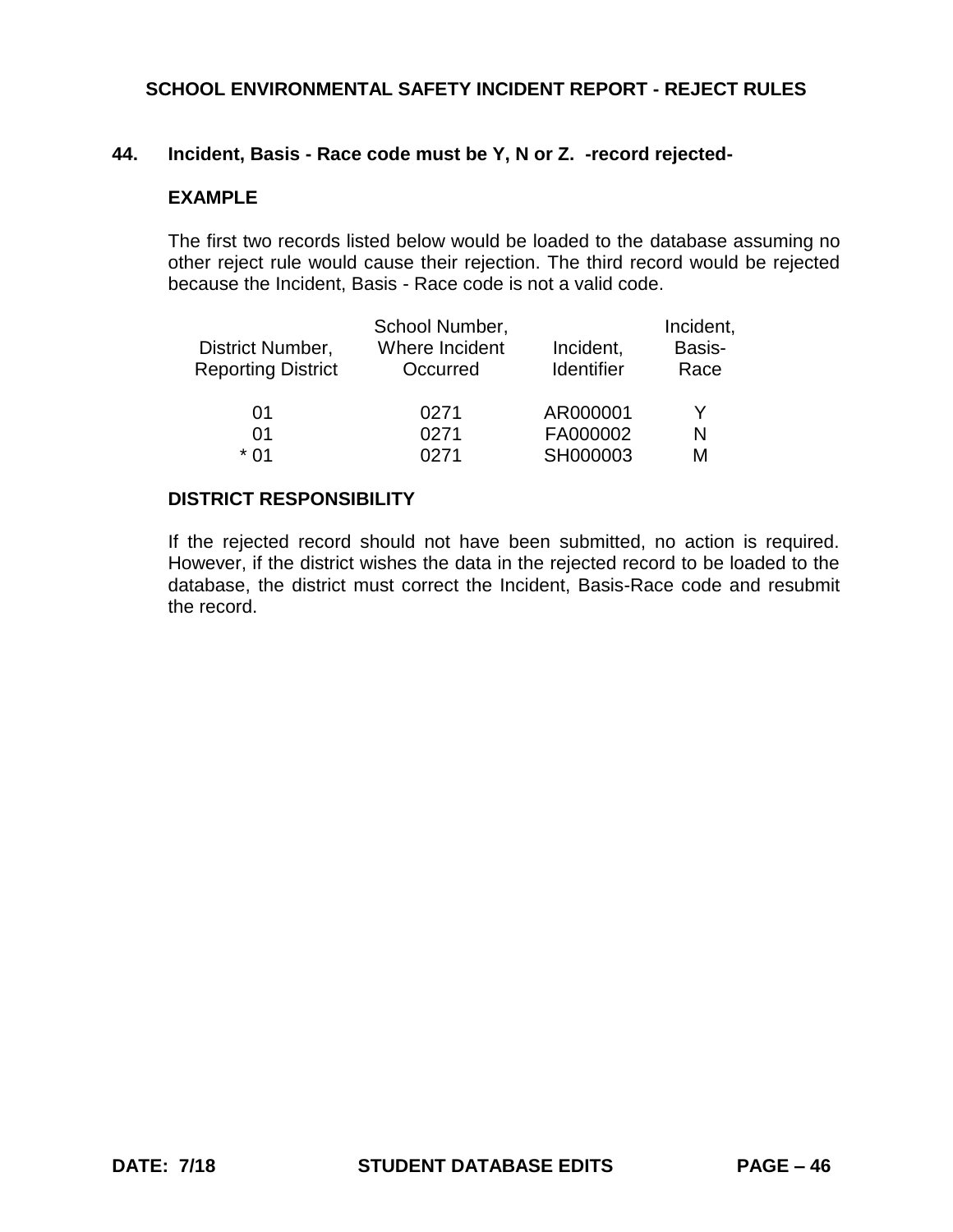### **44. Incident, Basis - Race code must be Y, N or Z. -record rejected-**

### **EXAMPLE**

The first two records listed below would be loaded to the database assuming no other reject rule would cause their rejection. The third record would be rejected because the Incident, Basis - Race code is not a valid code.

|                           | School Number, |                   | Incident, |
|---------------------------|----------------|-------------------|-----------|
| District Number,          | Where Incident | Incident,         | Basis-    |
| <b>Reporting District</b> | Occurred       | <b>Identifier</b> | Race      |
|                           |                |                   |           |
| 01                        | 0271           | AR000001          | Y         |
| 01                        | 0271           | FA000002          | N         |
| * በ1                      | <u> በ271</u>   | SH000003          | М         |

#### **DISTRICT RESPONSIBILITY**

If the rejected record should not have been submitted, no action is required. However, if the district wishes the data in the rejected record to be loaded to the database, the district must correct the Incident, Basis-Race code and resubmit the record.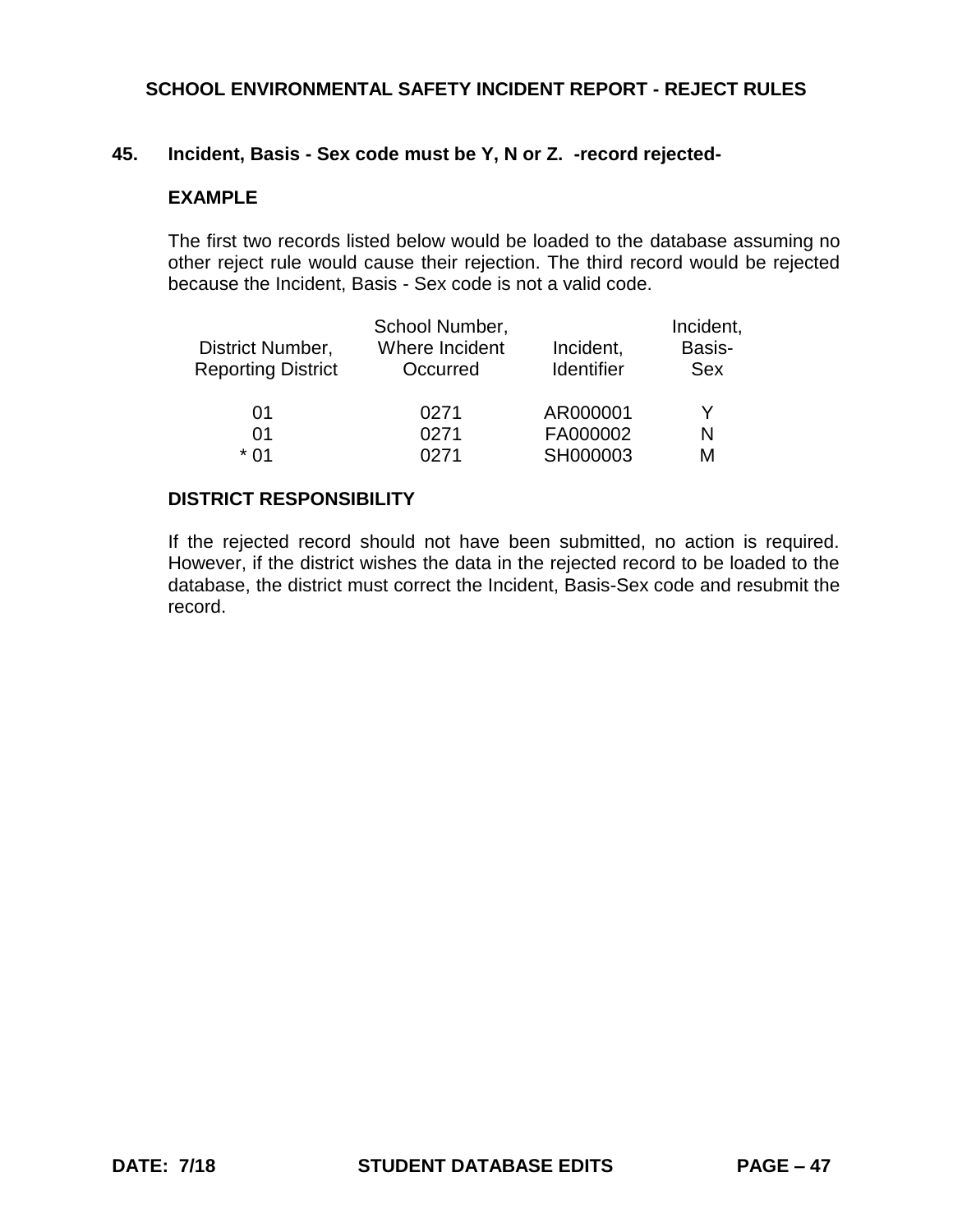### **45. Incident, Basis - Sex code must be Y, N or Z. -record rejected-**

### **EXAMPLE**

The first two records listed below would be loaded to the database assuming no other reject rule would cause their rejection. The third record would be rejected because the Incident, Basis - Sex code is not a valid code.

| District Number,<br><b>Reporting District</b> | School Number,<br>Where Incident<br>Occurred | Incident,<br>Identifier | Incident,<br>Basis-<br>Sex |  |
|-----------------------------------------------|----------------------------------------------|-------------------------|----------------------------|--|
| 01                                            | 0271                                         | AR000001                | Y                          |  |
| 01                                            | 0271                                         | FA000002                | N                          |  |
| * በ1                                          | <b>0271</b>                                  | SH000003                | М                          |  |

#### **DISTRICT RESPONSIBILITY**

If the rejected record should not have been submitted, no action is required. However, if the district wishes the data in the rejected record to be loaded to the database, the district must correct the Incident, Basis-Sex code and resubmit the record.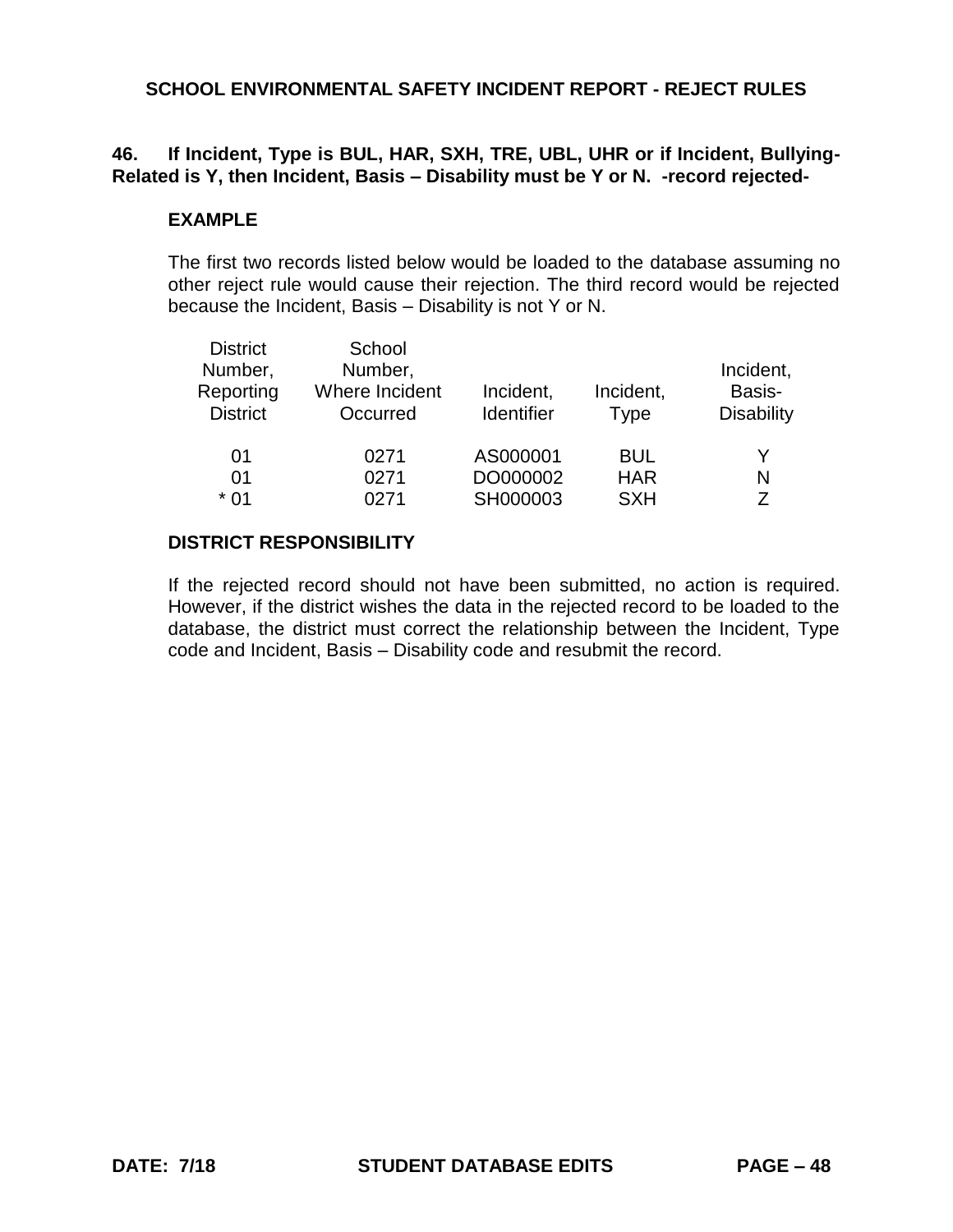## **46. If Incident, Type is BUL, HAR, SXH, TRE, UBL, UHR or if Incident, Bullying-Related is Y, then Incident, Basis – Disability must be Y or N. -record rejected-**

#### **EXAMPLE**

The first two records listed below would be loaded to the database assuming no other reject rule would cause their rejection. The third record would be rejected because the Incident, Basis – Disability is not Y or N.

| <b>District</b><br>Number,<br>Reporting<br><b>District</b> | School<br>Number,<br>Where Incident<br>Occurred | Incident,<br><b>Identifier</b> | Incident,<br><b>Type</b> | Incident,<br>Basis-<br><b>Disability</b> |
|------------------------------------------------------------|-------------------------------------------------|--------------------------------|--------------------------|------------------------------------------|
| 01<br>01                                                   | 0271<br>0271                                    | AS000001<br>DO000002           | <b>BUL</b><br><b>HAR</b> | N                                        |
| $*01$                                                      | 0271                                            | SH000003                       | <b>SXH</b>               | 7                                        |

#### **DISTRICT RESPONSIBILITY**

If the rejected record should not have been submitted, no action is required. However, if the district wishes the data in the rejected record to be loaded to the database, the district must correct the relationship between the Incident, Type code and Incident, Basis – Disability code and resubmit the record.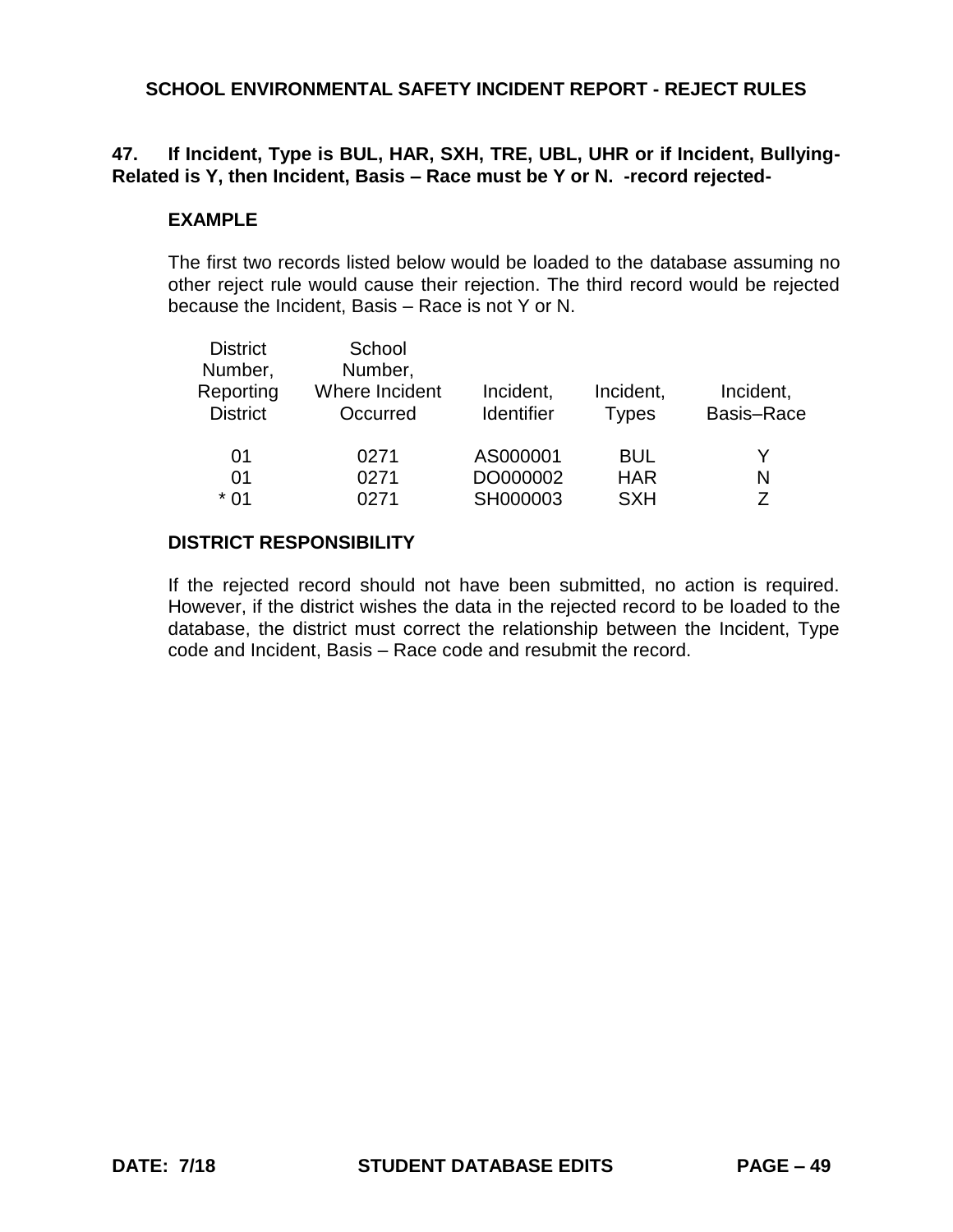## **47. If Incident, Type is BUL, HAR, SXH, TRE, UBL, UHR or if Incident, Bullying-Related is Y, then Incident, Basis – Race must be Y or N. -record rejected-**

#### **EXAMPLE**

The first two records listed below would be loaded to the database assuming no other reject rule would cause their rejection. The third record would be rejected because the Incident, Basis – Race is not Y or N.

| <b>District</b><br>Number,<br>Reporting<br><b>District</b> | School<br>Number,<br>Where Incident<br>Occurred | Incident,<br><b>Identifier</b> | Incident,<br><b>Types</b> | Incident,<br><b>Basis-Race</b> |
|------------------------------------------------------------|-------------------------------------------------|--------------------------------|---------------------------|--------------------------------|
| 01                                                         | 0271                                            | AS000001                       | BUL                       | Y                              |
| 01<br>$*01$                                                | 0271<br>0271                                    | DO000002<br>SH000003           | <b>HAR</b><br><b>SXH</b>  | N<br>7                         |

#### **DISTRICT RESPONSIBILITY**

If the rejected record should not have been submitted, no action is required. However, if the district wishes the data in the rejected record to be loaded to the database, the district must correct the relationship between the Incident, Type code and Incident, Basis – Race code and resubmit the record.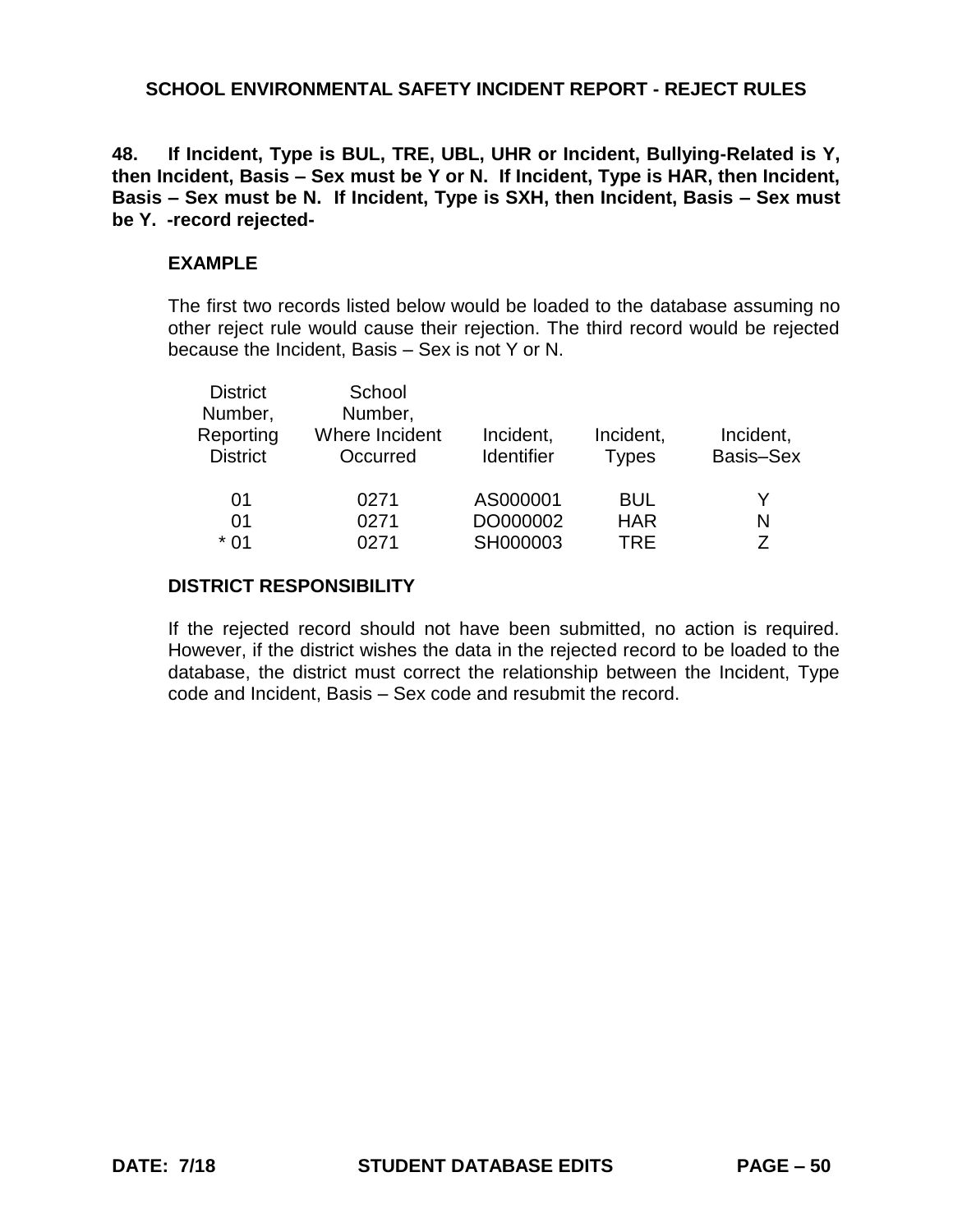**48. If Incident, Type is BUL, TRE, UBL, UHR or Incident, Bullying-Related is Y, then Incident, Basis – Sex must be Y or N. If Incident, Type is HAR, then Incident, Basis – Sex must be N. If Incident, Type is SXH, then Incident, Basis – Sex must be Y. -record rejected-**

### **EXAMPLE**

The first two records listed below would be loaded to the database assuming no other reject rule would cause their rejection. The third record would be rejected because the Incident, Basis – Sex is not Y or N.

| School<br>Number,<br>Where Incident<br>Occurred | Incident,<br><b>Identifier</b> | Incident,<br><b>Types</b> | Incident,<br>Basis-Sex |
|-------------------------------------------------|--------------------------------|---------------------------|------------------------|
| 0271                                            | AS000001                       | <b>BUL</b>                | Y                      |
| 0271                                            | DO000002                       | <b>HAR</b>                | N                      |
| 0271                                            | SH000003                       | TRF                       | 7                      |
|                                                 |                                |                           |                        |

#### **DISTRICT RESPONSIBILITY**

If the rejected record should not have been submitted, no action is required. However, if the district wishes the data in the rejected record to be loaded to the database, the district must correct the relationship between the Incident, Type code and Incident, Basis – Sex code and resubmit the record.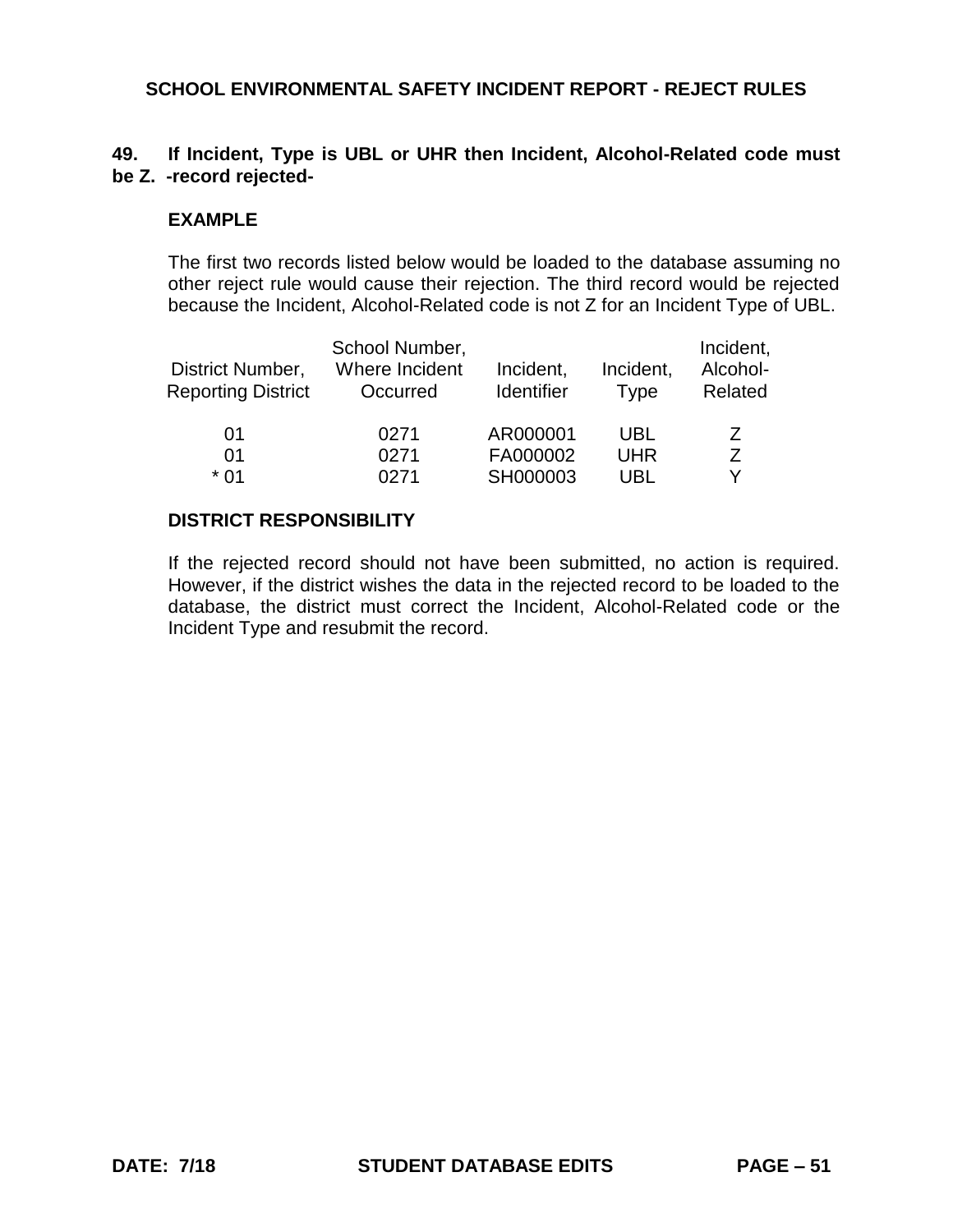## **49. If Incident, Type is UBL or UHR then Incident, Alcohol-Related code must be Z. -record rejected-**

#### **EXAMPLE**

The first two records listed below would be loaded to the database assuming no other reject rule would cause their rejection. The third record would be rejected because the Incident, Alcohol-Related code is not Z for an Incident Type of UBL.

| District Number,<br><b>Reporting District</b> | School Number,<br>Where Incident<br>Occurred | Incident,<br>Identifier | Incident,<br>Type | Incident,<br>Alcohol-<br>Related |
|-----------------------------------------------|----------------------------------------------|-------------------------|-------------------|----------------------------------|
| 01<br>01                                      | 0271<br>0271                                 | AR000001<br>FA000002    | UBL<br><b>UHR</b> | Ζ<br>7                           |
| * በ1                                          | በ271                                         | SH000003                | UBL               | Y                                |

#### **DISTRICT RESPONSIBILITY**

If the rejected record should not have been submitted, no action is required. However, if the district wishes the data in the rejected record to be loaded to the database, the district must correct the Incident, Alcohol-Related code or the Incident Type and resubmit the record.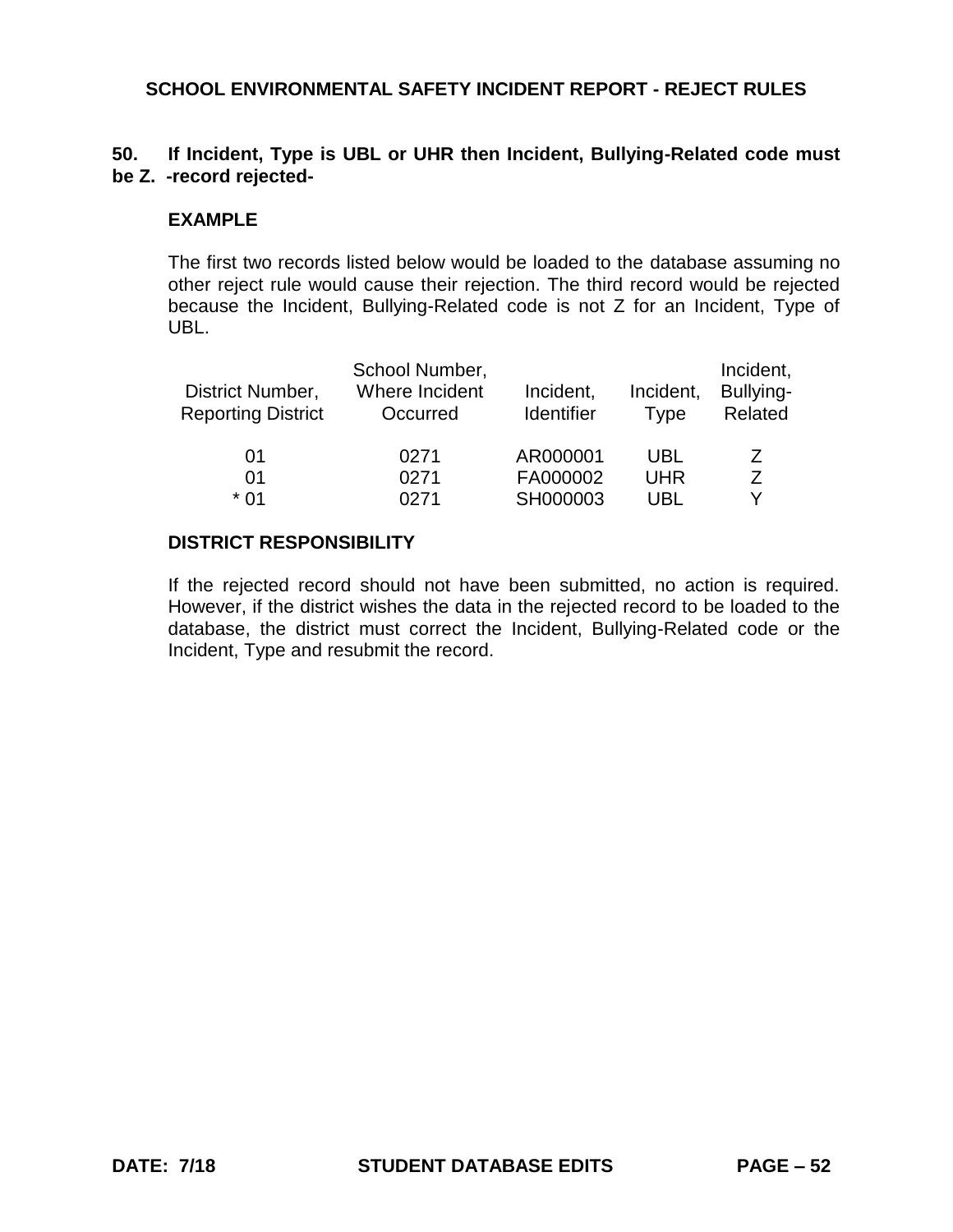## **50. If Incident, Type is UBL or UHR then Incident, Bullying-Related code must be Z. -record rejected-**

### **EXAMPLE**

The first two records listed below would be loaded to the database assuming no other reject rule would cause their rejection. The third record would be rejected because the Incident, Bullying-Related code is not Z for an Incident, Type of UBL.

| District Number,<br><b>Reporting District</b> | School Number,<br>Where Incident<br>Occurred | Incident,<br><b>Identifier</b> | Incident,<br><b>Type</b> | Incident,<br>Bullying-<br>Related |
|-----------------------------------------------|----------------------------------------------|--------------------------------|--------------------------|-----------------------------------|
| 01                                            | 0271                                         | AR000001                       | <b>UBL</b>               | Ζ                                 |
| 01                                            | 0271                                         | FA000002                       | <b>UHR</b>               | 7                                 |
| * በ1                                          | 0271                                         | SH000003                       | UBL                      |                                   |

### **DISTRICT RESPONSIBILITY**

If the rejected record should not have been submitted, no action is required. However, if the district wishes the data in the rejected record to be loaded to the database, the district must correct the Incident, Bullying-Related code or the Incident, Type and resubmit the record.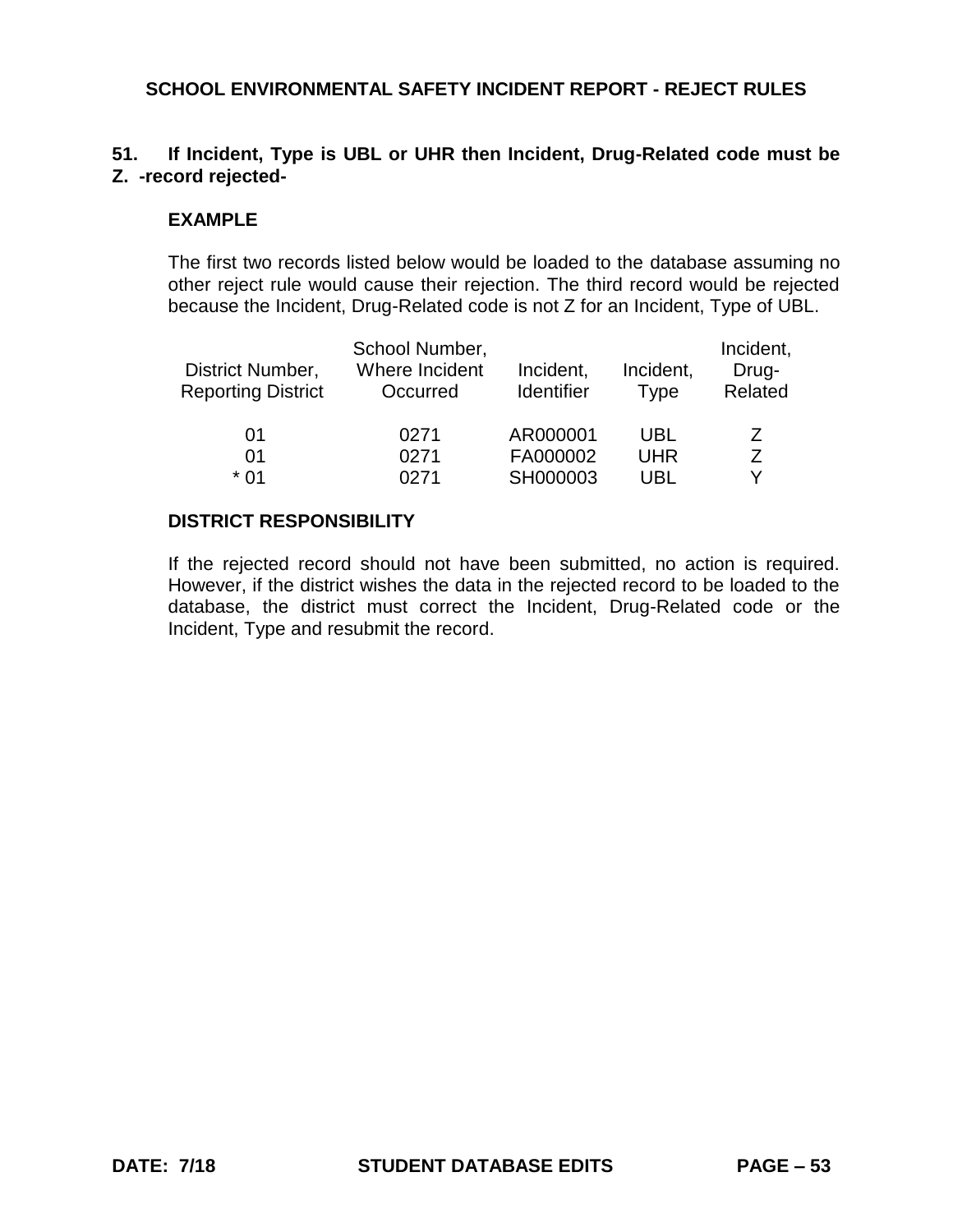# **51. If Incident, Type is UBL or UHR then Incident, Drug-Related code must be Z. -record rejected-**

### **EXAMPLE**

The first two records listed below would be loaded to the database assuming no other reject rule would cause their rejection. The third record would be rejected because the Incident, Drug-Related code is not Z for an Incident, Type of UBL.

| District Number,<br><b>Reporting District</b> | School Number,<br>Where Incident<br>Occurred | Incident,<br>Identifier | Incident,<br><b>Type</b> | Incident,<br>Drug-<br>Related |
|-----------------------------------------------|----------------------------------------------|-------------------------|--------------------------|-------------------------------|
| 01                                            | 0271                                         | AR000001                | UBL                      | Z                             |
| 01                                            | 0271                                         | FA000002                | <b>UHR</b>               | 7                             |
| * በ1                                          | 0271                                         | SH000003                | UBL                      | v                             |

### **DISTRICT RESPONSIBILITY**

If the rejected record should not have been submitted, no action is required. However, if the district wishes the data in the rejected record to be loaded to the database, the district must correct the Incident, Drug-Related code or the Incident, Type and resubmit the record.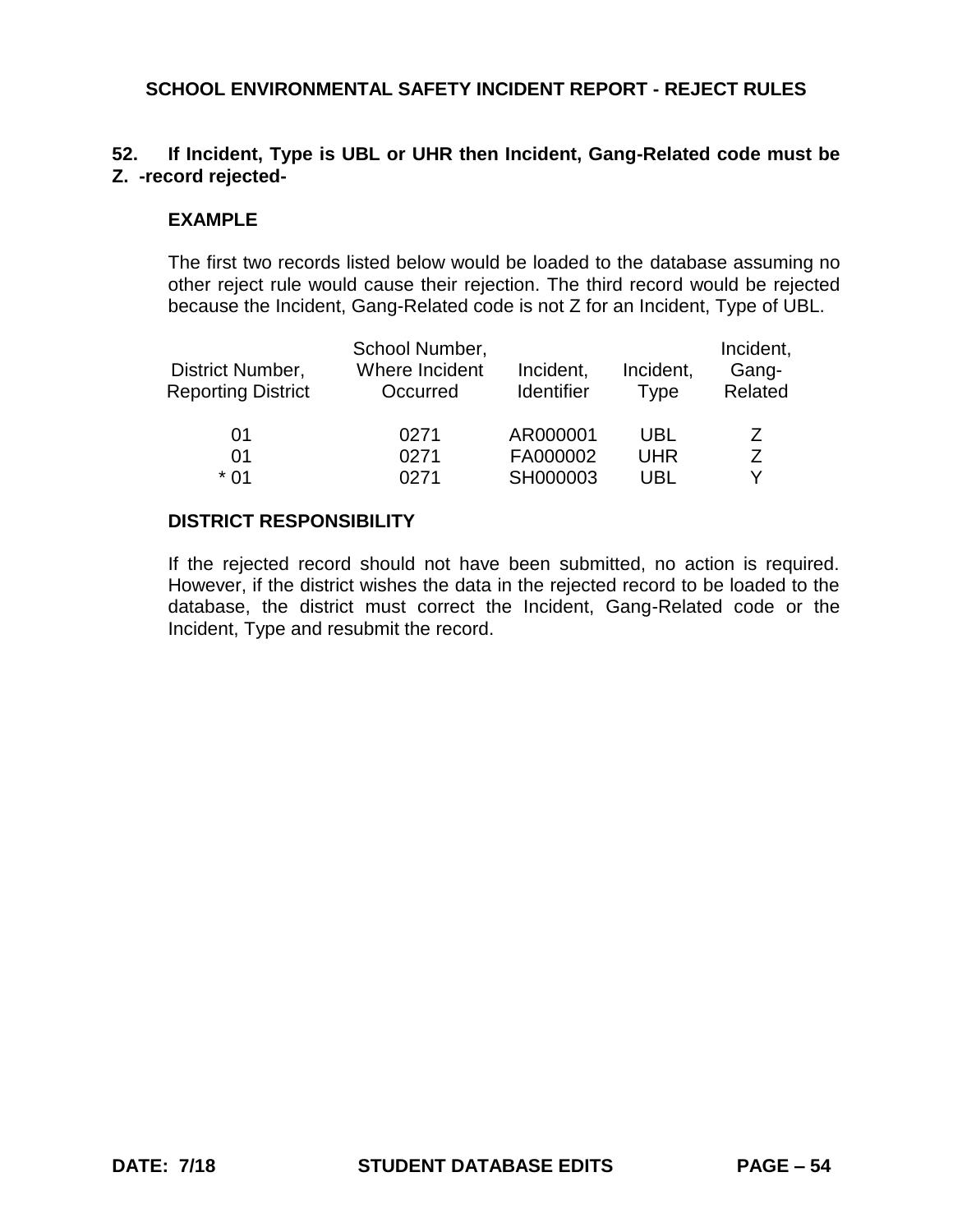# **52. If Incident, Type is UBL or UHR then Incident, Gang-Related code must be Z. -record rejected-**

### **EXAMPLE**

The first two records listed below would be loaded to the database assuming no other reject rule would cause their rejection. The third record would be rejected because the Incident, Gang-Related code is not Z for an Incident, Type of UBL.

| District Number,<br><b>Reporting District</b> | School Number,<br>Where Incident<br>Occurred | Incident,<br>Identifier |            | Incident,<br>Gang-<br>Related |
|-----------------------------------------------|----------------------------------------------|-------------------------|------------|-------------------------------|
| 01<br>01                                      | 0271<br>0271                                 | AR000001<br>FA000002    | UBL<br>UHR | 7<br>7                        |
| * በ1                                          | 0271                                         | SH000003                | UBL        | v                             |

### **DISTRICT RESPONSIBILITY**

If the rejected record should not have been submitted, no action is required. However, if the district wishes the data in the rejected record to be loaded to the database, the district must correct the Incident, Gang-Related code or the Incident, Type and resubmit the record.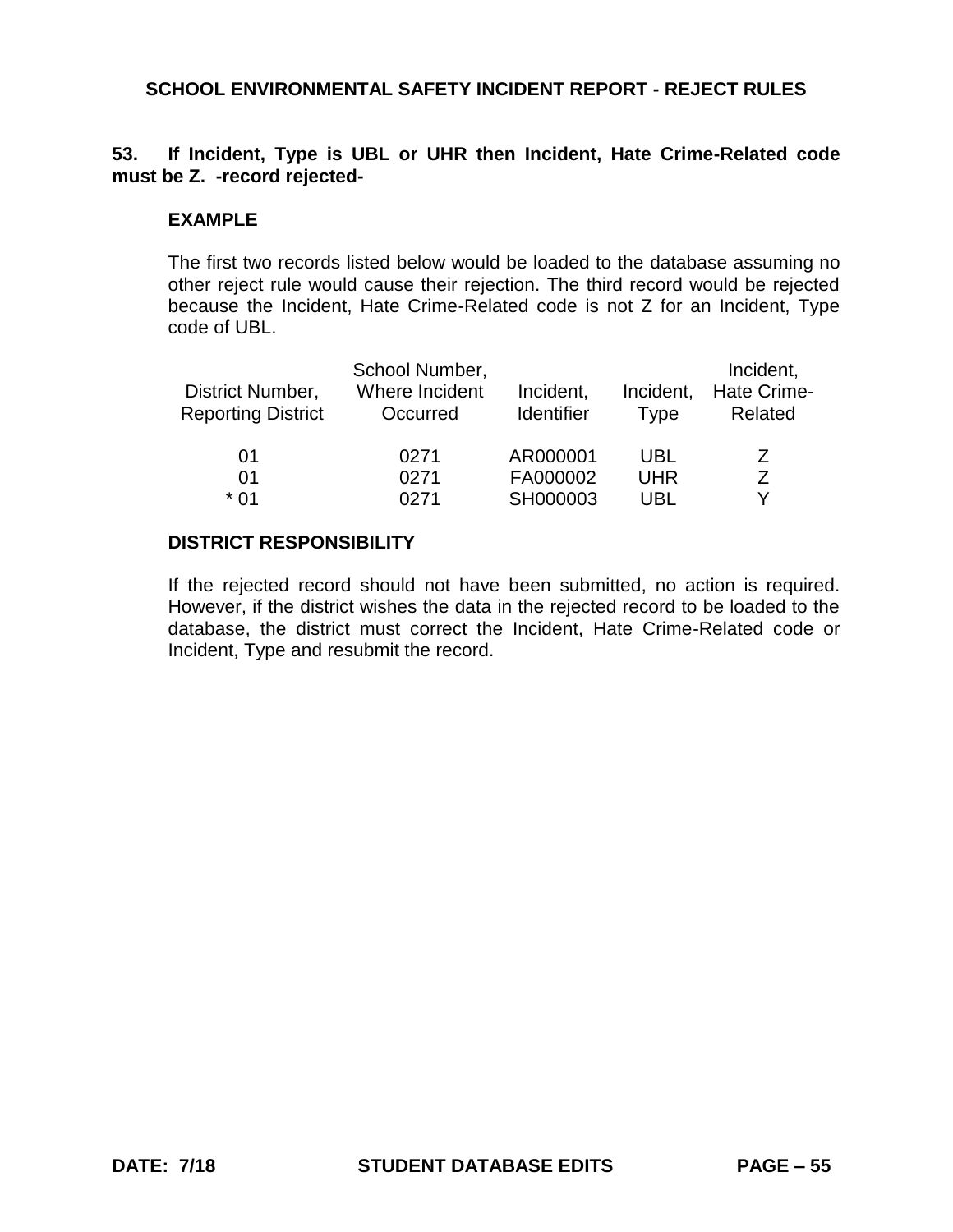## **53. If Incident, Type is UBL or UHR then Incident, Hate Crime-Related code must be Z. -record rejected-**

#### **EXAMPLE**

The first two records listed below would be loaded to the database assuming no other reject rule would cause their rejection. The third record would be rejected because the Incident, Hate Crime-Related code is not Z for an Incident, Type code of UBL.

| District Number,<br><b>Reporting District</b> | School Number,<br>Where Incident<br>Occurred | Incident,<br>Identifier | Incident,<br><b>Type</b> | Incident,<br><b>Hate Crime-</b><br>Related |
|-----------------------------------------------|----------------------------------------------|-------------------------|--------------------------|--------------------------------------------|
| 01                                            | 0271                                         | AR000001                | UBL                      | $\prime$                                   |
| 01                                            | 0271                                         | FA000002                | <b>UHR</b>               |                                            |
| * በ1                                          | 0271                                         | SH000003                | UBL                      |                                            |

#### **DISTRICT RESPONSIBILITY**

If the rejected record should not have been submitted, no action is required. However, if the district wishes the data in the rejected record to be loaded to the database, the district must correct the Incident, Hate Crime-Related code or Incident, Type and resubmit the record.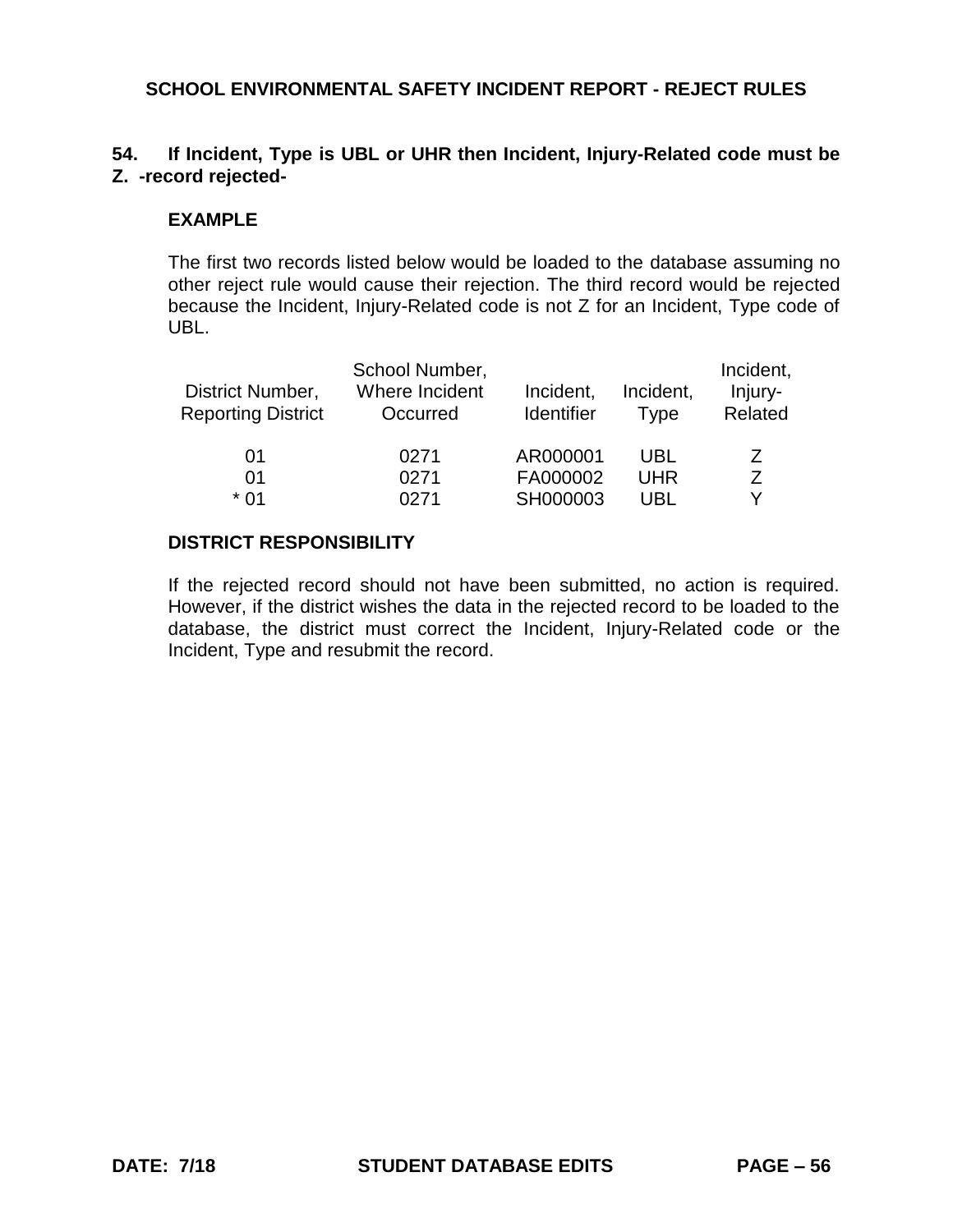# **54. If Incident, Type is UBL or UHR then Incident, Injury-Related code must be Z. -record rejected-**

### **EXAMPLE**

The first two records listed below would be loaded to the database assuming no other reject rule would cause their rejection. The third record would be rejected because the Incident, Injury-Related code is not Z for an Incident, Type code of UBL.

| District Number,<br><b>Reporting District</b> | School Number,<br>Where Incident<br>Occurred | Incident,<br><b>Identifier</b> | Incident,<br><b>Type</b> | Incident,<br>Injury-<br>Related |
|-----------------------------------------------|----------------------------------------------|--------------------------------|--------------------------|---------------------------------|
| 01                                            | 0271                                         | AR000001                       | UBL                      | 7                               |
| 01                                            | 0271                                         | FA000002                       | <b>UHR</b>               | 7                               |
| * በ1                                          | 0271                                         | SH000003                       | UBL                      | v                               |

### **DISTRICT RESPONSIBILITY**

If the rejected record should not have been submitted, no action is required. However, if the district wishes the data in the rejected record to be loaded to the database, the district must correct the Incident, Injury-Related code or the Incident, Type and resubmit the record.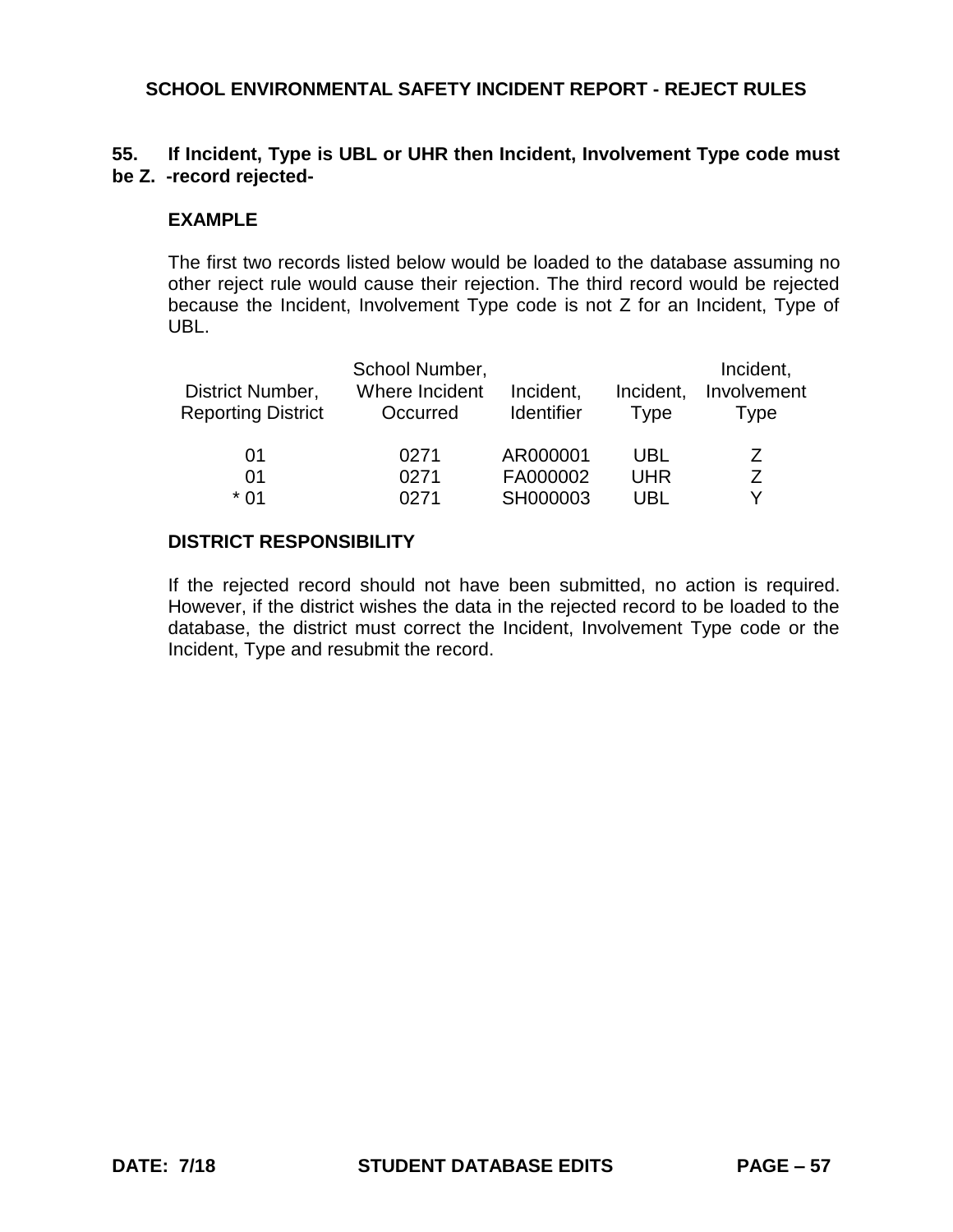## **55. If Incident, Type is UBL or UHR then Incident, Involvement Type code must be Z. -record rejected-**

#### **EXAMPLE**

The first two records listed below would be loaded to the database assuming no other reject rule would cause their rejection. The third record would be rejected because the Incident, Involvement Type code is not Z for an Incident, Type of UBL.

| District Number,<br><b>Reporting District</b> | School Number,<br>Where Incident<br>Occurred | Incident,<br><b>Identifier</b> | Incident,<br>Type | Incident,<br>Involvement<br>Type |
|-----------------------------------------------|----------------------------------------------|--------------------------------|-------------------|----------------------------------|
| 01                                            | 0271                                         | AR000001                       | <b>UBL</b>        |                                  |
| 01                                            | 0271                                         | FA000002                       | <b>UHR</b>        |                                  |
| * በ1                                          | በ271                                         | SH000003                       | UBL               |                                  |

## **DISTRICT RESPONSIBILITY**

If the rejected record should not have been submitted, no action is required. However, if the district wishes the data in the rejected record to be loaded to the database, the district must correct the Incident, Involvement Type code or the Incident, Type and resubmit the record.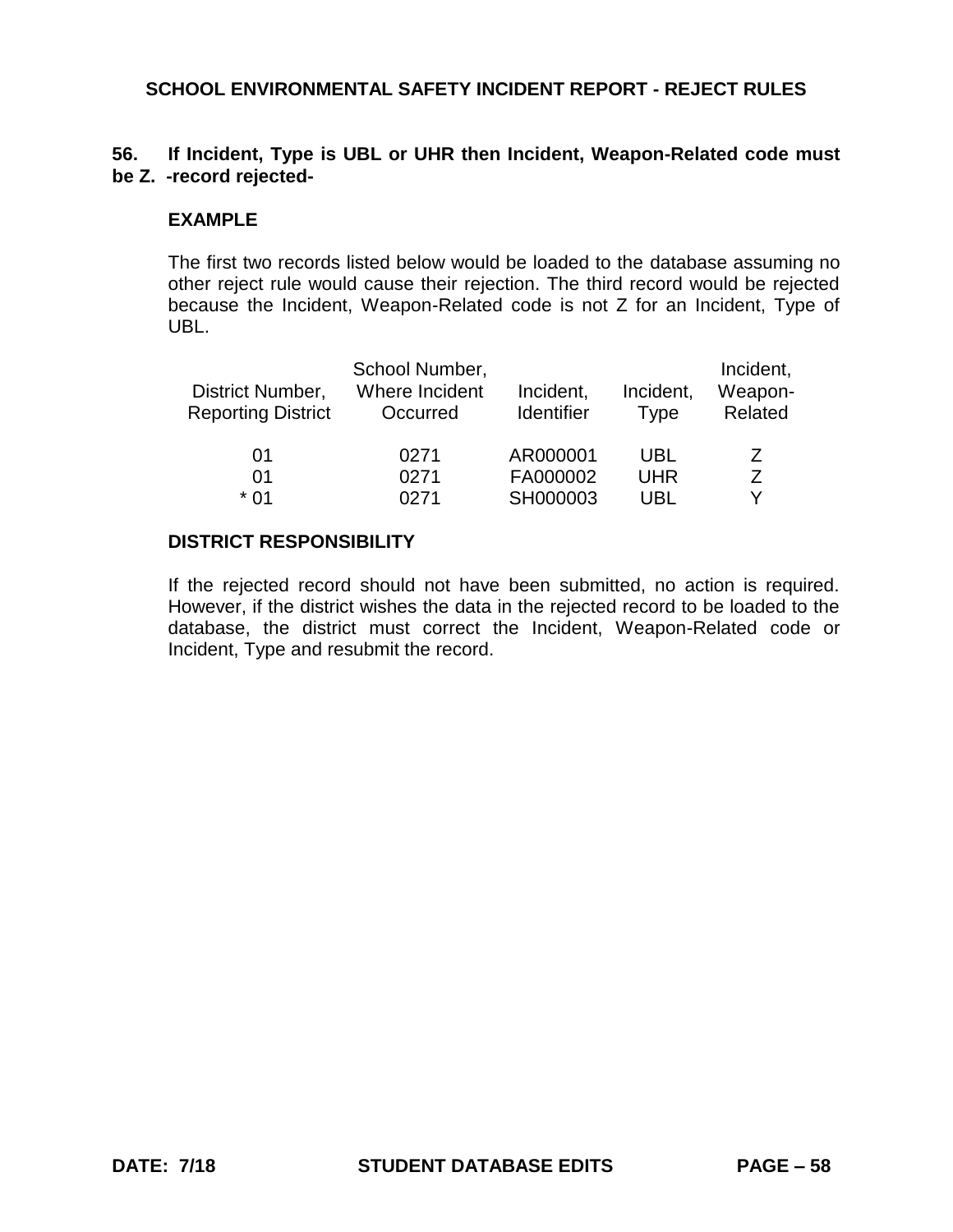## **56. If Incident, Type is UBL or UHR then Incident, Weapon-Related code must be Z. -record rejected-**

#### **EXAMPLE**

The first two records listed below would be loaded to the database assuming no other reject rule would cause their rejection. The third record would be rejected because the Incident, Weapon-Related code is not Z for an Incident, Type of UBL.

| District Number,<br><b>Reporting District</b> | School Number,<br>Where Incident<br>Occurred | Incident,<br>Identifier | Incident,<br><b>Type</b> | Incident,<br>Weapon-<br>Related |
|-----------------------------------------------|----------------------------------------------|-------------------------|--------------------------|---------------------------------|
| 01                                            | 0271                                         | AR000001                | UBL                      | Ζ                               |
| 01                                            | 0271                                         | FA000002                | <b>UHR</b>               | 7                               |
| * በ1                                          | 0271                                         | SH000003                | <b>UBL</b>               | v                               |

### **DISTRICT RESPONSIBILITY**

If the rejected record should not have been submitted, no action is required. However, if the district wishes the data in the rejected record to be loaded to the database, the district must correct the Incident, Weapon-Related code or Incident, Type and resubmit the record.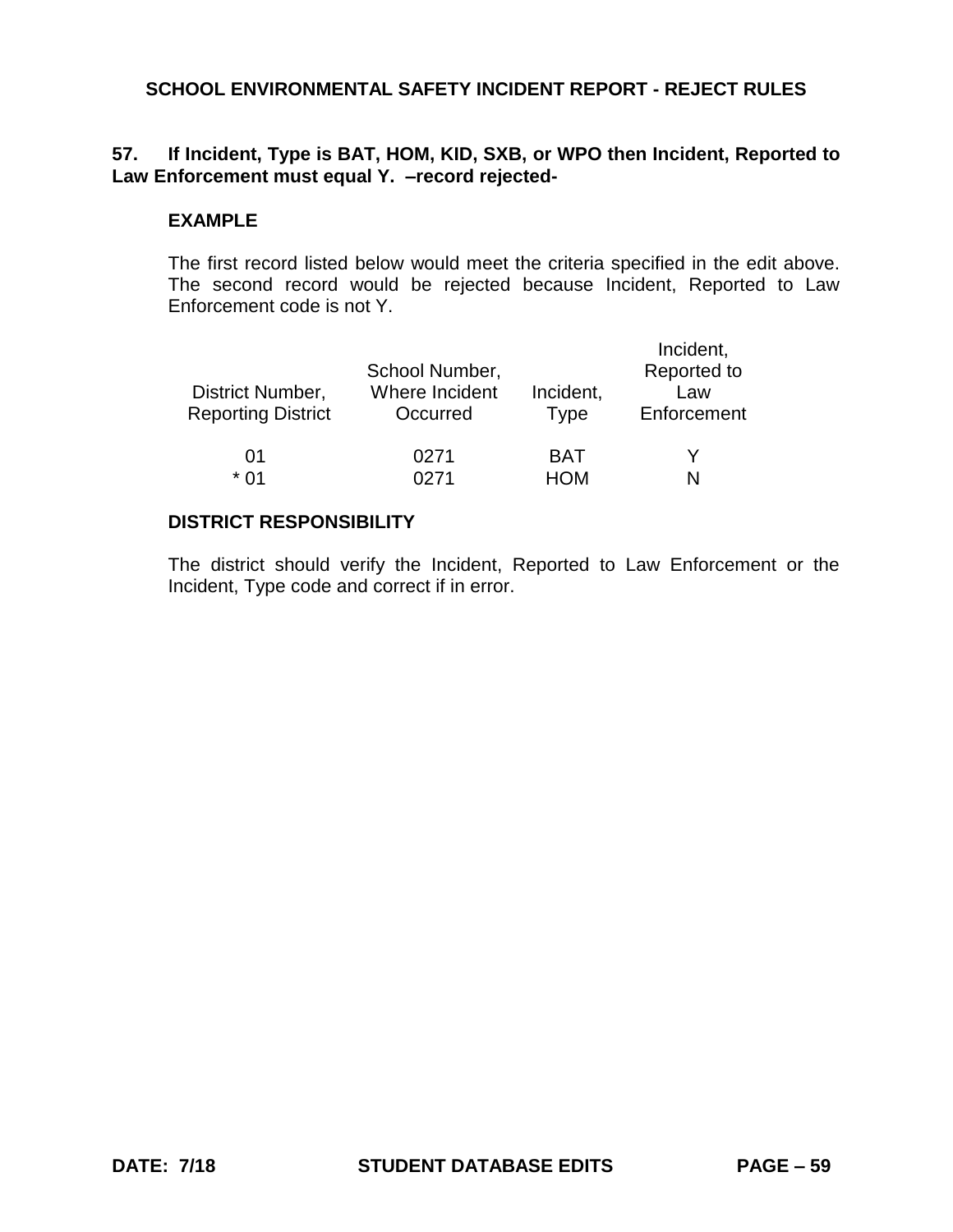# **57. If Incident, Type is BAT, HOM, KID, SXB, or WPO then Incident, Reported to Law Enforcement must equal Y. –record rejected-**

### **EXAMPLE**

The first record listed below would meet the criteria specified in the edit above. The second record would be rejected because Incident, Reported to Law Enforcement code is not Y.

| District Number,<br><b>Reporting District</b> | School Number,<br>Where Incident<br>Occurred | Incident,<br><b>Type</b> | Incident,<br>Reported to<br>Law<br>Enforcement |
|-----------------------------------------------|----------------------------------------------|--------------------------|------------------------------------------------|
| 01                                            | 0271                                         | <b>BAT</b>               |                                                |
| * በ1                                          | በ271                                         | HOM                      |                                                |

## **DISTRICT RESPONSIBILITY**

The district should verify the Incident, Reported to Law Enforcement or the Incident, Type code and correct if in error.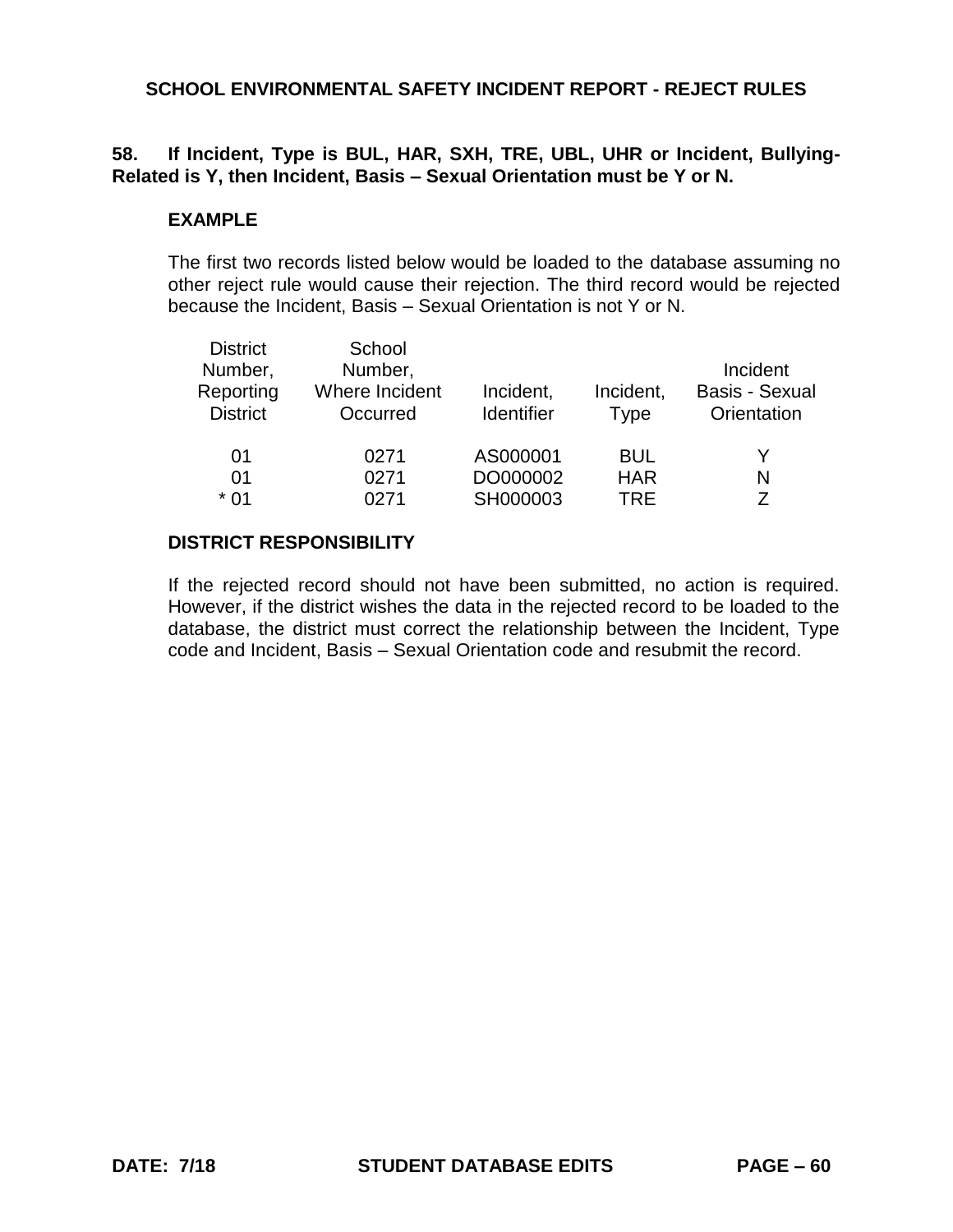# **58. If Incident, Type is BUL, HAR, SXH, TRE, UBL, UHR or Incident, Bullying-Related is Y, then Incident, Basis – Sexual Orientation must be Y or N.**

#### **EXAMPLE**

The first two records listed below would be loaded to the database assuming no other reject rule would cause their rejection. The third record would be rejected because the Incident, Basis – Sexual Orientation is not Y or N.

| <b>District</b><br>Number,<br>Reporting<br><b>District</b> | School<br>Number,<br>Where Incident<br>Occurred | Incident,<br><b>Identifier</b> | Incident,<br><b>Type</b> | Incident<br><b>Basis - Sexual</b><br>Orientation |
|------------------------------------------------------------|-------------------------------------------------|--------------------------------|--------------------------|--------------------------------------------------|
| 01                                                         | 0271                                            | AS000001                       | <b>BUL</b>               | Y                                                |
| 01                                                         | 0271                                            | DO000002                       | <b>HAR</b>               | N                                                |
| $*01$                                                      | 0271                                            | SH000003                       | <b>TRE</b>               | 7                                                |

### **DISTRICT RESPONSIBILITY**

If the rejected record should not have been submitted, no action is required. However, if the district wishes the data in the rejected record to be loaded to the database, the district must correct the relationship between the Incident, Type code and Incident, Basis – Sexual Orientation code and resubmit the record.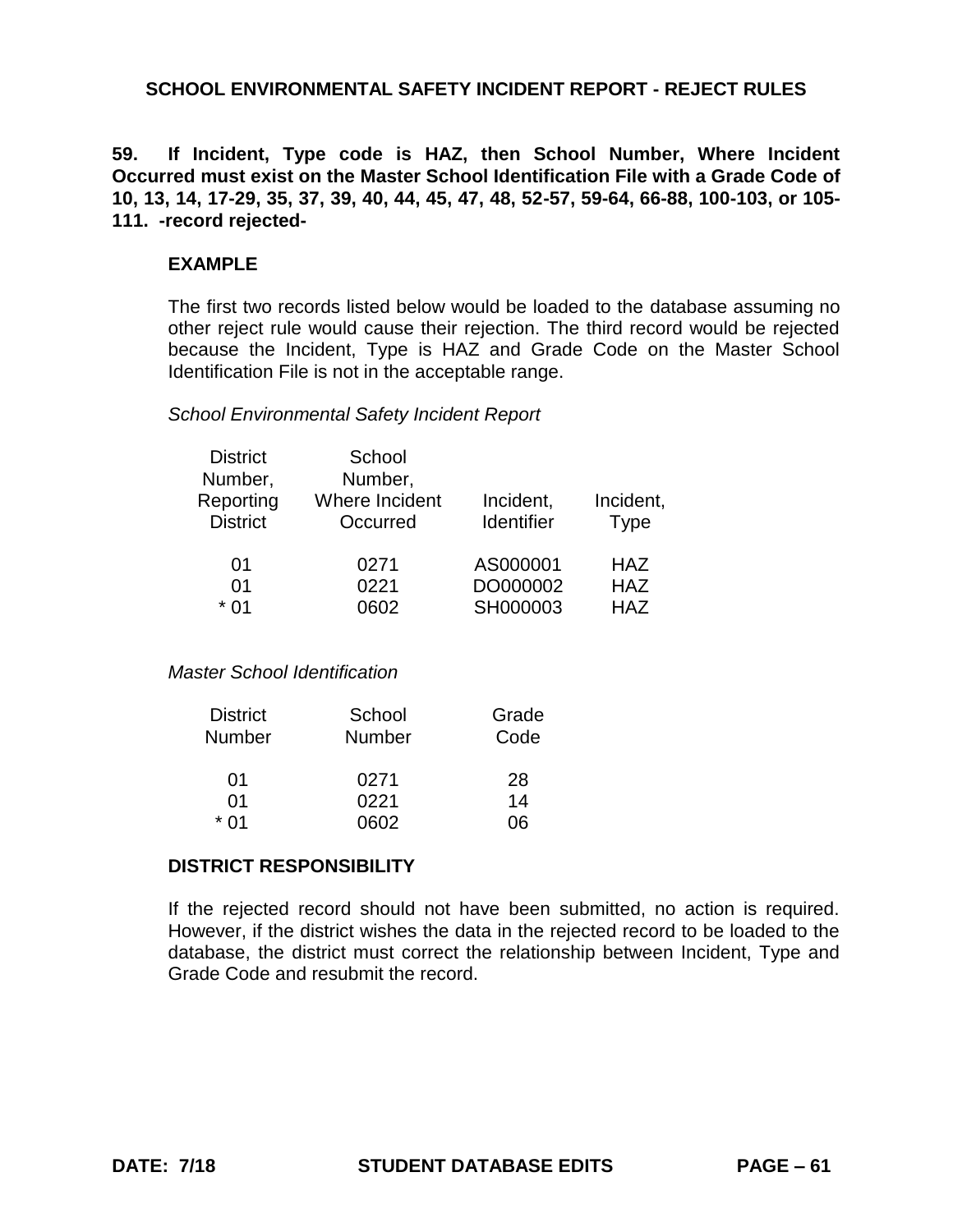**59. If Incident, Type code is HAZ, then School Number, Where Incident Occurred must exist on the Master School Identification File with a Grade Code of 10, 13, 14, 17-29, 35, 37, 39, 40, 44, 45, 47, 48, 52-57, 59-64, 66-88, 100-103, or 105- 111. -record rejected-**

#### **EXAMPLE**

The first two records listed below would be loaded to the database assuming no other reject rule would cause their rejection. The third record would be rejected because the Incident, Type is HAZ and Grade Code on the Master School Identification File is not in the acceptable range.

### *School Environmental Safety Incident Report*

| School         |                   |                      |
|----------------|-------------------|----------------------|
| Number,        |                   |                      |
| Where Incident | Incident,         | Incident,            |
| Occurred       | <b>Identifier</b> | <b>Type</b>          |
|                |                   | <b>HAZ</b>           |
| 0221           |                   | <b>HAZ</b>           |
| 0602           | SH000003          | <b>HAZ</b>           |
|                | 0271              | AS000001<br>DO000002 |

#### *Master School Identification*

| <b>District</b><br><b>Number</b> | School<br><b>Number</b> | Grade<br>Code |
|----------------------------------|-------------------------|---------------|
| 01                               | 0271                    | 28            |
| 01                               | 0221                    | 14            |
| * በ1                             | በ6በ2                    | ገፍ            |

#### **DISTRICT RESPONSIBILITY**

If the rejected record should not have been submitted, no action is required. However, if the district wishes the data in the rejected record to be loaded to the database, the district must correct the relationship between Incident, Type and Grade Code and resubmit the record.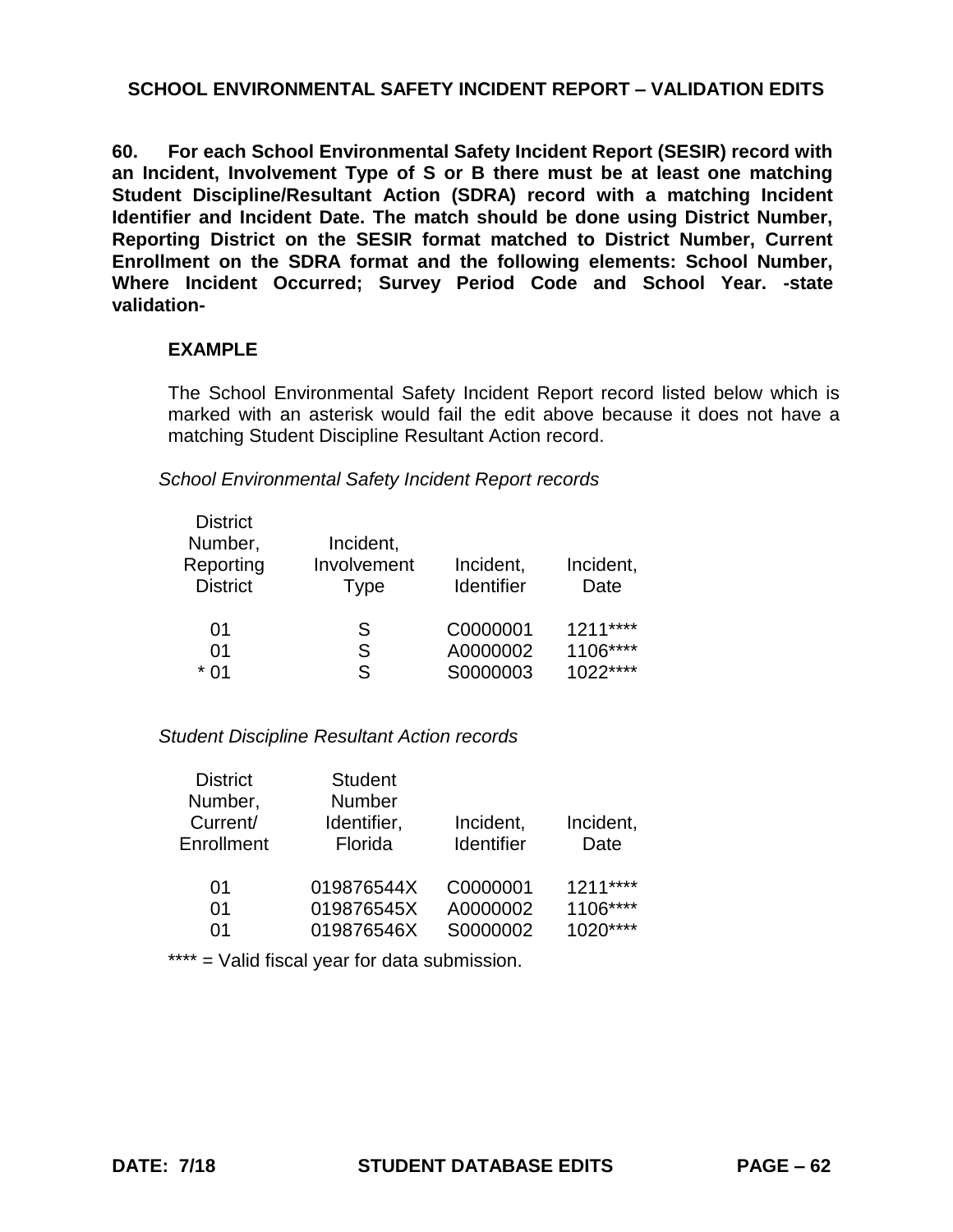**60. For each School Environmental Safety Incident Report (SESIR) record with an Incident, Involvement Type of S or B there must be at least one matching Student Discipline/Resultant Action (SDRA) record with a matching Incident Identifier and Incident Date. The match should be done using District Number, Reporting District on the SESIR format matched to District Number, Current Enrollment on the SDRA format and the following elements: School Number, Where Incident Occurred; Survey Period Code and School Year. -state validation-**

### **EXAMPLE**

The School Environmental Safety Incident Report record listed below which is marked with an asterisk would fail the edit above because it does not have a matching Student Discipline Resultant Action record.

*School Environmental Safety Incident Report records*

| <b>District</b> |             |                   |           |
|-----------------|-------------|-------------------|-----------|
| Number,         | Incident,   |                   |           |
| Reporting       | Involvement | Incident,         | Incident, |
| <b>District</b> | Type        | <b>Identifier</b> | Date      |
|                 |             |                   |           |
| 01              | S           | C0000001          | $1211***$ |
| 01              | S           | A0000002          | 1106****  |
| * በ1            | S           | S0000003          | $1022***$ |
|                 |             |                   |           |

## *Student Discipline Resultant Action records*

| <b>District</b> | <b>Student</b> |                   |           |
|-----------------|----------------|-------------------|-----------|
| Number,         | <b>Number</b>  |                   |           |
| Current/        | Identifier,    | Incident,         | Incident, |
| Enrollment      | Florida        | <b>Identifier</b> | Date      |
|                 |                |                   |           |
| 01              | 019876544X     | C0000001          | $1211***$ |
| 01              | 019876545X     | A0000002          | 1106****  |
| ሰ1              | 019876546X     | S0000002          | $1020***$ |

\*\*\*\* = Valid fiscal year for data submission.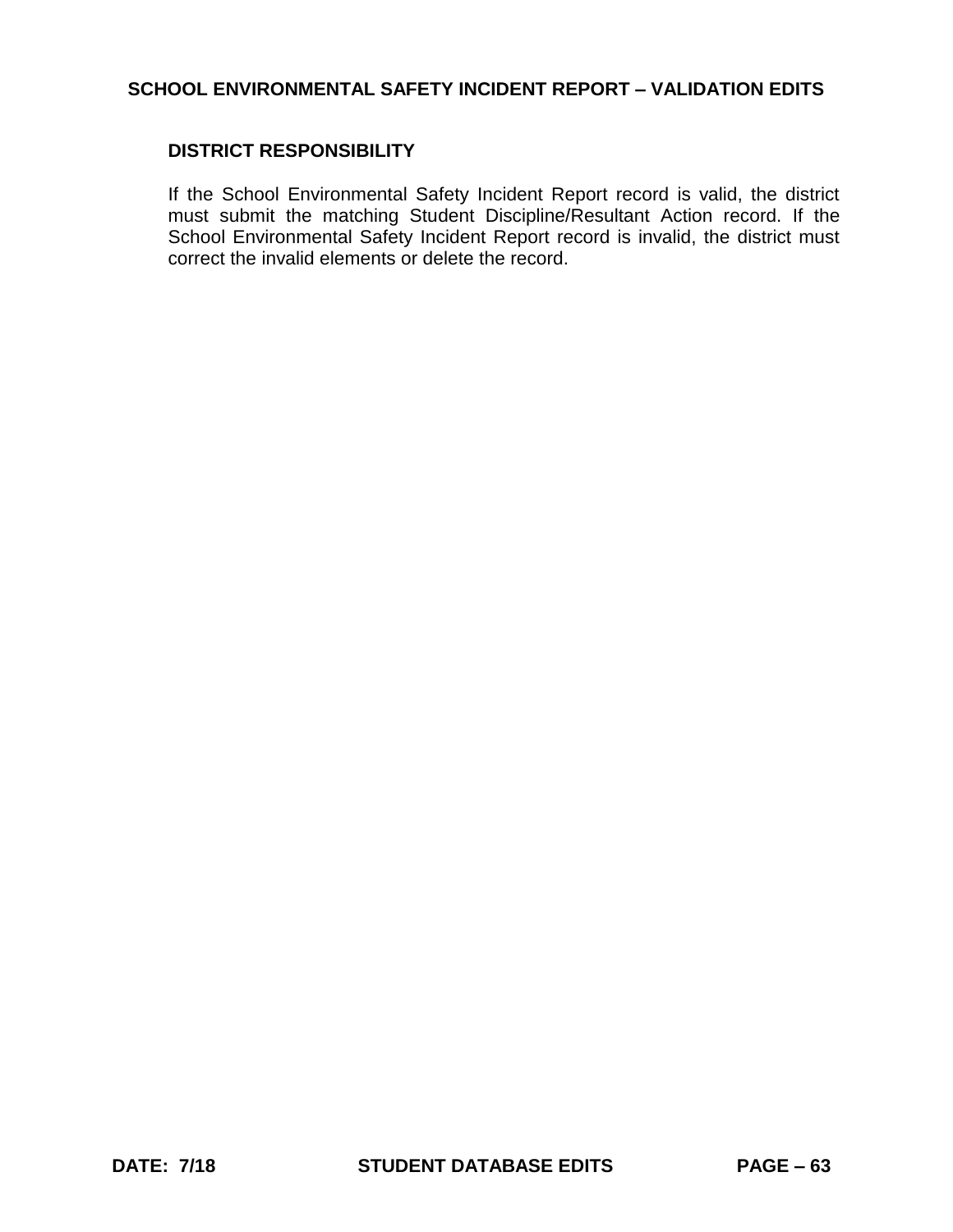### **DISTRICT RESPONSIBILITY**

If the School Environmental Safety Incident Report record is valid, the district must submit the matching Student Discipline/Resultant Action record. If the School Environmental Safety Incident Report record is invalid, the district must correct the invalid elements or delete the record.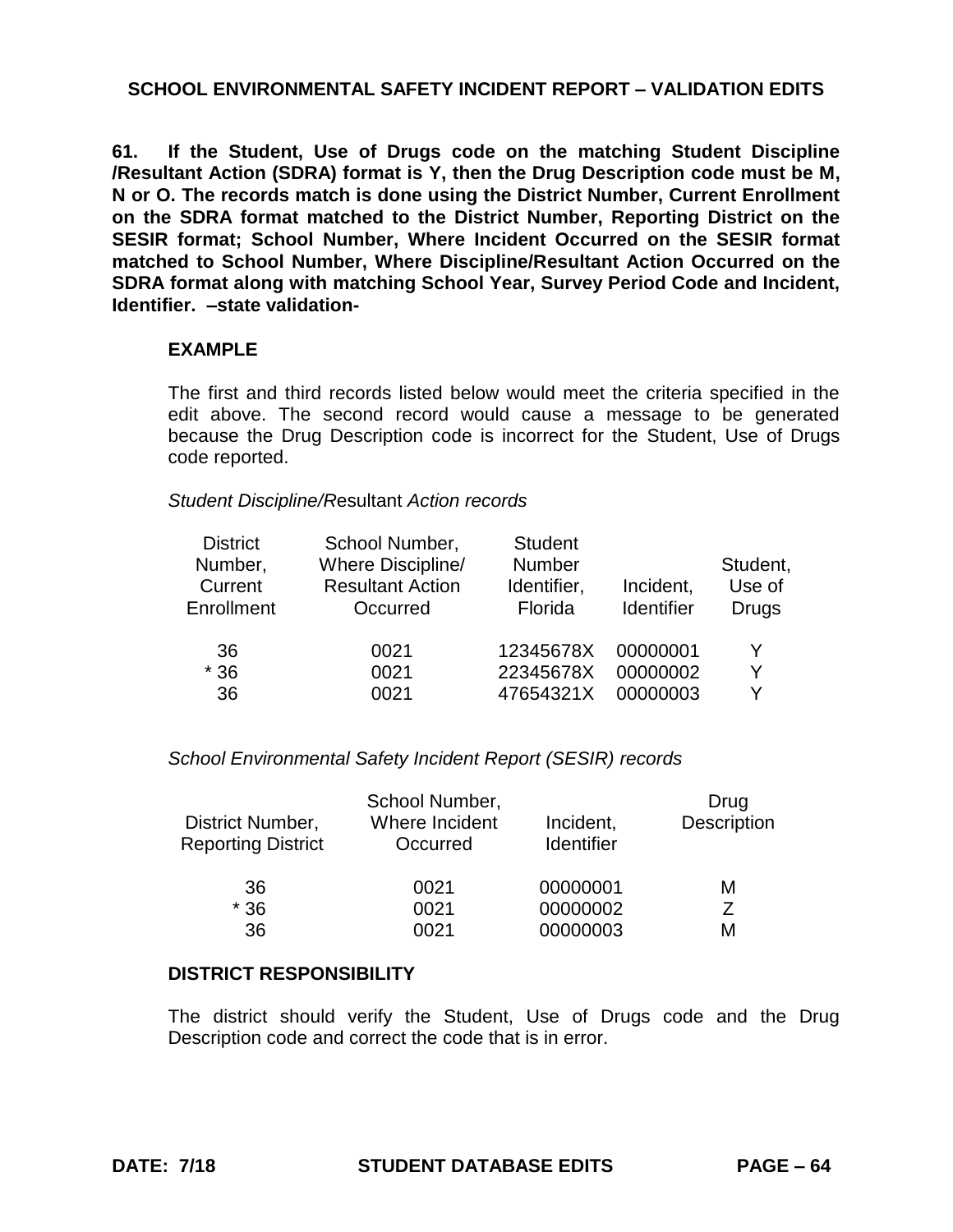**61. If the Student, Use of Drugs code on the matching Student Discipline /Resultant Action (SDRA) format is Y, then the Drug Description code must be M, N or O. The records match is done using the District Number, Current Enrollment on the SDRA format matched to the District Number, Reporting District on the SESIR format; School Number, Where Incident Occurred on the SESIR format matched to School Number, Where Discipline/Resultant Action Occurred on the SDRA format along with matching School Year, Survey Period Code and Incident, Identifier. –state validation-**

### **EXAMPLE**

The first and third records listed below would meet the criteria specified in the edit above. The second record would cause a message to be generated because the Drug Description code is incorrect for the Student, Use of Drugs code reported.

#### *Student Discipline/R*esultant *Action records*

| <b>District</b><br>Number,<br>Current<br>Enrollment | School Number,<br>Where Discipline/<br><b>Resultant Action</b><br>Occurred | <b>Student</b><br>Number<br>Identifier,<br>Florida | Incident,<br><b>Identifier</b> | Student,<br>Use of<br><b>Drugs</b> |
|-----------------------------------------------------|----------------------------------------------------------------------------|----------------------------------------------------|--------------------------------|------------------------------------|
| 36                                                  | 0021                                                                       | 12345678X                                          | 00000001                       | Y                                  |
| $*36$                                               | 0021                                                                       | 22345678X                                          | 00000002                       | Y                                  |
| 36                                                  | 0021                                                                       | 47654321X                                          | 00000003                       | ∨                                  |

#### *School Environmental Safety Incident Report (SESIR) records*

|                                               | School Number,             |                         | Drug        |
|-----------------------------------------------|----------------------------|-------------------------|-------------|
| District Number,<br><b>Reporting District</b> | Where Incident<br>Occurred | Incident,<br>Identifier | Description |
| 36                                            | 0021                       | 00000001                | М           |
| $*36$                                         | 0021                       | 00000002                |             |
| 36                                            | 0021                       | 00000003                | м           |

#### **DISTRICT RESPONSIBILITY**

The district should verify the Student, Use of Drugs code and the Drug Description code and correct the code that is in error.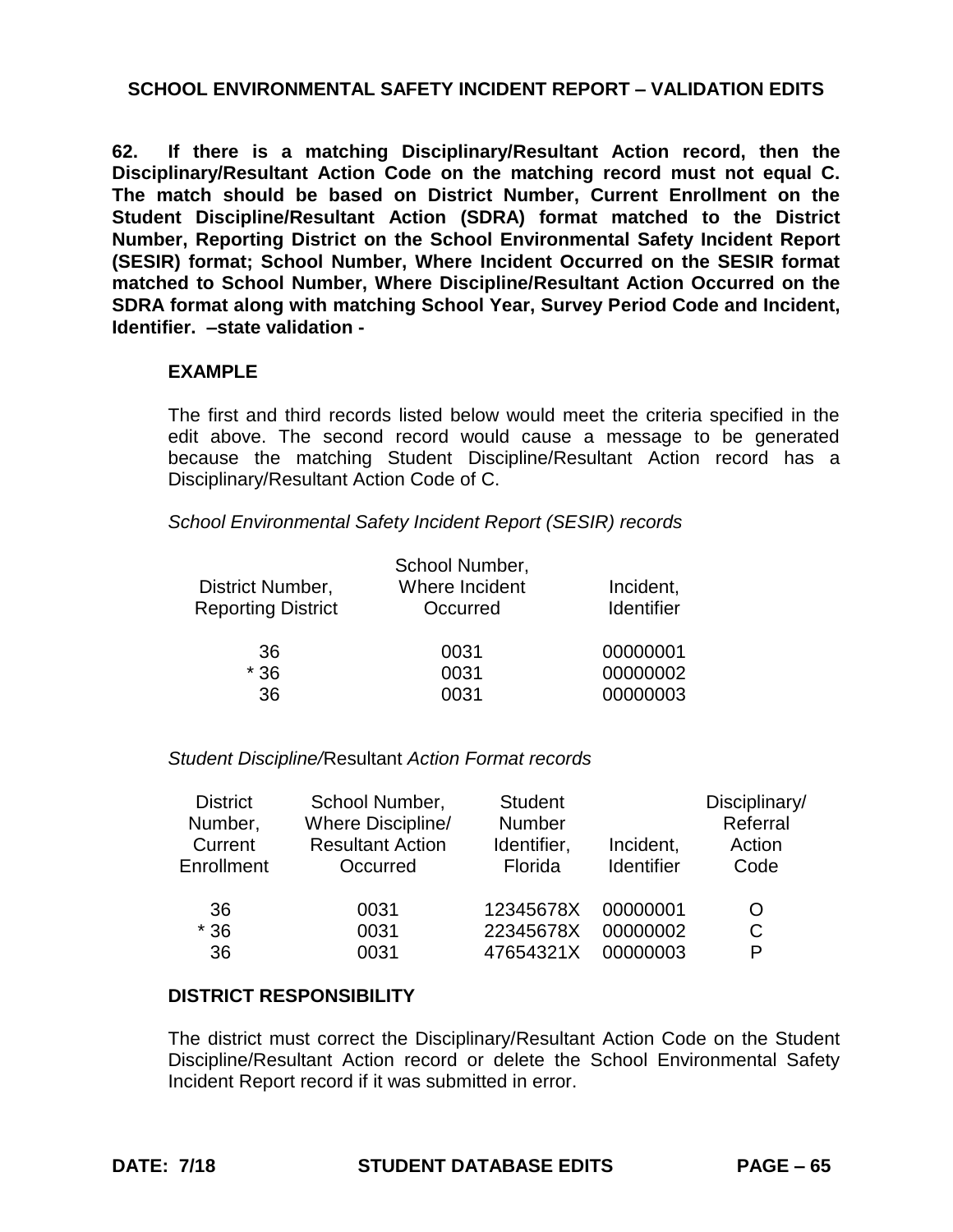**62. If there is a matching Disciplinary/Resultant Action record, then the Disciplinary/Resultant Action Code on the matching record must not equal C. The match should be based on District Number, Current Enrollment on the Student Discipline/Resultant Action (SDRA) format matched to the District Number, Reporting District on the School Environmental Safety Incident Report (SESIR) format; School Number, Where Incident Occurred on the SESIR format matched to School Number, Where Discipline/Resultant Action Occurred on the SDRA format along with matching School Year, Survey Period Code and Incident, Identifier. –state validation -**

#### **EXAMPLE**

The first and third records listed below would meet the criteria specified in the edit above. The second record would cause a message to be generated because the matching Student Discipline/Resultant Action record has a Disciplinary/Resultant Action Code of C.

*School Environmental Safety Incident Report (SESIR) records*

| District Number,<br><b>Reporting District</b> | School Number,<br>Where Incident<br>Occurred | Incident,<br>Identifier |
|-----------------------------------------------|----------------------------------------------|-------------------------|
| 36                                            | 0031                                         | 00000001                |
| $*36$                                         | 0031                                         | 00000002                |
| 36                                            | 0031                                         | 00000003                |

*Student Discipline/*Resultant *Action Format records*

| <b>District</b><br>Number,<br>Current<br>Enrollment | School Number,<br>Where Discipline/<br><b>Resultant Action</b><br>Occurred | <b>Student</b><br>Number<br>Identifier,<br>Florida | Incident,<br>Identifier | Disciplinary/<br>Referral<br>Action<br>Code |
|-----------------------------------------------------|----------------------------------------------------------------------------|----------------------------------------------------|-------------------------|---------------------------------------------|
| 36                                                  | 0031                                                                       | 12345678X                                          | 00000001                | O                                           |
| $*36$                                               | 0031                                                                       | 22345678X                                          | 00000002                | C                                           |
| 36                                                  | 0031                                                                       | 47654321X                                          | 00000003                | P                                           |

#### **DISTRICT RESPONSIBILITY**

The district must correct the Disciplinary/Resultant Action Code on the Student Discipline/Resultant Action record or delete the School Environmental Safety Incident Report record if it was submitted in error.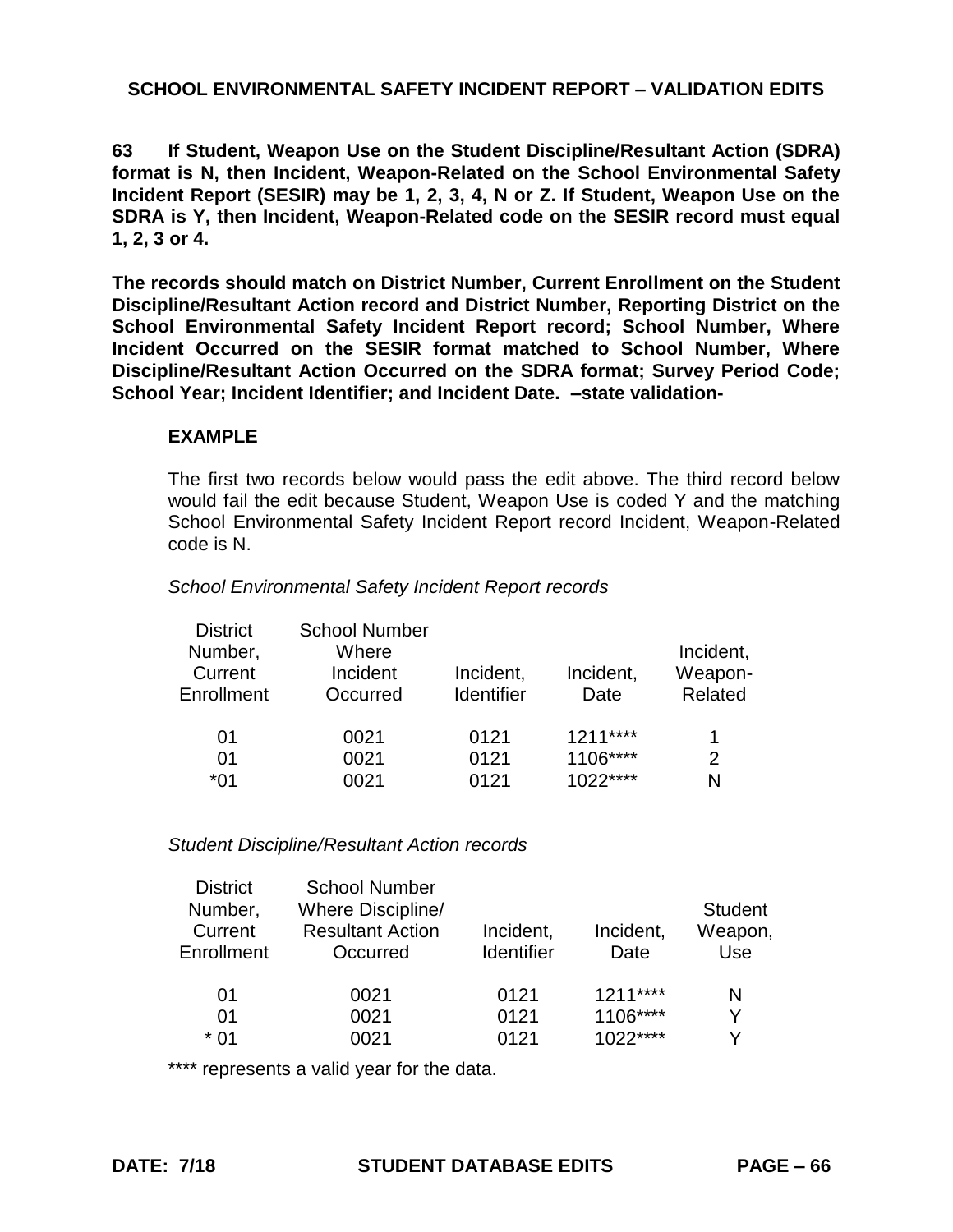**63 If Student, Weapon Use on the Student Discipline/Resultant Action (SDRA) format is N, then Incident, Weapon-Related on the School Environmental Safety Incident Report (SESIR) may be 1, 2, 3, 4, N or Z. If Student, Weapon Use on the SDRA is Y, then Incident, Weapon-Related code on the SESIR record must equal 1, 2, 3 or 4.**

**The records should match on District Number, Current Enrollment on the Student Discipline/Resultant Action record and District Number, Reporting District on the School Environmental Safety Incident Report record; School Number, Where Incident Occurred on the SESIR format matched to School Number, Where Discipline/Resultant Action Occurred on the SDRA format; Survey Period Code; School Year; Incident Identifier; and Incident Date. –state validation-**

#### **EXAMPLE**

The first two records below would pass the edit above. The third record below would fail the edit because Student, Weapon Use is coded Y and the matching School Environmental Safety Incident Report record Incident, Weapon-Related code is N.

#### *School Environmental Safety Incident Report records*

| <b>School Number</b> |                   |           |           |
|----------------------|-------------------|-----------|-----------|
| Where                |                   |           | Incident, |
| Incident             | Incident,         | Incident, | Weapon-   |
| Occurred             | <b>Identifier</b> | Date      | Related   |
|                      |                   |           |           |
| 0021                 |                   |           | 1         |
| 0021                 | 0121              | 1106****  | 2         |
| 0021                 | 0121              | $1022***$ | N         |
|                      |                   | 0121      | $1211***$ |

#### *Student Discipline/Resultant Action records*

| <b>School Number</b><br>Where Discipline/<br><b>Resultant Action</b><br>Occurred | Incident,<br><b>Identifier</b> | Incident,<br>Date                   | <b>Student</b><br>Weapon,<br>Use |
|----------------------------------------------------------------------------------|--------------------------------|-------------------------------------|----------------------------------|
| 0021<br>0021                                                                     | 0121<br>0121<br>0121           | $1211***$<br>$1106***$<br>$1022***$ | N<br>Y<br>v                      |
|                                                                                  | 0021                           |                                     |                                  |

\*\*\*\* represents a valid year for the data.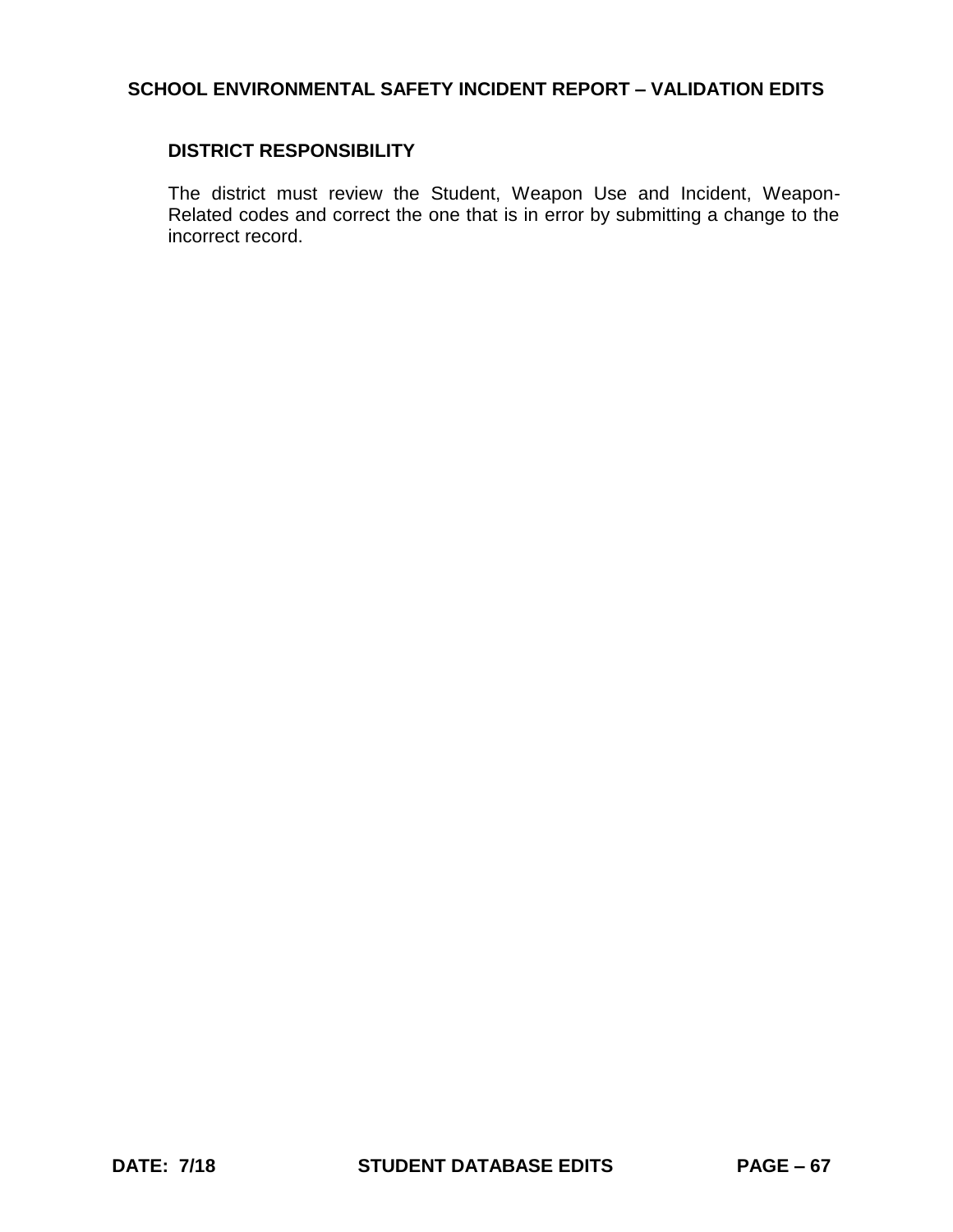## **DISTRICT RESPONSIBILITY**

The district must review the Student, Weapon Use and Incident, Weapon-Related codes and correct the one that is in error by submitting a change to the incorrect record.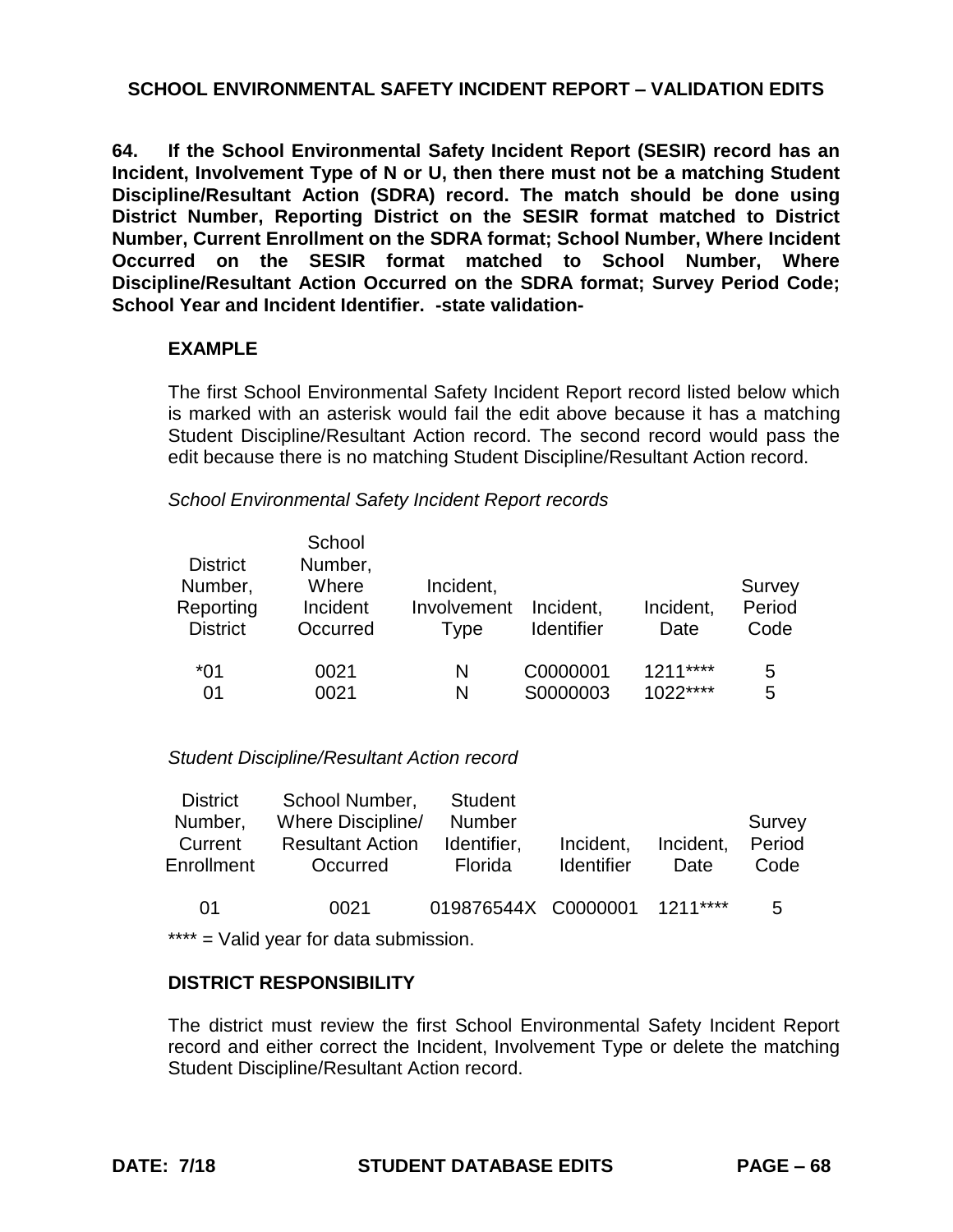**64. If the School Environmental Safety Incident Report (SESIR) record has an Incident, Involvement Type of N or U, then there must not be a matching Student Discipline/Resultant Action (SDRA) record. The match should be done using District Number, Reporting District on the SESIR format matched to District Number, Current Enrollment on the SDRA format; School Number, Where Incident Occurred on the SESIR format matched to School Number, Where Discipline/Resultant Action Occurred on the SDRA format; Survey Period Code; School Year and Incident Identifier. -state validation-**

## **EXAMPLE**

The first School Environmental Safety Incident Report record listed below which is marked with an asterisk would fail the edit above because it has a matching Student Discipline/Resultant Action record. The second record would pass the edit because there is no matching Student Discipline/Resultant Action record.

*School Environmental Safety Incident Report records*

| <b>District</b><br>Number,<br>Reporting<br><b>District</b> | School<br>Number,<br>Where<br>Incident<br>Occurred | Incident,<br>Involvement<br>Type | Incident,<br><b>Identifier</b> | Incident,<br>Date | Survey<br>Period<br>Code |
|------------------------------------------------------------|----------------------------------------------------|----------------------------------|--------------------------------|-------------------|--------------------------|
| $*01$                                                      | 0021                                               | N                                | C0000001                       | $1211***$         | 5                        |
| 01                                                         | 0021                                               | N                                | S0000003                       | $1022***$         | 5                        |

#### *Student Discipline/Resultant Action record*

| <b>District</b><br>Number,<br>Current<br>Enrollment | School Number,<br>Where Discipline/<br><b>Resultant Action</b><br>Occurred | <b>Student</b><br><b>Number</b><br>Identifier,<br><b>Florida</b> | Incident,<br><b>Identifier</b> | Incident,<br>Date | Survey<br>Period<br>Code |
|-----------------------------------------------------|----------------------------------------------------------------------------|------------------------------------------------------------------|--------------------------------|-------------------|--------------------------|
| 01                                                  | 0021                                                                       | 019876544X C0000001 1211****                                     |                                |                   | 5.                       |

\*\*\*\* = Valid year for data submission.

#### **DISTRICT RESPONSIBILITY**

The district must review the first School Environmental Safety Incident Report record and either correct the Incident, Involvement Type or delete the matching Student Discipline/Resultant Action record.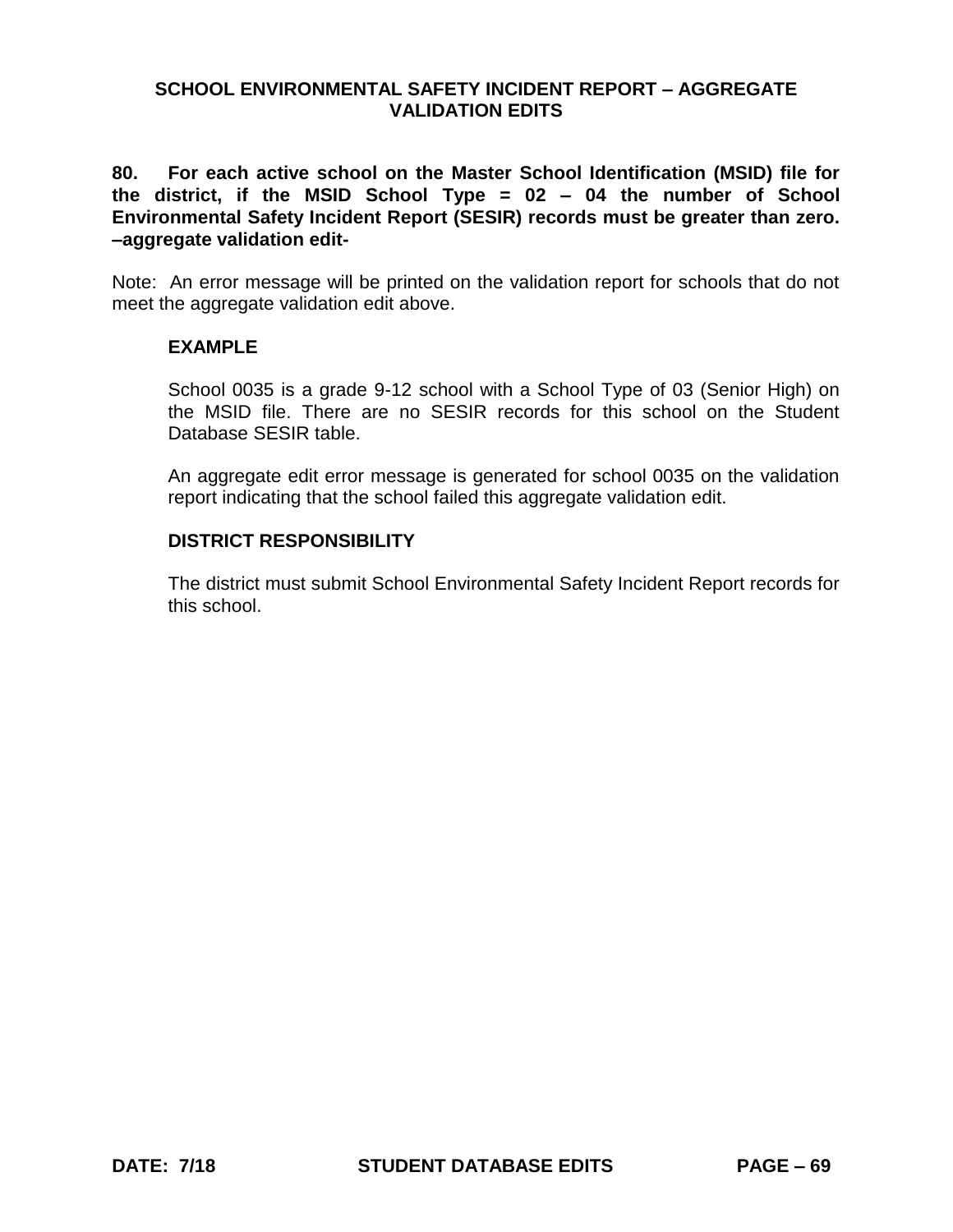**80. For each active school on the Master School Identification (MSID) file for the district, if the MSID School Type = 02 – 04 the number of School Environmental Safety Incident Report (SESIR) records must be greater than zero. –aggregate validation edit-**

Note: An error message will be printed on the validation report for schools that do not meet the aggregate validation edit above.

### **EXAMPLE**

School 0035 is a grade 9-12 school with a School Type of 03 (Senior High) on the MSID file. There are no SESIR records for this school on the Student Database SESIR table.

An aggregate edit error message is generated for school 0035 on the validation report indicating that the school failed this aggregate validation edit.

### **DISTRICT RESPONSIBILITY**

The district must submit School Environmental Safety Incident Report records for this school.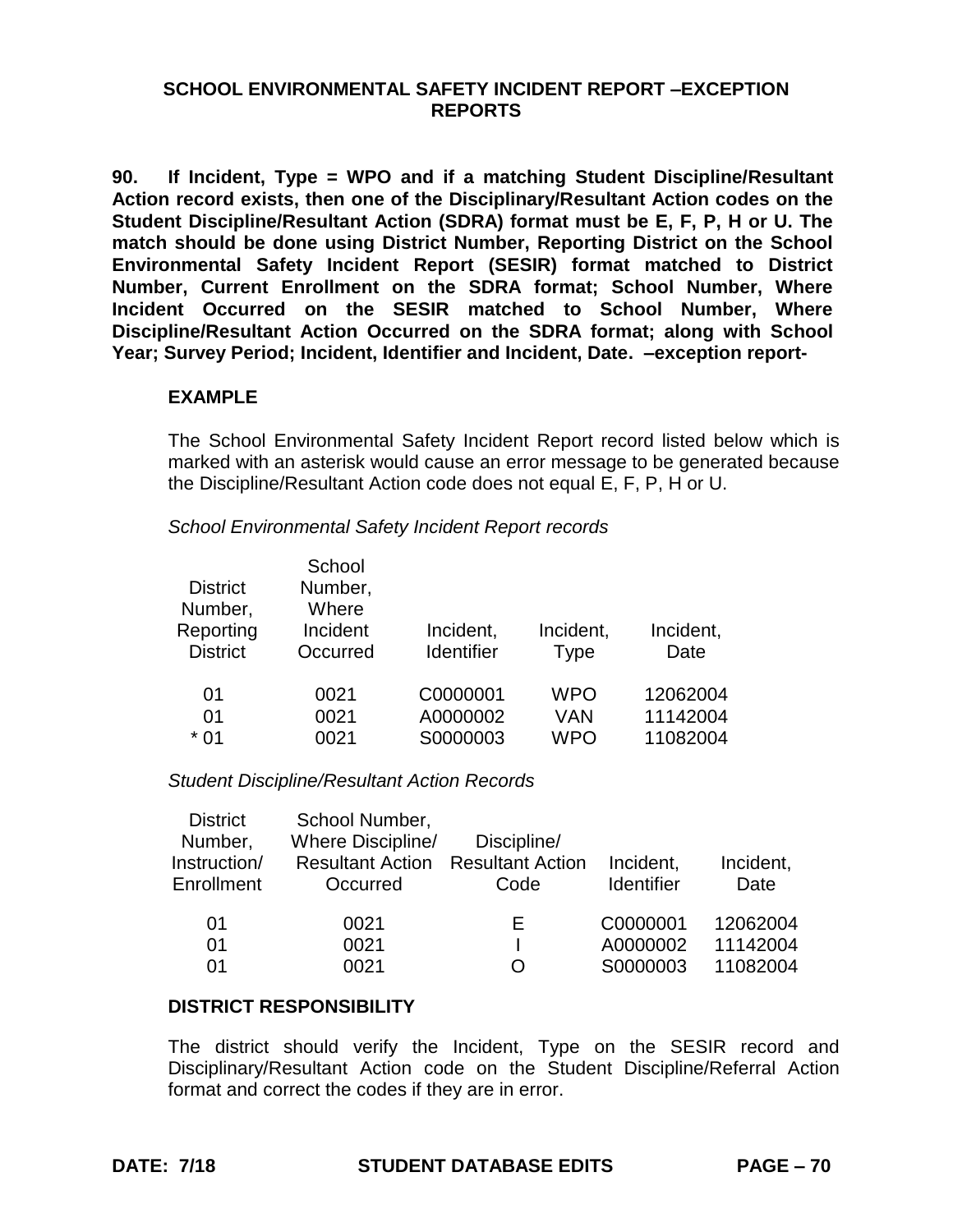## **SCHOOL ENVIRONMENTAL SAFETY INCIDENT REPORT –EXCEPTION REPORTS**

**90. If Incident, Type = WPO and if a matching Student Discipline/Resultant Action record exists, then one of the Disciplinary/Resultant Action codes on the Student Discipline/Resultant Action (SDRA) format must be E, F, P, H or U. The match should be done using District Number, Reporting District on the School Environmental Safety Incident Report (SESIR) format matched to District Number, Current Enrollment on the SDRA format; School Number, Where Incident Occurred on the SESIR matched to School Number, Where Discipline/Resultant Action Occurred on the SDRA format; along with School Year; Survey Period; Incident, Identifier and Incident, Date. –exception report-**

## **EXAMPLE**

The School Environmental Safety Incident Report record listed below which is marked with an asterisk would cause an error message to be generated because the Discipline/Resultant Action code does not equal E, F, P, H or U.

*School Environmental Safety Incident Report records*

| <b>District</b><br>Number,<br>Reporting | School<br>Number,<br>Where<br>Incident | Incident,  | Incident,   | Incident, |
|-----------------------------------------|----------------------------------------|------------|-------------|-----------|
| <b>District</b>                         | Occurred                               | Identifier | <b>Type</b> | Date      |
| 01                                      | 0021                                   | C0000001   | <b>WPO</b>  | 12062004  |
| 01                                      | 0021                                   | A0000002   | VAN         | 11142004  |
| $*01$                                   | 0021                                   | S0000003   | <b>WPO</b>  | 11082004  |

*Student Discipline/Resultant Action Records*

| Where Discipline/<br>Number,<br>Instruction/<br>Enrollment | <b>Resultant Action</b><br>Occurred | <b>Resultant Action</b><br>Code | Incident,<br><b>Identifier</b> | Incident,<br>Date |
|------------------------------------------------------------|-------------------------------------|---------------------------------|--------------------------------|-------------------|
| 01                                                         | 0021                                | ь.                              | C0000001                       | 12062004          |
| 01                                                         | 0021                                |                                 | A0000002                       | 11142004          |
| 01                                                         | 0021                                |                                 | S0000003                       | 11082004          |

#### **DISTRICT RESPONSIBILITY**

The district should verify the Incident, Type on the SESIR record and Disciplinary/Resultant Action code on the Student Discipline/Referral Action format and correct the codes if they are in error.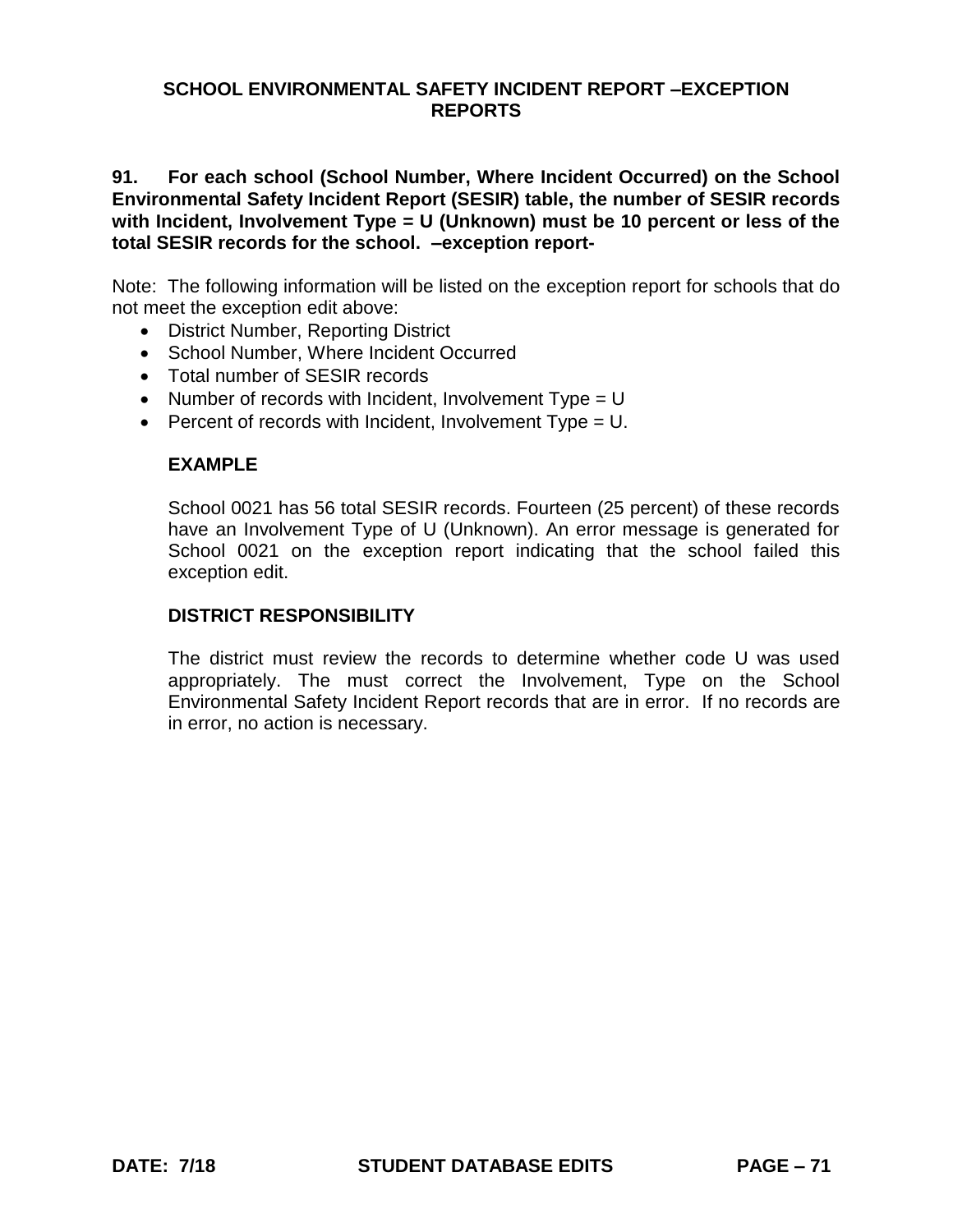## **SCHOOL ENVIRONMENTAL SAFETY INCIDENT REPORT –EXCEPTION REPORTS**

**91. For each school (School Number, Where Incident Occurred) on the School Environmental Safety Incident Report (SESIR) table, the number of SESIR records with Incident, Involvement Type = U (Unknown) must be 10 percent or less of the total SESIR records for the school. –exception report-**

Note: The following information will be listed on the exception report for schools that do not meet the exception edit above:

- District Number, Reporting District
- School Number, Where Incident Occurred
- Total number of SESIR records
- Number of records with Incident, Involvement  $Type = U$
- **Percent of records with Incident, Involvement Type = U.**

#### **EXAMPLE**

School 0021 has 56 total SESIR records. Fourteen (25 percent) of these records have an Involvement Type of U (Unknown). An error message is generated for School 0021 on the exception report indicating that the school failed this exception edit.

#### **DISTRICT RESPONSIBILITY**

The district must review the records to determine whether code U was used appropriately. The must correct the Involvement, Type on the School Environmental Safety Incident Report records that are in error. If no records are in error, no action is necessary.